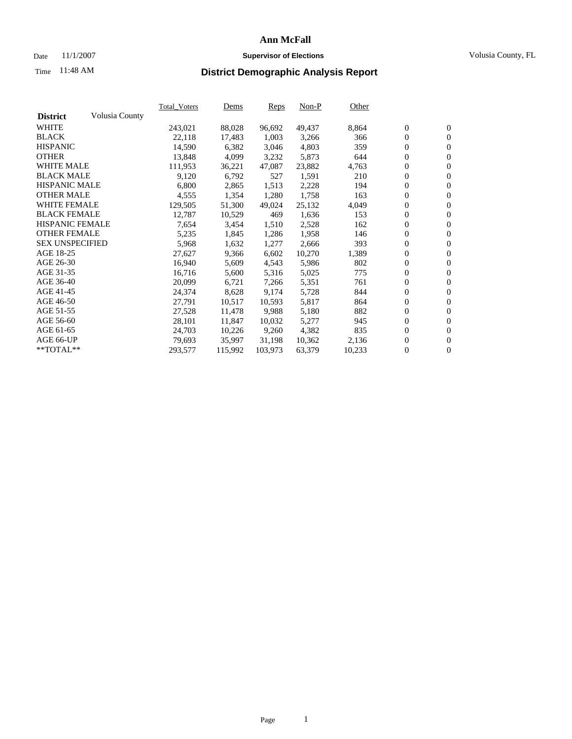### Date 11/1/2007 **Supervisor of Elections Supervisor of Elections** Volusia County, FL

# Time **District Demographic Analysis Report** 11:48 AM

|                        |                | <b>Total Voters</b> | Dems    | Reps    | $Non-P$ | Other  |                  |                  |  |
|------------------------|----------------|---------------------|---------|---------|---------|--------|------------------|------------------|--|
| <b>District</b>        | Volusia County |                     |         |         |         |        |                  |                  |  |
| <b>WHITE</b>           |                | 243,021             | 88,028  | 96,692  | 49,437  | 8,864  | $\boldsymbol{0}$ | $\mathbf{0}$     |  |
| <b>BLACK</b>           |                | 22,118              | 17,483  | 1,003   | 3,266   | 366    | $\mathbf{0}$     | $\mathbf{0}$     |  |
| <b>HISPANIC</b>        |                | 14,590              | 6,382   | 3,046   | 4,803   | 359    | $\mathbf{0}$     | $\mathbf{0}$     |  |
| <b>OTHER</b>           |                | 13,848              | 4,099   | 3,232   | 5,873   | 644    | $\boldsymbol{0}$ | $\boldsymbol{0}$ |  |
| <b>WHITE MALE</b>      |                | 111,953             | 36,221  | 47,087  | 23,882  | 4,763  | 0                | $\mathbf{0}$     |  |
| <b>BLACK MALE</b>      |                | 9,120               | 6,792   | 527     | 1,591   | 210    | $\boldsymbol{0}$ | $\boldsymbol{0}$ |  |
| <b>HISPANIC MALE</b>   |                | 6,800               | 2,865   | 1,513   | 2,228   | 194    | 0                | $\overline{0}$   |  |
| <b>OTHER MALE</b>      |                | 4,555               | 1,354   | 1,280   | 1,758   | 163    | $\boldsymbol{0}$ | $\mathbf{0}$     |  |
| <b>WHITE FEMALE</b>    |                | 129,505             | 51,300  | 49,024  | 25,132  | 4,049  | 0                | $\mathbf{0}$     |  |
| <b>BLACK FEMALE</b>    |                | 12,787              | 10,529  | 469     | 1,636   | 153    | $\mathbf{0}$     | $\mathbf{0}$     |  |
| <b>HISPANIC FEMALE</b> |                | 7,654               | 3,454   | 1,510   | 2,528   | 162    | $\boldsymbol{0}$ | $\boldsymbol{0}$ |  |
| <b>OTHER FEMALE</b>    |                | 5,235               | 1,845   | 1,286   | 1,958   | 146    | 0                | $\mathbf{0}$     |  |
| <b>SEX UNSPECIFIED</b> |                | 5,968               | 1,632   | 1,277   | 2,666   | 393    | $\overline{0}$   | $\mathbf{0}$     |  |
| AGE 18-25              |                | 27,627              | 9,366   | 6,602   | 10,270  | 1,389  | 0                | $\mathbf{0}$     |  |
| AGE 26-30              |                | 16,940              | 5,609   | 4,543   | 5,986   | 802    | $\boldsymbol{0}$ | $\mathbf{0}$     |  |
| AGE 31-35              |                | 16,716              | 5,600   | 5,316   | 5,025   | 775    | 0                | $\boldsymbol{0}$ |  |
| AGE 36-40              |                | 20,099              | 6,721   | 7,266   | 5,351   | 761    | $\mathbf{0}$     | $\mathbf{0}$     |  |
| AGE 41-45              |                | 24,374              | 8,628   | 9,174   | 5,728   | 844    | 0                | $\mathbf{0}$     |  |
| AGE 46-50              |                | 27,791              | 10,517  | 10,593  | 5,817   | 864    | 0                | $\overline{0}$   |  |
| AGE 51-55              |                | 27,528              | 11,478  | 9,988   | 5,180   | 882    | $\boldsymbol{0}$ | $\mathbf{0}$     |  |
| AGE 56-60              |                | 28,101              | 11,847  | 10,032  | 5,277   | 945    | 0                | $\mathbf{0}$     |  |
| AGE 61-65              |                | 24,703              | 10,226  | 9,260   | 4,382   | 835    | $\mathbf{0}$     | $\boldsymbol{0}$ |  |
| AGE 66-UP              |                | 79,693              | 35,997  | 31,198  | 10,362  | 2,136  | $\boldsymbol{0}$ | $\boldsymbol{0}$ |  |
| **TOTAL**              |                | 293,577             | 115,992 | 103,973 | 63,379  | 10,233 | 0                | $\overline{0}$   |  |
|                        |                |                     |         |         |         |        |                  |                  |  |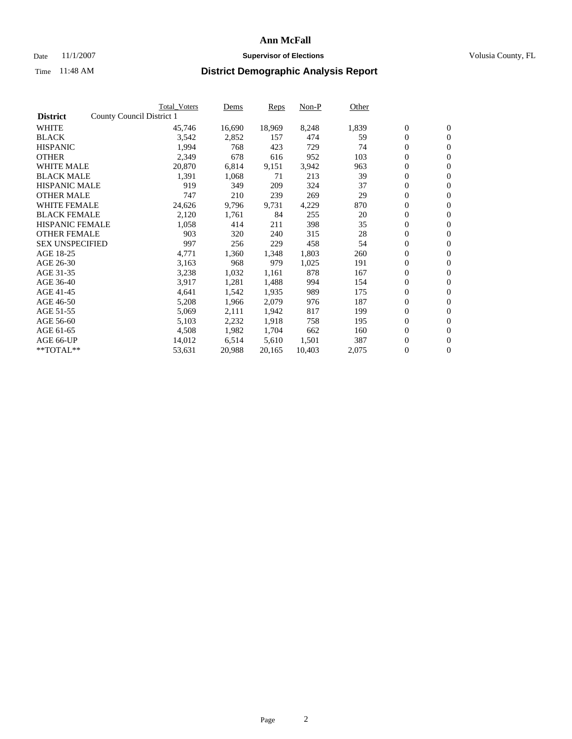#### Date 11/1/2007 **Supervisor of Elections Supervisor of Elections** Volusia County, FL

|                        | Total_Voters              | Dems   | <b>Reps</b> | Non-P  | Other |                  |                  |  |
|------------------------|---------------------------|--------|-------------|--------|-------|------------------|------------------|--|
| <b>District</b>        | County Council District 1 |        |             |        |       |                  |                  |  |
| <b>WHITE</b>           | 45,746                    | 16,690 | 18,969      | 8,248  | 1,839 | $\boldsymbol{0}$ | $\mathbf{0}$     |  |
| <b>BLACK</b>           | 3,542                     | 2,852  | 157         | 474    | 59    | $\overline{0}$   | $\mathbf{0}$     |  |
| <b>HISPANIC</b>        | 1,994                     | 768    | 423         | 729    | 74    | $\boldsymbol{0}$ | $\mathbf{0}$     |  |
| <b>OTHER</b>           | 2,349                     | 678    | 616         | 952    | 103   | $\boldsymbol{0}$ | $\mathbf{0}$     |  |
| <b>WHITE MALE</b>      | 20,870                    | 6,814  | 9,151       | 3,942  | 963   | 0                | $\mathbf{0}$     |  |
| <b>BLACK MALE</b>      | 1,391                     | 1,068  | 71          | 213    | 39    | $\boldsymbol{0}$ | $\mathbf{0}$     |  |
| <b>HISPANIC MALE</b>   | 919                       | 349    | 209         | 324    | 37    | $\overline{0}$   | $\mathbf{0}$     |  |
| <b>OTHER MALE</b>      | 747                       | 210    | 239         | 269    | 29    | $\overline{0}$   | $\mathbf{0}$     |  |
| <b>WHITE FEMALE</b>    | 24,626                    | 9,796  | 9,731       | 4,229  | 870   | $\mathbf{0}$     | $\mathbf{0}$     |  |
| <b>BLACK FEMALE</b>    | 2,120                     | 1,761  | 84          | 255    | 20    | $\boldsymbol{0}$ | $\mathbf{0}$     |  |
| <b>HISPANIC FEMALE</b> | 1,058                     | 414    | 211         | 398    | 35    | $\boldsymbol{0}$ | $\mathbf{0}$     |  |
| <b>OTHER FEMALE</b>    | 903                       | 320    | 240         | 315    | 28    | 0                | $\mathbf{0}$     |  |
| <b>SEX UNSPECIFIED</b> | 997                       | 256    | 229         | 458    | 54    | $\boldsymbol{0}$ | $\mathbf{0}$     |  |
| AGE 18-25              | 4,771                     | 1,360  | 1,348       | 1,803  | 260   | $\boldsymbol{0}$ | $\mathbf{0}$     |  |
| AGE 26-30              | 3,163                     | 968    | 979         | 1,025  | 191   | $\overline{0}$   | $\mathbf{0}$     |  |
| AGE 31-35              | 3,238                     | 1,032  | 1,161       | 878    | 167   | $\boldsymbol{0}$ | $\mathbf{0}$     |  |
| AGE 36-40              | 3,917                     | 1,281  | 1,488       | 994    | 154   | $\boldsymbol{0}$ | $\mathbf{0}$     |  |
| AGE 41-45              | 4,641                     | 1,542  | 1,935       | 989    | 175   | $\boldsymbol{0}$ | $\mathbf{0}$     |  |
| AGE 46-50              | 5,208                     | 1,966  | 2,079       | 976    | 187   | 0                | $\mathbf{0}$     |  |
| AGE 51-55              | 5,069                     | 2,111  | 1,942       | 817    | 199   | $\boldsymbol{0}$ | $\mathbf{0}$     |  |
| AGE 56-60              | 5,103                     | 2,232  | 1,918       | 758    | 195   | $\overline{0}$   | $\mathbf{0}$     |  |
| AGE 61-65              | 4,508                     | 1,982  | 1,704       | 662    | 160   | $\mathbf{0}$     | $\boldsymbol{0}$ |  |
| AGE 66-UP              | 14,012                    | 6,514  | 5,610       | 1,501  | 387   | $\boldsymbol{0}$ | $\mathbf{0}$     |  |
| **TOTAL**              | 53,631                    | 20,988 | 20,165      | 10,403 | 2,075 | $\boldsymbol{0}$ | $\overline{0}$   |  |
|                        |                           |        |             |        |       |                  |                  |  |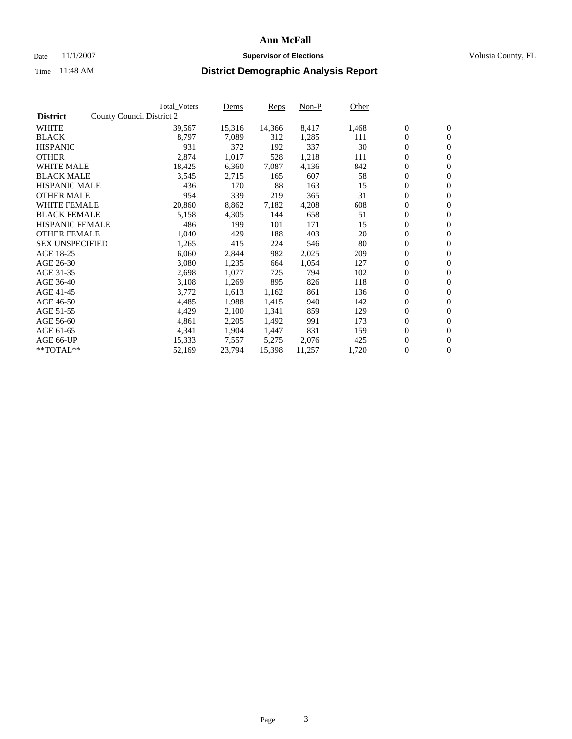### Date 11/1/2007 **Supervisor of Elections Supervisor of Elections** Volusia County, FL

|                        | Total Voters              | Dems   | <b>Reps</b> | Non-P  | Other |                  |                  |  |
|------------------------|---------------------------|--------|-------------|--------|-------|------------------|------------------|--|
| <b>District</b>        | County Council District 2 |        |             |        |       |                  |                  |  |
| <b>WHITE</b>           | 39,567                    | 15,316 | 14,366      | 8,417  | 1,468 | $\boldsymbol{0}$ | $\mathbf{0}$     |  |
| <b>BLACK</b>           | 8,797                     | 7,089  | 312         | 1,285  | 111   | $\overline{0}$   | $\mathbf{0}$     |  |
| <b>HISPANIC</b>        | 931                       | 372    | 192         | 337    | 30    | $\overline{0}$   | $\mathbf{0}$     |  |
| <b>OTHER</b>           | 2,874                     | 1,017  | 528         | 1,218  | 111   | $\overline{0}$   | $\overline{0}$   |  |
| <b>WHITE MALE</b>      | 18,425                    | 6,360  | 7,087       | 4,136  | 842   | $\overline{0}$   | $\mathbf{0}$     |  |
| <b>BLACK MALE</b>      | 3,545                     | 2,715  | 165         | 607    | 58    | $\boldsymbol{0}$ | $\mathbf{0}$     |  |
| <b>HISPANIC MALE</b>   | 436                       | 170    | 88          | 163    | 15    | 0                | $\mathbf{0}$     |  |
| <b>OTHER MALE</b>      | 954                       | 339    | 219         | 365    | 31    | $\boldsymbol{0}$ | $\mathbf{0}$     |  |
| <b>WHITE FEMALE</b>    | 20,860                    | 8,862  | 7,182       | 4,208  | 608   | $\overline{0}$   | $\mathbf{0}$     |  |
| <b>BLACK FEMALE</b>    | 5,158                     | 4,305  | 144         | 658    | 51    | $\overline{0}$   | $\mathbf{0}$     |  |
| <b>HISPANIC FEMALE</b> | 486                       | 199    | 101         | 171    | 15    | $\overline{0}$   | $\mathbf{0}$     |  |
| <b>OTHER FEMALE</b>    | 1,040                     | 429    | 188         | 403    | 20    | $\mathbf{0}$     | $\mathbf{0}$     |  |
| <b>SEX UNSPECIFIED</b> | 1,265                     | 415    | 224         | 546    | 80    | $\boldsymbol{0}$ | $\mathbf{0}$     |  |
| AGE 18-25              | 6,060                     | 2,844  | 982         | 2,025  | 209   | 0                | $\mathbf{0}$     |  |
| AGE 26-30              | 3,080                     | 1,235  | 664         | 1,054  | 127   | $\boldsymbol{0}$ | $\mathbf{0}$     |  |
| AGE 31-35              | 2,698                     | 1,077  | 725         | 794    | 102   | 0                | $\mathbf{0}$     |  |
| AGE 36-40              | 3,108                     | 1,269  | 895         | 826    | 118   | $\boldsymbol{0}$ | $\mathbf{0}$     |  |
| AGE 41-45              | 3,772                     | 1,613  | 1,162       | 861    | 136   | 0                | $\mathbf{0}$     |  |
| AGE 46-50              | 4,485                     | 1,988  | 1,415       | 940    | 142   | $\overline{0}$   | $\mathbf{0}$     |  |
| AGE 51-55              | 4,429                     | 2,100  | 1,341       | 859    | 129   | $\overline{0}$   | $\mathbf{0}$     |  |
| AGE 56-60              | 4,861                     | 2,205  | 1,492       | 991    | 173   | $\boldsymbol{0}$ | $\mathbf{0}$     |  |
| AGE 61-65              | 4,341                     | 1,904  | 1,447       | 831    | 159   | 0                | $\mathbf{0}$     |  |
| AGE 66-UP              | 15,333                    | 7,557  | 5,275       | 2,076  | 425   | 0                | $\mathbf{0}$     |  |
| $*$ TOTAL $**$         | 52,169                    | 23,794 | 15,398      | 11,257 | 1,720 | 0                | $\boldsymbol{0}$ |  |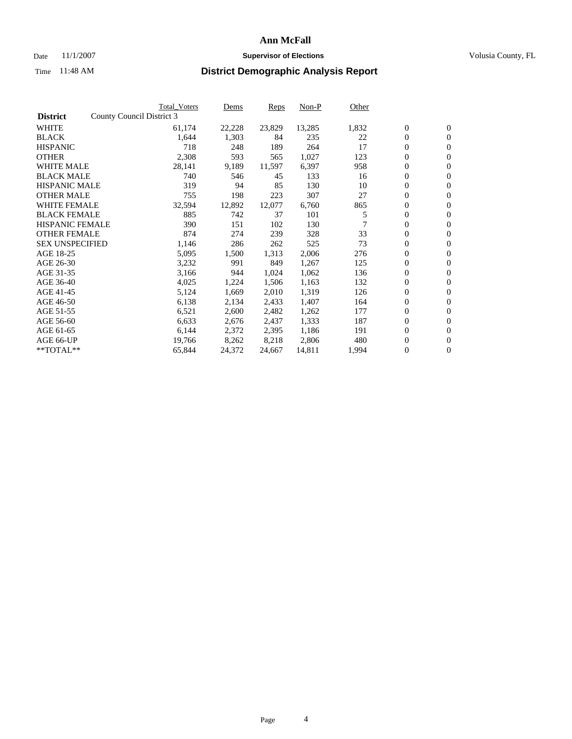### Date 11/1/2007 **Supervisor of Elections Supervisor of Elections** Volusia County, FL

|                        | <b>Total_Voters</b>       | Dems   | Reps   | Non-P  | Other |                  |                  |  |
|------------------------|---------------------------|--------|--------|--------|-------|------------------|------------------|--|
| <b>District</b>        | County Council District 3 |        |        |        |       |                  |                  |  |
| <b>WHITE</b>           | 61,174                    | 22,228 | 23,829 | 13,285 | 1,832 | $\boldsymbol{0}$ | $\mathbf{0}$     |  |
| <b>BLACK</b>           | 1,644                     | 1,303  | 84     | 235    | 22    | $\overline{0}$   | $\mathbf{0}$     |  |
| <b>HISPANIC</b>        | 718                       | 248    | 189    | 264    | 17    | $\overline{0}$   | $\mathbf{0}$     |  |
| <b>OTHER</b>           | 2,308                     | 593    | 565    | 1,027  | 123   | $\overline{0}$   | $\overline{0}$   |  |
| <b>WHITE MALE</b>      | 28,141                    | 9,189  | 11,597 | 6,397  | 958   | $\overline{0}$   | $\mathbf{0}$     |  |
| <b>BLACK MALE</b>      | 740                       | 546    | 45     | 133    | 16    | $\boldsymbol{0}$ | $\mathbf{0}$     |  |
| <b>HISPANIC MALE</b>   | 319                       | 94     | 85     | 130    | 10    | 0                | $\mathbf{0}$     |  |
| <b>OTHER MALE</b>      | 755                       | 198    | 223    | 307    | 27    | $\boldsymbol{0}$ | $\mathbf{0}$     |  |
| <b>WHITE FEMALE</b>    | 32,594                    | 12,892 | 12,077 | 6,760  | 865   | 0                | $\mathbf{0}$     |  |
| <b>BLACK FEMALE</b>    | 885                       | 742    | 37     | 101    | 5     | $\overline{0}$   | $\mathbf{0}$     |  |
| <b>HISPANIC FEMALE</b> | 390                       | 151    | 102    | 130    |       | 0                | $\mathbf{0}$     |  |
| <b>OTHER FEMALE</b>    | 874                       | 274    | 239    | 328    | 33    | $\overline{0}$   | $\overline{0}$   |  |
| <b>SEX UNSPECIFIED</b> | 1,146                     | 286    | 262    | 525    | 73    | $\boldsymbol{0}$ | $\mathbf{0}$     |  |
| AGE 18-25              | 5,095                     | 1,500  | 1,313  | 2,006  | 276   | $\overline{0}$   | $\mathbf{0}$     |  |
| AGE 26-30              | 3,232                     | 991    | 849    | 1,267  | 125   | $\boldsymbol{0}$ | $\mathbf{0}$     |  |
| AGE 31-35              | 3,166                     | 944    | 1,024  | 1,062  | 136   | 0                | $\mathbf{0}$     |  |
| AGE 36-40              | 4,025                     | 1,224  | 1,506  | 1,163  | 132   | $\boldsymbol{0}$ | $\mathbf{0}$     |  |
| AGE 41-45              | 5,124                     | 1,669  | 2,010  | 1,319  | 126   | 0                | $\mathbf{0}$     |  |
| AGE 46-50              | 6,138                     | 2,134  | 2,433  | 1,407  | 164   | $\overline{0}$   | $\mathbf{0}$     |  |
| AGE 51-55              | 6,521                     | 2,600  | 2,482  | 1,262  | 177   | 0                | $\mathbf{0}$     |  |
| AGE 56-60              | 6,633                     | 2,676  | 2,437  | 1,333  | 187   | $\overline{0}$   | $\mathbf{0}$     |  |
| AGE 61-65              | 6,144                     | 2,372  | 2,395  | 1,186  | 191   | 0                | $\mathbf{0}$     |  |
| AGE 66-UP              | 19,766                    | 8,262  | 8,218  | 2,806  | 480   | 0                | $\bf{0}$         |  |
| $*$ TOTAL $**$         | 65,844                    | 24,372 | 24,667 | 14,811 | 1,994 | 0                | $\boldsymbol{0}$ |  |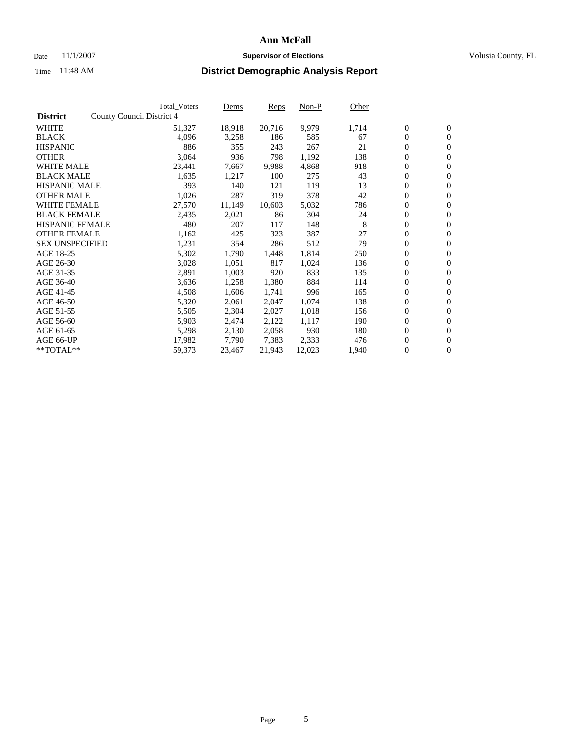#### Date 11/1/2007 **Supervisor of Elections Supervisor of Elections** Volusia County, FL

|                        | Total_Voters              | Dems   | <b>Reps</b> | Non-P  | Other |                  |                |  |
|------------------------|---------------------------|--------|-------------|--------|-------|------------------|----------------|--|
| <b>District</b>        | County Council District 4 |        |             |        |       |                  |                |  |
| <b>WHITE</b>           | 51,327                    | 18,918 | 20,716      | 9,979  | 1,714 | $\overline{0}$   | $\mathbf{0}$   |  |
| <b>BLACK</b>           | 4,096                     | 3,258  | 186         | 585    | 67    | $\overline{0}$   | $\mathbf{0}$   |  |
| <b>HISPANIC</b>        | 886                       | 355    | 243         | 267    | 21    | $\boldsymbol{0}$ | $\mathbf{0}$   |  |
| <b>OTHER</b>           | 3,064                     | 936    | 798         | 1,192  | 138   | $\boldsymbol{0}$ | $\mathbf{0}$   |  |
| <b>WHITE MALE</b>      | 23,441                    | 7,667  | 9,988       | 4,868  | 918   | $\boldsymbol{0}$ | $\mathbf{0}$   |  |
| <b>BLACK MALE</b>      | 1,635                     | 1,217  | 100         | 275    | 43    | $\boldsymbol{0}$ | $\mathbf{0}$   |  |
| <b>HISPANIC MALE</b>   | 393                       | 140    | 121         | 119    | 13    | $\overline{0}$   | $\mathbf{0}$   |  |
| <b>OTHER MALE</b>      | 1,026                     | 287    | 319         | 378    | 42    | $\overline{0}$   | $\mathbf{0}$   |  |
| <b>WHITE FEMALE</b>    | 27,570                    | 11,149 | 10,603      | 5,032  | 786   | $\mathbf{0}$     | $\mathbf{0}$   |  |
| <b>BLACK FEMALE</b>    | 2,435                     | 2,021  | 86          | 304    | 24    | $\boldsymbol{0}$ | $\mathbf{0}$   |  |
| <b>HISPANIC FEMALE</b> | 480                       | 207    | 117         | 148    | 8     | $\boldsymbol{0}$ | $\mathbf{0}$   |  |
| <b>OTHER FEMALE</b>    | 1,162                     | 425    | 323         | 387    | 27    | 0                | $\mathbf{0}$   |  |
| <b>SEX UNSPECIFIED</b> | 1,231                     | 354    | 286         | 512    | 79    | $\boldsymbol{0}$ | $\mathbf{0}$   |  |
| AGE 18-25              | 5,302                     | 1,790  | 1,448       | 1,814  | 250   | $\boldsymbol{0}$ | $\mathbf{0}$   |  |
| AGE 26-30              | 3,028                     | 1,051  | 817         | 1,024  | 136   | $\overline{0}$   | $\mathbf{0}$   |  |
| AGE 31-35              | 2,891                     | 1,003  | 920         | 833    | 135   | $\overline{0}$   | $\mathbf{0}$   |  |
| AGE 36-40              | 3,636                     | 1,258  | 1,380       | 884    | 114   | $\boldsymbol{0}$ | $\mathbf{0}$   |  |
| AGE 41-45              | 4,508                     | 1,606  | 1,741       | 996    | 165   | $\boldsymbol{0}$ | $\mathbf{0}$   |  |
| AGE 46-50              | 5,320                     | 2,061  | 2,047       | 1,074  | 138   | 0                | $\mathbf{0}$   |  |
| AGE 51-55              | 5,505                     | 2,304  | 2,027       | 1,018  | 156   | $\boldsymbol{0}$ | $\mathbf{0}$   |  |
| AGE 56-60              | 5,903                     | 2,474  | 2,122       | 1,117  | 190   | $\overline{0}$   | $\mathbf{0}$   |  |
| AGE 61-65              | 5,298                     | 2,130  | 2,058       | 930    | 180   | $\mathbf{0}$     | $\mathbf{0}$   |  |
| AGE 66-UP              | 17,982                    | 7,790  | 7,383       | 2,333  | 476   | $\boldsymbol{0}$ | $\mathbf{0}$   |  |
| **TOTAL**              | 59,373                    | 23,467 | 21,943      | 12,023 | 1,940 | $\boldsymbol{0}$ | $\overline{0}$ |  |
|                        |                           |        |             |        |       |                  |                |  |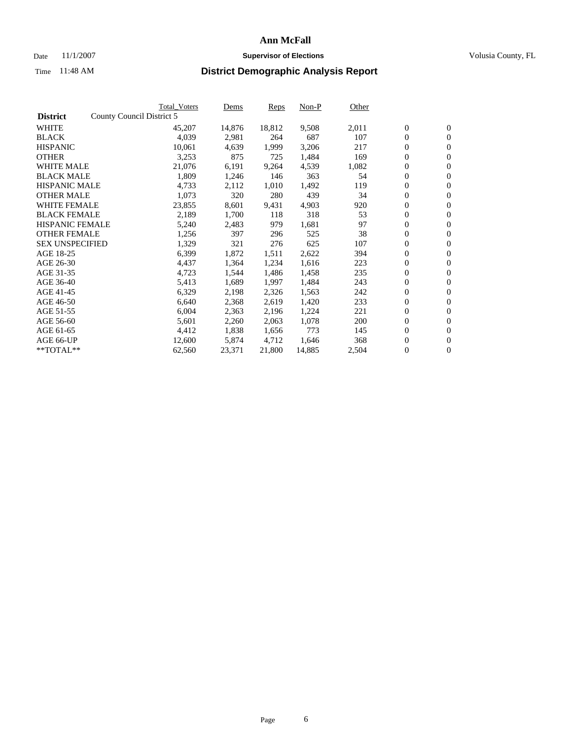#### Date 11/1/2007 **Supervisor of Elections Supervisor of Elections** Volusia County, FL

|                        |                           | <b>Total Voters</b> | Dems   | <b>Reps</b> | Non-P  | Other |                  |                  |  |
|------------------------|---------------------------|---------------------|--------|-------------|--------|-------|------------------|------------------|--|
| <b>District</b>        | County Council District 5 |                     |        |             |        |       |                  |                  |  |
| <b>WHITE</b>           |                           | 45,207              | 14,876 | 18,812      | 9,508  | 2,011 | $\boldsymbol{0}$ | $\mathbf{0}$     |  |
| <b>BLACK</b>           |                           | 4,039               | 2,981  | 264         | 687    | 107   | $\overline{0}$   | $\mathbf{0}$     |  |
| <b>HISPANIC</b>        |                           | 10,061              | 4,639  | 1,999       | 3,206  | 217   | $\boldsymbol{0}$ | $\mathbf{0}$     |  |
| <b>OTHER</b>           |                           | 3,253               | 875    | 725         | 1,484  | 169   | $\boldsymbol{0}$ | $\mathbf{0}$     |  |
| <b>WHITE MALE</b>      |                           | 21,076              | 6,191  | 9,264       | 4,539  | 1,082 | 0                | $\mathbf{0}$     |  |
| <b>BLACK MALE</b>      |                           | 1,809               | 1,246  | 146         | 363    | 54    | $\boldsymbol{0}$ | $\mathbf{0}$     |  |
| <b>HISPANIC MALE</b>   |                           | 4,733               | 2,112  | 1,010       | 1,492  | 119   | $\overline{0}$   | $\mathbf{0}$     |  |
| <b>OTHER MALE</b>      |                           | 1,073               | 320    | 280         | 439    | 34    | $\boldsymbol{0}$ | $\mathbf{0}$     |  |
| <b>WHITE FEMALE</b>    |                           | 23,855              | 8,601  | 9,431       | 4,903  | 920   | $\mathbf{0}$     | $\mathbf{0}$     |  |
| <b>BLACK FEMALE</b>    |                           | 2,189               | 1,700  | 118         | 318    | 53    | $\boldsymbol{0}$ | $\mathbf{0}$     |  |
| <b>HISPANIC FEMALE</b> |                           | 5,240               | 2,483  | 979         | 1,681  | 97    | $\boldsymbol{0}$ | $\mathbf{0}$     |  |
| <b>OTHER FEMALE</b>    |                           | 1,256               | 397    | 296         | 525    | 38    | 0                | $\mathbf{0}$     |  |
| <b>SEX UNSPECIFIED</b> |                           | 1,329               | 321    | 276         | 625    | 107   | $\boldsymbol{0}$ | $\mathbf{0}$     |  |
| AGE 18-25              |                           | 6,399               | 1,872  | 1,511       | 2,622  | 394   | $\boldsymbol{0}$ | $\mathbf{0}$     |  |
| AGE 26-30              |                           | 4,437               | 1,364  | 1,234       | 1,616  | 223   | $\overline{0}$   | $\mathbf{0}$     |  |
| AGE 31-35              |                           | 4,723               | 1,544  | 1,486       | 1,458  | 235   | $\boldsymbol{0}$ | $\mathbf{0}$     |  |
| AGE 36-40              |                           | 5,413               | 1,689  | 1,997       | 1,484  | 243   | $\boldsymbol{0}$ | $\mathbf{0}$     |  |
| AGE 41-45              |                           | 6,329               | 2,198  | 2,326       | 1,563  | 242   | $\boldsymbol{0}$ | $\mathbf{0}$     |  |
| AGE 46-50              |                           | 6,640               | 2,368  | 2,619       | 1,420  | 233   | $\boldsymbol{0}$ | $\mathbf{0}$     |  |
| AGE 51-55              |                           | 6,004               | 2,363  | 2,196       | 1,224  | 221   | $\boldsymbol{0}$ | $\mathbf{0}$     |  |
| AGE 56-60              |                           | 5,601               | 2,260  | 2,063       | 1,078  | 200   | $\overline{0}$   | $\mathbf{0}$     |  |
| AGE 61-65              |                           | 4,412               | 1,838  | 1,656       | 773    | 145   | $\mathbf{0}$     | $\boldsymbol{0}$ |  |
| AGE 66-UP              |                           | 12,600              | 5,874  | 4,712       | 1,646  | 368   | $\boldsymbol{0}$ | $\mathbf{0}$     |  |
| **TOTAL**              |                           | 62,560              | 23,371 | 21,800      | 14,885 | 2,504 | 0                | $\overline{0}$   |  |
|                        |                           |                     |        |             |        |       |                  |                  |  |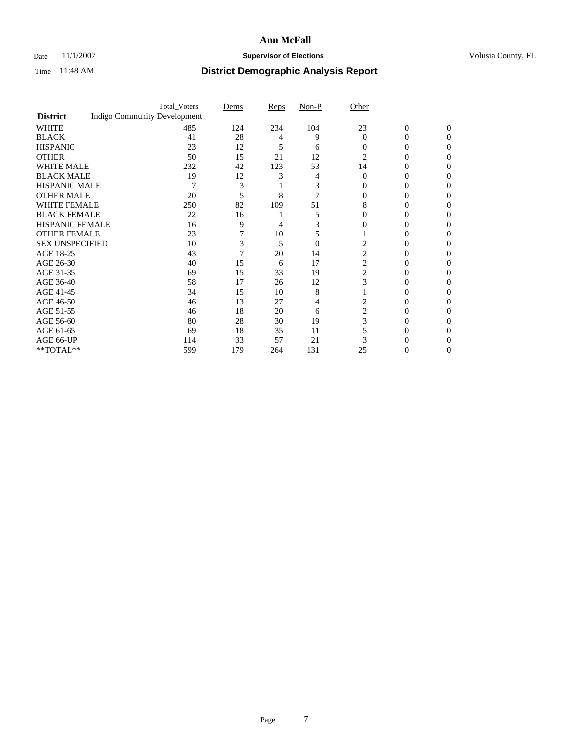### Date 11/1/2007 **Supervisor of Elections Supervisor of Elections** Volusia County, FL

|                        |                                     | <b>Total_Voters</b> | Dems | <b>Reps</b> | Non-P          | Other          |                |              |  |
|------------------------|-------------------------------------|---------------------|------|-------------|----------------|----------------|----------------|--------------|--|
| <b>District</b>        | <b>Indigo Community Development</b> |                     |      |             |                |                |                |              |  |
| <b>WHITE</b>           |                                     | 485                 | 124  | 234         | 104            | 23             | $\overline{0}$ | $\mathbf{0}$ |  |
| <b>BLACK</b>           |                                     | 41                  | 28   | 4           | 9              | $\Omega$       | 0              | $\Omega$     |  |
| <b>HISPANIC</b>        |                                     | 23                  | 12   | 5           | 6              | 0              | 0              | 0            |  |
| <b>OTHER</b>           |                                     | 50                  | 15   | 21          | 12             | 2              |                |              |  |
| <b>WHITE MALE</b>      |                                     | 232                 | 42   | 123         | 53             | 14             | 0              |              |  |
| <b>BLACK MALE</b>      |                                     | 19                  | 12   | 3           |                | 0              | 0              |              |  |
| HISPANIC MALE          |                                     | 7                   | 3    |             | 3              |                | 0              |              |  |
| <b>OTHER MALE</b>      |                                     | 20                  | 5    | 8           |                |                | 0              |              |  |
| WHITE FEMALE           |                                     | 250                 | 82   | 109         | 51             | 8              |                |              |  |
| <b>BLACK FEMALE</b>    |                                     | 22                  | 16   |             | 5              | 0              | 0              | 0            |  |
| <b>HISPANIC FEMALE</b> |                                     | 16                  | 9    | 4           |                |                |                | 0            |  |
| <b>OTHER FEMALE</b>    |                                     | 23                  |      | 10          | 5              |                |                |              |  |
| <b>SEX UNSPECIFIED</b> |                                     | 10                  | 3    | 5           | $\overline{0}$ |                |                |              |  |
| AGE 18-25              |                                     | 43                  | 7    | 20          | 14             | 2              | 0              |              |  |
| AGE 26-30              |                                     | 40                  | 15   | 6           | 17             | 2              | 0              |              |  |
| AGE 31-35              |                                     | 69                  | 15   | 33          | 19             | 2              | 0              |              |  |
| AGE 36-40              |                                     | 58                  | 17   | 26          | 12             | 3              | 0              | $\theta$     |  |
| AGE 41-45              |                                     | 34                  | 15   | 10          | 8              |                |                |              |  |
| AGE 46-50              |                                     | 46                  | 13   | 27          | 4              | 2              | 0              | 0            |  |
| AGE 51-55              |                                     | 46                  | 18   | 20          | 6              | $\overline{2}$ |                | 0            |  |
| AGE 56-60              |                                     | 80                  | 28   | 30          | 19             | 3              | 0              |              |  |
| AGE 61-65              |                                     | 69                  | 18   | 35          | 11             |                | 0              |              |  |
| AGE 66-UP              |                                     | 114                 | 33   | 57          | 21             |                |                |              |  |
| **TOTAL**              |                                     | 599                 | 179  | 264         | 131            | 25             | 0              | 0            |  |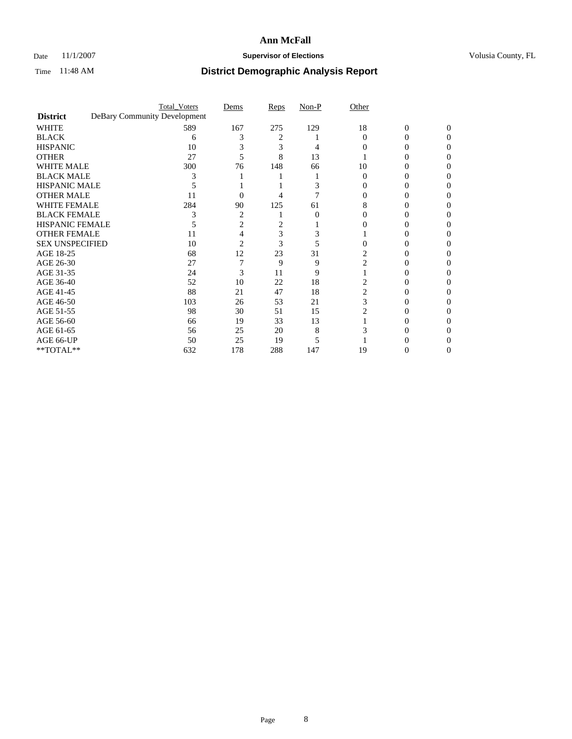### Date 11/1/2007 **Supervisor of Elections Supervisor of Elections** Volusia County, FL

|                        |                              | <b>Total_Voters</b> | Dems           | Reps | Non-P | Other    |                |          |  |
|------------------------|------------------------------|---------------------|----------------|------|-------|----------|----------------|----------|--|
| <b>District</b>        | DeBary Community Development |                     |                |      |       |          |                |          |  |
| <b>WHITE</b>           |                              | 589                 | 167            | 275  | 129   | 18       | $\overline{0}$ | $\Omega$ |  |
| <b>BLACK</b>           |                              | 6                   |                | 2    |       | $\Omega$ | 0              | 0        |  |
| <b>HISPANIC</b>        |                              | 10                  |                | 3    |       |          |                | O        |  |
| <b>OTHER</b>           |                              | 27                  |                | 8    | 13    |          |                |          |  |
| <b>WHITE MALE</b>      |                              | 300                 | 76             | 148  | 66    | 10       |                |          |  |
| <b>BLACK MALE</b>      |                              |                     |                |      |       |          |                |          |  |
| HISPANIC MALE          |                              |                     |                |      |       |          |                |          |  |
| <b>OTHER MALE</b>      |                              | 11                  | 0              |      |       |          |                |          |  |
| WHITE FEMALE           |                              | 284                 | 90             | 125  | 61    |          |                |          |  |
| <b>BLACK FEMALE</b>    |                              |                     | $\overline{2}$ |      | 0     | 0        |                |          |  |
| <b>HISPANIC FEMALE</b> |                              |                     | 2              |      |       |          |                |          |  |
| <b>OTHER FEMALE</b>    |                              | 11                  |                | 3    |       |          |                |          |  |
| <b>SEX UNSPECIFIED</b> |                              | 10                  | 2              | 3    |       |          |                |          |  |
| AGE 18-25              |                              | 68                  | 12             | 23   | 31    | 2        |                |          |  |
| AGE 26-30              |                              | 27                  |                | 9    | 9     | 2        |                |          |  |
| AGE 31-35              |                              | 24                  | 3              | 11   | 9     |          |                |          |  |
| AGE 36-40              |                              | 52                  | 10             | 22   | 18    |          | 0              |          |  |
| AGE 41-45              |                              | 88                  | 21             | 47   | 18    |          |                |          |  |
| AGE 46-50              |                              | 103                 | 26             | 53   | 21    | 3        |                |          |  |
| AGE 51-55              |                              | 98                  | 30             | 51   | 15    |          |                |          |  |
| AGE 56-60              |                              | 66                  | 19             | 33   | 13    |          |                |          |  |
| AGE 61-65              |                              | 56                  | 25             | 20   | 8     |          |                |          |  |
| AGE 66-UP              |                              | 50                  | 25             | 19   |       |          |                |          |  |
| **TOTAL**              |                              | 632                 | 178            | 288  | 147   | 19       | 0              | 0        |  |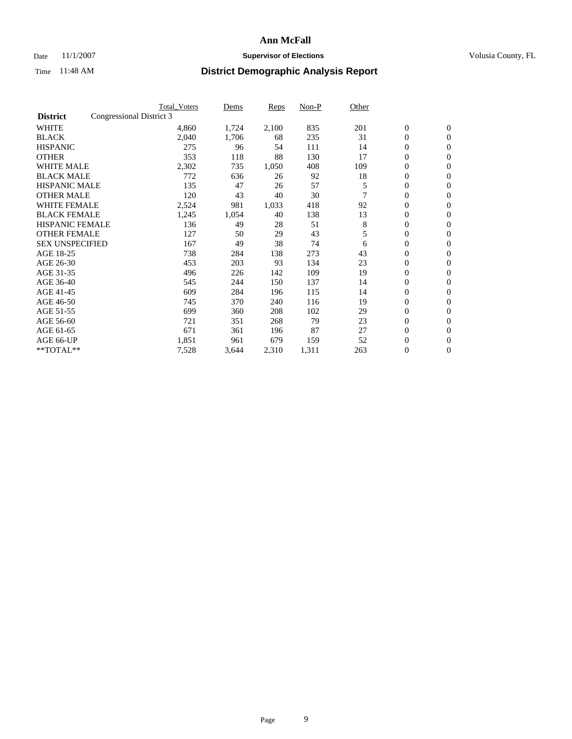### Date 11/1/2007 **Supervisor of Elections Supervisor of Elections** Volusia County, FL

|                        |                          | <b>Total Voters</b> | Dems  | Reps  | Non-P | Other |                  |                |  |
|------------------------|--------------------------|---------------------|-------|-------|-------|-------|------------------|----------------|--|
| <b>District</b>        | Congressional District 3 |                     |       |       |       |       |                  |                |  |
| <b>WHITE</b>           |                          | 4,860               | 1,724 | 2,100 | 835   | 201   | $\boldsymbol{0}$ | $\mathbf{0}$   |  |
| <b>BLACK</b>           |                          | 2,040               | 1,706 | 68    | 235   | 31    | $\mathbf{0}$     | $\mathbf{0}$   |  |
| <b>HISPANIC</b>        |                          | 275                 | 96    | 54    | 111   | 14    | 0                | $\overline{0}$ |  |
| <b>OTHER</b>           |                          | 353                 | 118   | 88    | 130   | 17    | 0                | $\mathbf{0}$   |  |
| <b>WHITE MALE</b>      |                          | 2,302               | 735   | 1,050 | 408   | 109   | 0                | $\mathbf{0}$   |  |
| <b>BLACK MALE</b>      |                          | 772                 | 636   | 26    | 92    | 18    | 0                | $\mathbf{0}$   |  |
| <b>HISPANIC MALE</b>   |                          | 135                 | 47    | 26    | 57    | 5     | 0                | $\mathbf{0}$   |  |
| <b>OTHER MALE</b>      |                          | 120                 | 43    | 40    | 30    |       | $\mathbf{0}$     | $\mathbf{0}$   |  |
| <b>WHITE FEMALE</b>    |                          | 2,524               | 981   | 1,033 | 418   | 92    | 0                | $\mathbf{0}$   |  |
| <b>BLACK FEMALE</b>    |                          | 1,245               | 1,054 | 40    | 138   | 13    | $\boldsymbol{0}$ | $\mathbf{0}$   |  |
| <b>HISPANIC FEMALE</b> |                          | 136                 | 49    | 28    | 51    | 8     | $\boldsymbol{0}$ | $\mathbf{0}$   |  |
| <b>OTHER FEMALE</b>    |                          | 127                 | 50    | 29    | 43    | 5     | 0                | $\mathbf{0}$   |  |
| <b>SEX UNSPECIFIED</b> |                          | 167                 | 49    | 38    | 74    | 6     | 0                | $\mathbf{0}$   |  |
| AGE 18-25              |                          | 738                 | 284   | 138   | 273   | 43    | 0                | $\mathbf{0}$   |  |
| AGE 26-30              |                          | 453                 | 203   | 93    | 134   | 23    | $\mathbf{0}$     | $\mathbf{0}$   |  |
| AGE 31-35              |                          | 496                 | 226   | 142   | 109   | 19    | 0                | $\mathbf{0}$   |  |
| AGE 36-40              |                          | 545                 | 244   | 150   | 137   | 14    | 0                | $\mathbf{0}$   |  |
| AGE 41-45              |                          | 609                 | 284   | 196   | 115   | 14    | 0                | $\mathbf{0}$   |  |
| AGE 46-50              |                          | 745                 | 370   | 240   | 116   | 19    | 0                | $\mathbf{0}$   |  |
| AGE 51-55              |                          | 699                 | 360   | 208   | 102   | 29    | $\boldsymbol{0}$ | $\mathbf{0}$   |  |
| AGE 56-60              |                          | 721                 | 351   | 268   | 79    | 23    | 0                | $\mathbf{0}$   |  |
| AGE 61-65              |                          | 671                 | 361   | 196   | 87    | 27    | $\mathbf{0}$     | $\mathbf{0}$   |  |
| AGE 66-UP              |                          | 1,851               | 961   | 679   | 159   | 52    | $\boldsymbol{0}$ | $\mathbf{0}$   |  |
| **TOTAL**              |                          | 7,528               | 3,644 | 2,310 | 1,311 | 263   | 0                | $\overline{0}$ |  |
|                        |                          |                     |       |       |       |       |                  |                |  |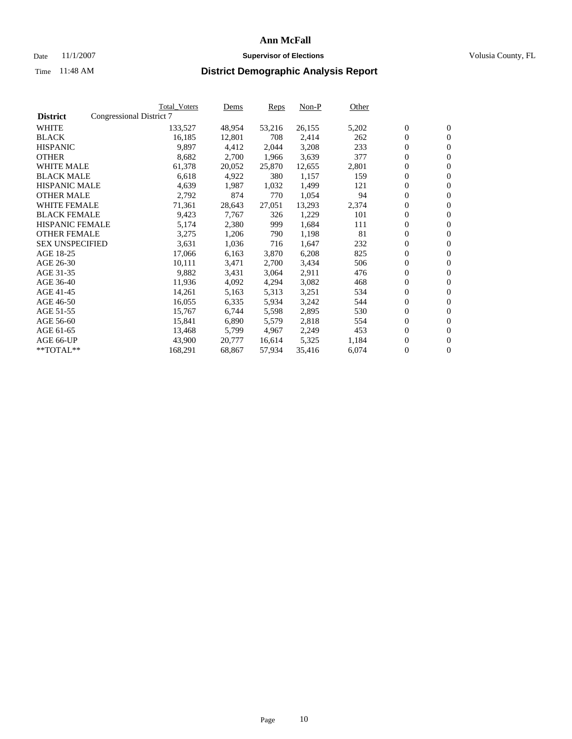#### Date 11/1/2007 **Supervisor of Elections Supervisor of Elections** Volusia County, FL

|                        |                          | Total_Voters | Dems   | <b>Reps</b> | Non-P  | Other |                  |                  |  |
|------------------------|--------------------------|--------------|--------|-------------|--------|-------|------------------|------------------|--|
| <b>District</b>        | Congressional District 7 |              |        |             |        |       |                  |                  |  |
| <b>WHITE</b>           |                          | 133,527      | 48,954 | 53,216      | 26,155 | 5,202 | $\boldsymbol{0}$ | $\mathbf{0}$     |  |
| <b>BLACK</b>           |                          | 16,185       | 12,801 | 708         | 2,414  | 262   | $\overline{0}$   | $\mathbf{0}$     |  |
| <b>HISPANIC</b>        |                          | 9,897        | 4,412  | 2,044       | 3,208  | 233   | $\boldsymbol{0}$ | $\mathbf{0}$     |  |
| <b>OTHER</b>           |                          | 8,682        | 2,700  | 1,966       | 3,639  | 377   | $\boldsymbol{0}$ | $\mathbf{0}$     |  |
| <b>WHITE MALE</b>      |                          | 61,378       | 20,052 | 25,870      | 12,655 | 2,801 | 0                | $\mathbf{0}$     |  |
| <b>BLACK MALE</b>      |                          | 6,618        | 4,922  | 380         | 1,157  | 159   | $\boldsymbol{0}$ | $\mathbf{0}$     |  |
| <b>HISPANIC MALE</b>   |                          | 4,639        | 1,987  | 1,032       | 1,499  | 121   | $\overline{0}$   | $\mathbf{0}$     |  |
| <b>OTHER MALE</b>      |                          | 2,792        | 874    | 770         | 1,054  | 94    | $\overline{0}$   | $\mathbf{0}$     |  |
| <b>WHITE FEMALE</b>    |                          | 71,361       | 28,643 | 27,051      | 13,293 | 2,374 | 0                | $\mathbf{0}$     |  |
| <b>BLACK FEMALE</b>    |                          | 9,423        | 7,767  | 326         | 1,229  | 101   | $\boldsymbol{0}$ | $\mathbf{0}$     |  |
| HISPANIC FEMALE        |                          | 5,174        | 2,380  | 999         | 1,684  | 111   | $\boldsymbol{0}$ | $\mathbf{0}$     |  |
| <b>OTHER FEMALE</b>    |                          | 3,275        | 1,206  | 790         | 1,198  | 81    | 0                | $\mathbf{0}$     |  |
| <b>SEX UNSPECIFIED</b> |                          | 3,631        | 1,036  | 716         | 1,647  | 232   | $\boldsymbol{0}$ | $\mathbf{0}$     |  |
| AGE 18-25              |                          | 17,066       | 6,163  | 3,870       | 6,208  | 825   | $\boldsymbol{0}$ | $\mathbf{0}$     |  |
| AGE 26-30              |                          | 10,111       | 3,471  | 2,700       | 3,434  | 506   | $\overline{0}$   | $\mathbf{0}$     |  |
| AGE 31-35              |                          | 9,882        | 3,431  | 3,064       | 2,911  | 476   | $\overline{0}$   | $\mathbf{0}$     |  |
| AGE 36-40              |                          | 11,936       | 4,092  | 4,294       | 3,082  | 468   | $\boldsymbol{0}$ | $\mathbf{0}$     |  |
| AGE 41-45              |                          | 14,261       | 5,163  | 5,313       | 3,251  | 534   | $\boldsymbol{0}$ | $\mathbf{0}$     |  |
| AGE 46-50              |                          | 16,055       | 6,335  | 5,934       | 3,242  | 544   | 0                | $\mathbf{0}$     |  |
| AGE 51-55              |                          | 15,767       | 6,744  | 5,598       | 2,895  | 530   | $\boldsymbol{0}$ | $\mathbf{0}$     |  |
| AGE 56-60              |                          | 15,841       | 6,890  | 5,579       | 2,818  | 554   | $\overline{0}$   | $\mathbf{0}$     |  |
| AGE 61-65              |                          | 13,468       | 5,799  | 4,967       | 2,249  | 453   | $\mathbf{0}$     | $\boldsymbol{0}$ |  |
| AGE 66-UP              |                          | 43,900       | 20,777 | 16,614      | 5,325  | 1,184 | $\boldsymbol{0}$ | $\mathbf{0}$     |  |
| **TOTAL**              |                          | 168,291      | 68,867 | 57,934      | 35,416 | 6,074 | 0                | $\overline{0}$   |  |
|                        |                          |              |        |             |        |       |                  |                  |  |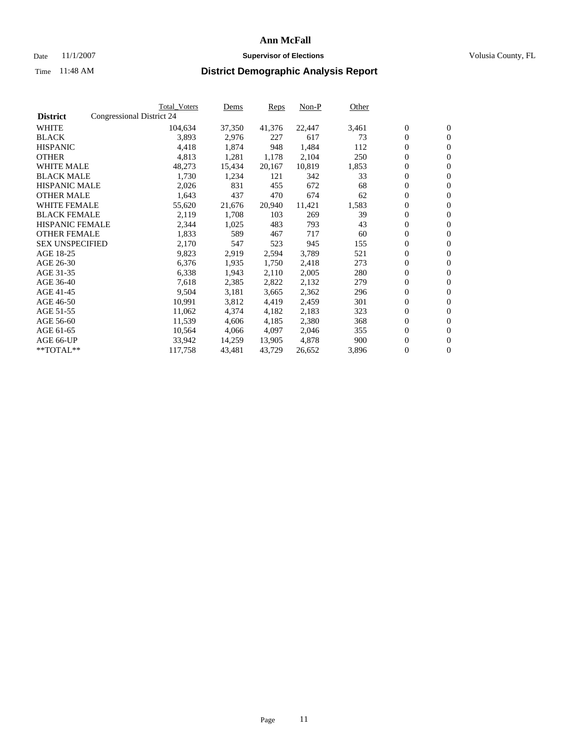#### Date 11/1/2007 **Supervisor of Elections Supervisor of Elections** Volusia County, FL

|                        |                           | Total_Voters | Dems   | Reps   | Non-P  | Other |                  |                  |  |
|------------------------|---------------------------|--------------|--------|--------|--------|-------|------------------|------------------|--|
| <b>District</b>        | Congressional District 24 |              |        |        |        |       |                  |                  |  |
| <b>WHITE</b>           |                           | 104,634      | 37,350 | 41,376 | 22,447 | 3,461 | $\boldsymbol{0}$ | $\mathbf{0}$     |  |
| <b>BLACK</b>           |                           | 3,893        | 2,976  | 227    | 617    | 73    | $\mathbf{0}$     | $\mathbf{0}$     |  |
| <b>HISPANIC</b>        |                           | 4,418        | 1,874  | 948    | 1,484  | 112   | $\overline{0}$   | $\mathbf{0}$     |  |
| <b>OTHER</b>           |                           | 4,813        | 1,281  | 1,178  | 2,104  | 250   | $\overline{0}$   | $\overline{0}$   |  |
| <b>WHITE MALE</b>      |                           | 48,273       | 15,434 | 20,167 | 10,819 | 1,853 | $\overline{0}$   | $\mathbf{0}$     |  |
| <b>BLACK MALE</b>      |                           | 1,730        | 1,234  | 121    | 342    | 33    | $\boldsymbol{0}$ | $\mathbf{0}$     |  |
| <b>HISPANIC MALE</b>   |                           | 2,026        | 831    | 455    | 672    | 68    | 0                | $\mathbf{0}$     |  |
| <b>OTHER MALE</b>      |                           | 1,643        | 437    | 470    | 674    | 62    | $\boldsymbol{0}$ | $\mathbf{0}$     |  |
| <b>WHITE FEMALE</b>    |                           | 55,620       | 21,676 | 20,940 | 11,421 | 1,583 | 0                | $\mathbf{0}$     |  |
| <b>BLACK FEMALE</b>    |                           | 2,119        | 1,708  | 103    | 269    | 39    | $\overline{0}$   | $\mathbf{0}$     |  |
| <b>HISPANIC FEMALE</b> |                           | 2,344        | 1,025  | 483    | 793    | 43    | $\mathbf{0}$     | $\mathbf{0}$     |  |
| <b>OTHER FEMALE</b>    |                           | 1,833        | 589    | 467    | 717    | 60    | $\mathbf{0}$     | $\mathbf{0}$     |  |
| <b>SEX UNSPECIFIED</b> |                           | 2,170        | 547    | 523    | 945    | 155   | $\boldsymbol{0}$ | $\boldsymbol{0}$ |  |
| AGE 18-25              |                           | 9,823        | 2,919  | 2,594  | 3,789  | 521   | $\overline{0}$   | $\mathbf{0}$     |  |
| AGE 26-30              |                           | 6,376        | 1,935  | 1,750  | 2,418  | 273   | $\boldsymbol{0}$ | $\mathbf{0}$     |  |
| AGE 31-35              |                           | 6,338        | 1,943  | 2,110  | 2,005  | 280   | 0                | $\mathbf{0}$     |  |
| AGE 36-40              |                           | 7,618        | 2,385  | 2,822  | 2,132  | 279   | $\boldsymbol{0}$ | $\mathbf{0}$     |  |
| AGE 41-45              |                           | 9,504        | 3,181  | 3,665  | 2,362  | 296   | 0                | $\mathbf{0}$     |  |
| AGE 46-50              |                           | 10,991       | 3,812  | 4,419  | 2,459  | 301   | $\overline{0}$   | $\mathbf{0}$     |  |
| AGE 51-55              |                           | 11,062       | 4,374  | 4,182  | 2,183  | 323   | $\overline{0}$   | $\mathbf{0}$     |  |
| AGE 56-60              |                           | 11,539       | 4,606  | 4,185  | 2,380  | 368   | $\boldsymbol{0}$ | $\mathbf{0}$     |  |
| AGE 61-65              |                           | 10,564       | 4,066  | 4,097  | 2,046  | 355   | 0                | $\mathbf{0}$     |  |
| AGE 66-UP              |                           | 33,942       | 14,259 | 13,905 | 4,878  | 900   | 0                | $\mathbf{0}$     |  |
| $*$ TOTAL $**$         |                           | 117,758      | 43,481 | 43,729 | 26,652 | 3,896 | 0                | $\boldsymbol{0}$ |  |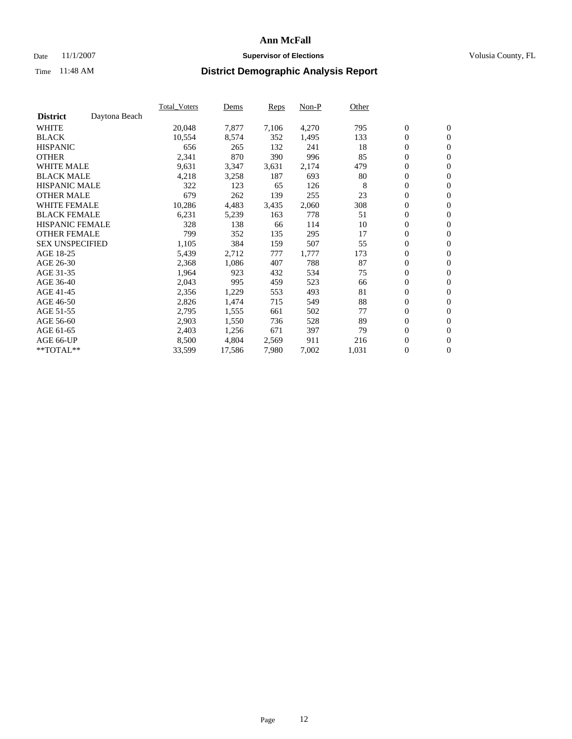#### Date 11/1/2007 **Supervisor of Elections Supervisor of Elections** Volusia County, FL

|                        |               | Total Voters | Dems   | <b>Reps</b> | Non-P | Other |                  |                  |  |
|------------------------|---------------|--------------|--------|-------------|-------|-------|------------------|------------------|--|
| <b>District</b>        | Daytona Beach |              |        |             |       |       |                  |                  |  |
| <b>WHITE</b>           |               | 20,048       | 7,877  | 7,106       | 4,270 | 795   | $\boldsymbol{0}$ | $\mathbf{0}$     |  |
| <b>BLACK</b>           |               | 10,554       | 8,574  | 352         | 1,495 | 133   | $\boldsymbol{0}$ | $\mathbf{0}$     |  |
| <b>HISPANIC</b>        |               | 656          | 265    | 132         | 241   | 18    | $\boldsymbol{0}$ | $\mathbf{0}$     |  |
| <b>OTHER</b>           |               | 2,341        | 870    | 390         | 996   | 85    | $\boldsymbol{0}$ | $\mathbf{0}$     |  |
| <b>WHITE MALE</b>      |               | 9,631        | 3,347  | 3,631       | 2,174 | 479   | 0                | $\mathbf{0}$     |  |
| <b>BLACK MALE</b>      |               | 4,218        | 3,258  | 187         | 693   | 80    | $\boldsymbol{0}$ | $\mathbf{0}$     |  |
| <b>HISPANIC MALE</b>   |               | 322          | 123    | 65          | 126   | 8     | $\overline{0}$   | $\mathbf{0}$     |  |
| <b>OTHER MALE</b>      |               | 679          | 262    | 139         | 255   | 23    | $\overline{0}$   | $\mathbf{0}$     |  |
| <b>WHITE FEMALE</b>    |               | 10,286       | 4,483  | 3,435       | 2,060 | 308   | $\mathbf{0}$     | $\mathbf{0}$     |  |
| <b>BLACK FEMALE</b>    |               | 6,231        | 5,239  | 163         | 778   | 51    | $\boldsymbol{0}$ | $\mathbf{0}$     |  |
| <b>HISPANIC FEMALE</b> |               | 328          | 138    | 66          | 114   | 10    | $\boldsymbol{0}$ | $\mathbf{0}$     |  |
| <b>OTHER FEMALE</b>    |               | 799          | 352    | 135         | 295   | 17    | 0                | $\mathbf{0}$     |  |
| <b>SEX UNSPECIFIED</b> |               | 1,105        | 384    | 159         | 507   | 55    | $\boldsymbol{0}$ | $\mathbf{0}$     |  |
| AGE 18-25              |               | 5,439        | 2,712  | 777         | 1,777 | 173   | $\boldsymbol{0}$ | $\mathbf{0}$     |  |
| AGE 26-30              |               | 2,368        | 1,086  | 407         | 788   | 87    | $\overline{0}$   | $\mathbf{0}$     |  |
| AGE 31-35              |               | 1,964        | 923    | 432         | 534   | 75    | $\boldsymbol{0}$ | $\mathbf{0}$     |  |
| AGE 36-40              |               | 2,043        | 995    | 459         | 523   | 66    | $\boldsymbol{0}$ | $\mathbf{0}$     |  |
| AGE 41-45              |               | 2,356        | 1,229  | 553         | 493   | 81    | $\boldsymbol{0}$ | $\mathbf{0}$     |  |
| AGE 46-50              |               | 2,826        | 1,474  | 715         | 549   | 88    | 0                | $\mathbf{0}$     |  |
| AGE 51-55              |               | 2,795        | 1,555  | 661         | 502   | 77    | $\boldsymbol{0}$ | $\mathbf{0}$     |  |
| AGE 56-60              |               | 2,903        | 1,550  | 736         | 528   | 89    | $\overline{0}$   | $\mathbf{0}$     |  |
| AGE 61-65              |               | 2,403        | 1,256  | 671         | 397   | 79    | $\mathbf{0}$     | $\boldsymbol{0}$ |  |
| AGE 66-UP              |               | 8,500        | 4,804  | 2,569       | 911   | 216   | $\boldsymbol{0}$ | $\mathbf{0}$     |  |
| **TOTAL**              |               | 33,599       | 17,586 | 7,980       | 7,002 | 1,031 | 0                | $\overline{0}$   |  |
|                        |               |              |        |             |       |       |                  |                  |  |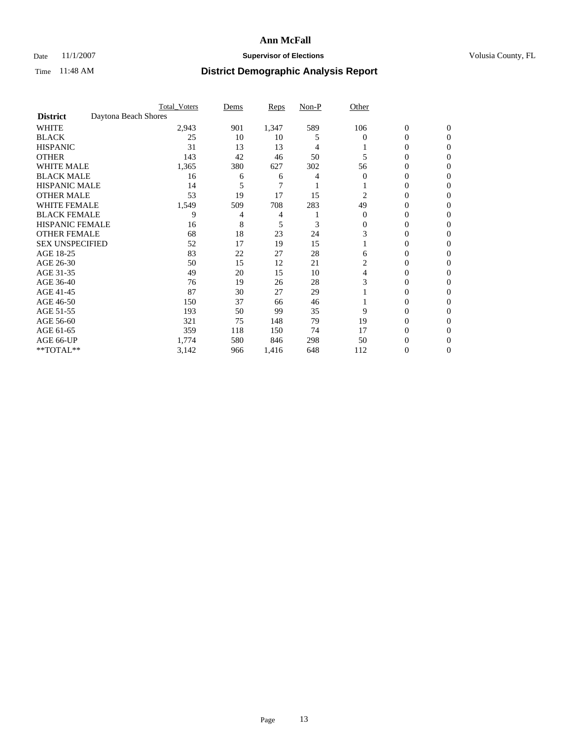### Date 11/1/2007 **Supervisor of Elections Supervisor of Elections** Volusia County, FL

|                        |                      | <b>Total Voters</b> | Dems | Reps  | Non-P | Other    |                  |              |  |
|------------------------|----------------------|---------------------|------|-------|-------|----------|------------------|--------------|--|
| <b>District</b>        | Daytona Beach Shores |                     |      |       |       |          |                  |              |  |
| <b>WHITE</b>           |                      | 2,943               | 901  | 1,347 | 589   | 106      | $\boldsymbol{0}$ | $\mathbf{0}$ |  |
| <b>BLACK</b>           |                      | 25                  | 10   | 10    | 5     | 0        | 0                | $\mathbf{0}$ |  |
| <b>HISPANIC</b>        |                      | 31                  | 13   | 13    | 4     |          | 0                | $\Omega$     |  |
| <b>OTHER</b>           |                      | 143                 | 42   | 46    | 50    |          | $\overline{0}$   | $\theta$     |  |
| <b>WHITE MALE</b>      |                      | 1,365               | 380  | 627   | 302   | 56       | 0                | 0            |  |
| <b>BLACK MALE</b>      |                      | 16                  | 6    | 6     | 4     | 0        | 0                | 0            |  |
| <b>HISPANIC MALE</b>   |                      | 14                  |      | 7     |       |          | 0                |              |  |
| <b>OTHER MALE</b>      |                      | 53                  | 19   | 17    | 15    | 2        | 0                | 0            |  |
| <b>WHITE FEMALE</b>    |                      | 1,549               | 509  | 708   | 283   | 49       | 0                | 0            |  |
| <b>BLACK FEMALE</b>    |                      | 9                   | 4    | 4     |       | $\Omega$ | 0                | 0            |  |
| <b>HISPANIC FEMALE</b> |                      | 16                  | 8    | 5     | 3     | 0        | 0                | $\Omega$     |  |
| <b>OTHER FEMALE</b>    |                      | 68                  | 18   | 23    | 24    | 3        | 0                | $\theta$     |  |
| <b>SEX UNSPECIFIED</b> |                      | 52                  | 17   | 19    | 15    |          | 0                | $\theta$     |  |
| AGE 18-25              |                      | 83                  | 22   | 27    | 28    | 6        | 0                | $_{0}$       |  |
| AGE 26-30              |                      | 50                  | 15   | 12    | 21    | 2        | 0                | 0            |  |
| AGE 31-35              |                      | 49                  | 20   | 15    | 10    | 4        | 0                | 0            |  |
| AGE 36-40              |                      | 76                  | 19   | 26    | 28    | 3        | 0                | 0            |  |
| AGE 41-45              |                      | 87                  | 30   | 27    | 29    |          | 0                | 0            |  |
| AGE 46-50              |                      | 150                 | 37   | 66    | 46    |          | 0                | $\Omega$     |  |
| AGE 51-55              |                      | 193                 | 50   | 99    | 35    | 9        | 0                | $\theta$     |  |
| AGE 56-60              |                      | 321                 | 75   | 148   | 79    | 19       | 0                | $\theta$     |  |
| AGE 61-65              |                      | 359                 | 118  | 150   | 74    | 17       | 0                | 0            |  |
| AGE 66-UP              |                      | 1,774               | 580  | 846   | 298   | 50       | 0                |              |  |
| **TOTAL**              |                      | 3,142               | 966  | 1,416 | 648   | 112      | 0                | 0            |  |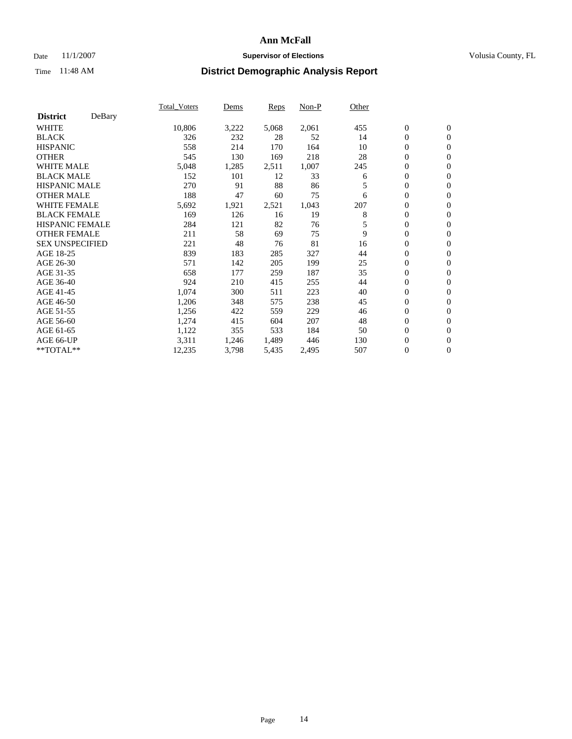### Date 11/1/2007 **Supervisor of Elections Supervisor of Elections** Volusia County, FL

|                        |        | Total_Voters | Dems  | <b>Reps</b> | Non-P | Other |                  |                  |  |
|------------------------|--------|--------------|-------|-------------|-------|-------|------------------|------------------|--|
| <b>District</b>        | DeBary |              |       |             |       |       |                  |                  |  |
| <b>WHITE</b>           |        | 10,806       | 3,222 | 5,068       | 2,061 | 455   | $\boldsymbol{0}$ | $\mathbf{0}$     |  |
| <b>BLACK</b>           |        | 326          | 232   | 28          | 52    | 14    | $\overline{0}$   | $\mathbf{0}$     |  |
| <b>HISPANIC</b>        |        | 558          | 214   | 170         | 164   | 10    | $\overline{0}$   | $\mathbf{0}$     |  |
| <b>OTHER</b>           |        | 545          | 130   | 169         | 218   | 28    | $\overline{0}$   | $\mathbf{0}$     |  |
| <b>WHITE MALE</b>      |        | 5,048        | 1,285 | 2,511       | 1,007 | 245   | $\overline{0}$   | $\mathbf{0}$     |  |
| <b>BLACK MALE</b>      |        | 152          | 101   | 12          | 33    | 6     | $\boldsymbol{0}$ | $\mathbf{0}$     |  |
| <b>HISPANIC MALE</b>   |        | 270          | 91    | 88          | 86    | 5     | 0                | $\mathbf{0}$     |  |
| <b>OTHER MALE</b>      |        | 188          | 47    | 60          | 75    | 6     | $\boldsymbol{0}$ | $\mathbf{0}$     |  |
| <b>WHITE FEMALE</b>    |        | 5,692        | 1,921 | 2,521       | 1,043 | 207   | $\overline{0}$   | $\mathbf{0}$     |  |
| <b>BLACK FEMALE</b>    |        | 169          | 126   | 16          | 19    | 8     | $\boldsymbol{0}$ | $\mathbf{0}$     |  |
| <b>HISPANIC FEMALE</b> |        | 284          | 121   | 82          | 76    | 5     | $\overline{0}$   | $\mathbf{0}$     |  |
| <b>OTHER FEMALE</b>    |        | 211          | 58    | 69          | 75    | 9     | $\mathbf{0}$     | $\mathbf{0}$     |  |
| <b>SEX UNSPECIFIED</b> |        | 221          | 48    | 76          | 81    | 16    | $\boldsymbol{0}$ | $\mathbf{0}$     |  |
| AGE 18-25              |        | 839          | 183   | 285         | 327   | 44    | $\overline{0}$   | $\mathbf{0}$     |  |
| AGE 26-30              |        | 571          | 142   | 205         | 199   | 25    | $\boldsymbol{0}$ | $\mathbf{0}$     |  |
| AGE 31-35              |        | 658          | 177   | 259         | 187   | 35    | $\boldsymbol{0}$ | $\mathbf{0}$     |  |
| AGE 36-40              |        | 924          | 210   | 415         | 255   | 44    | $\boldsymbol{0}$ | $\mathbf{0}$     |  |
| AGE 41-45              |        | 1,074        | 300   | 511         | 223   | 40    | $\mathbf{0}$     | $\mathbf{0}$     |  |
| AGE 46-50              |        | 1,206        | 348   | 575         | 238   | 45    | $\overline{0}$   | $\mathbf{0}$     |  |
| AGE 51-55              |        | 1,256        | 422   | 559         | 229   | 46    | $\mathbf{0}$     | $\mathbf{0}$     |  |
| AGE 56-60              |        | 1,274        | 415   | 604         | 207   | 48    | $\boldsymbol{0}$ | $\mathbf{0}$     |  |
| AGE 61-65              |        | 1,122        | 355   | 533         | 184   | 50    | $\boldsymbol{0}$ | $\mathbf{0}$     |  |
| AGE 66-UP              |        | 3,311        | 1,246 | 1,489       | 446   | 130   | 0                | $\mathbf{0}$     |  |
| $*$ TOTAL $**$         |        | 12,235       | 3,798 | 5,435       | 2,495 | 507   | 0                | $\boldsymbol{0}$ |  |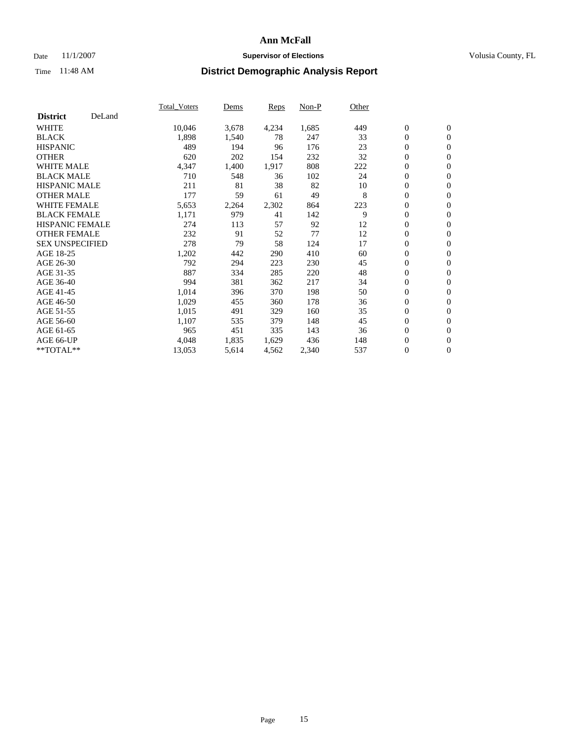### Date 11/1/2007 **Supervisor of Elections Supervisor of Elections** Volusia County, FL

|                        |        | Total_Voters | Dems  | <b>Reps</b> | Non-P | Other |                  |                |  |
|------------------------|--------|--------------|-------|-------------|-------|-------|------------------|----------------|--|
| <b>District</b>        | DeLand |              |       |             |       |       |                  |                |  |
| <b>WHITE</b>           |        | 10,046       | 3,678 | 4,234       | 1,685 | 449   | $\overline{0}$   | $\mathbf{0}$   |  |
| <b>BLACK</b>           |        | 1,898        | 1,540 | 78          | 247   | 33    | $\overline{0}$   | $\mathbf{0}$   |  |
| <b>HISPANIC</b>        |        | 489          | 194   | 96          | 176   | 23    | $\boldsymbol{0}$ | $\mathbf{0}$   |  |
| <b>OTHER</b>           |        | 620          | 202   | 154         | 232   | 32    | $\boldsymbol{0}$ | $\mathbf{0}$   |  |
| <b>WHITE MALE</b>      |        | 4,347        | 1,400 | 1,917       | 808   | 222   | 0                | $\mathbf{0}$   |  |
| <b>BLACK MALE</b>      |        | 710          | 548   | 36          | 102   | 24    | $\boldsymbol{0}$ | $\mathbf{0}$   |  |
| <b>HISPANIC MALE</b>   |        | 211          | 81    | 38          | 82    | 10    | $\overline{0}$   | $\mathbf{0}$   |  |
| <b>OTHER MALE</b>      |        | 177          | 59    | 61          | 49    | 8     | $\overline{0}$   | $\mathbf{0}$   |  |
| <b>WHITE FEMALE</b>    |        | 5,653        | 2,264 | 2,302       | 864   | 223   | $\mathbf{0}$     | $\mathbf{0}$   |  |
| <b>BLACK FEMALE</b>    |        | 1,171        | 979   | 41          | 142   | 9     | $\overline{0}$   | $\mathbf{0}$   |  |
| <b>HISPANIC FEMALE</b> |        | 274          | 113   | 57          | 92    | 12    | $\boldsymbol{0}$ | $\mathbf{0}$   |  |
| <b>OTHER FEMALE</b>    |        | 232          | 91    | 52          | 77    | 12    | 0                | $\mathbf{0}$   |  |
| <b>SEX UNSPECIFIED</b> |        | 278          | 79    | 58          | 124   | 17    | $\boldsymbol{0}$ | $\mathbf{0}$   |  |
| AGE 18-25              |        | 1,202        | 442   | 290         | 410   | 60    | $\boldsymbol{0}$ | $\mathbf{0}$   |  |
| AGE 26-30              |        | 792          | 294   | 223         | 230   | 45    | $\overline{0}$   | $\mathbf{0}$   |  |
| AGE 31-35              |        | 887          | 334   | 285         | 220   | 48    | $\overline{0}$   | $\mathbf{0}$   |  |
| AGE 36-40              |        | 994          | 381   | 362         | 217   | 34    | $\boldsymbol{0}$ | $\mathbf{0}$   |  |
| AGE 41-45              |        | 1,014        | 396   | 370         | 198   | 50    | $\boldsymbol{0}$ | $\mathbf{0}$   |  |
| AGE 46-50              |        | 1,029        | 455   | 360         | 178   | 36    | 0                | $\mathbf{0}$   |  |
| AGE 51-55              |        | 1,015        | 491   | 329         | 160   | 35    | $\boldsymbol{0}$ | $\mathbf{0}$   |  |
| AGE 56-60              |        | 1,107        | 535   | 379         | 148   | 45    | $\overline{0}$   | $\mathbf{0}$   |  |
| AGE 61-65              |        | 965          | 451   | 335         | 143   | 36    | $\mathbf{0}$     | $\mathbf{0}$   |  |
| AGE 66-UP              |        | 4,048        | 1,835 | 1,629       | 436   | 148   | $\boldsymbol{0}$ | $\mathbf{0}$   |  |
| **TOTAL**              |        | 13,053       | 5,614 | 4,562       | 2,340 | 537   | $\boldsymbol{0}$ | $\overline{0}$ |  |
|                        |        |              |       |             |       |       |                  |                |  |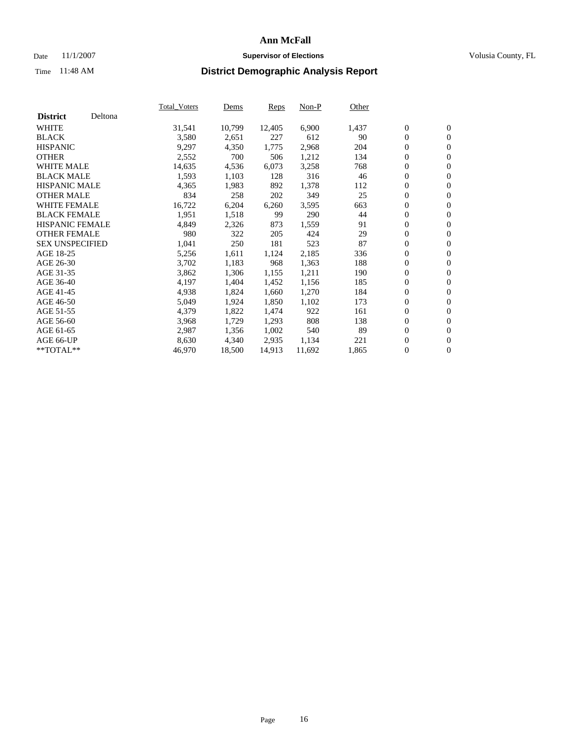### Date 11/1/2007 **Supervisor of Elections Supervisor of Elections** Volusia County, FL

|                        |         | Total_Voters | Dems   | <b>Reps</b> | Non-P  | Other |                  |                  |  |
|------------------------|---------|--------------|--------|-------------|--------|-------|------------------|------------------|--|
| <b>District</b>        | Deltona |              |        |             |        |       |                  |                  |  |
| <b>WHITE</b>           |         | 31,541       | 10,799 | 12,405      | 6,900  | 1,437 | $\boldsymbol{0}$ | $\mathbf{0}$     |  |
| <b>BLACK</b>           |         | 3,580        | 2,651  | 227         | 612    | 90    | $\mathbf{0}$     | $\mathbf{0}$     |  |
| <b>HISPANIC</b>        |         | 9,297        | 4,350  | 1,775       | 2,968  | 204   | $\overline{0}$   | $\mathbf{0}$     |  |
| <b>OTHER</b>           |         | 2,552        | 700    | 506         | 1,212  | 134   | $\overline{0}$   | $\overline{0}$   |  |
| <b>WHITE MALE</b>      |         | 14,635       | 4,536  | 6,073       | 3,258  | 768   | $\overline{0}$   | $\mathbf{0}$     |  |
| <b>BLACK MALE</b>      |         | 1,593        | 1,103  | 128         | 316    | 46    | $\boldsymbol{0}$ | $\mathbf{0}$     |  |
| <b>HISPANIC MALE</b>   |         | 4,365        | 1,983  | 892         | 1,378  | 112   | 0                | $\mathbf{0}$     |  |
| <b>OTHER MALE</b>      |         | 834          | 258    | 202         | 349    | 25    | $\boldsymbol{0}$ | $\boldsymbol{0}$ |  |
| <b>WHITE FEMALE</b>    |         | 16,722       | 6,204  | 6,260       | 3,595  | 663   | $\overline{0}$   | $\mathbf{0}$     |  |
| <b>BLACK FEMALE</b>    |         | 1,951        | 1,518  | 99          | 290    | 44    | $\overline{0}$   | $\mathbf{0}$     |  |
| <b>HISPANIC FEMALE</b> |         | 4,849        | 2,326  | 873         | 1,559  | 91    | $\mathbf{0}$     | $\mathbf{0}$     |  |
| <b>OTHER FEMALE</b>    |         | 980          | 322    | 205         | 424    | 29    | $\mathbf{0}$     | $\mathbf{0}$     |  |
| <b>SEX UNSPECIFIED</b> |         | 1,041        | 250    | 181         | 523    | 87    | $\boldsymbol{0}$ | $\boldsymbol{0}$ |  |
| AGE 18-25              |         | 5,256        | 1,611  | 1,124       | 2,185  | 336   | $\boldsymbol{0}$ | $\mathbf{0}$     |  |
| AGE 26-30              |         | 3,702        | 1,183  | 968         | 1,363  | 188   | $\boldsymbol{0}$ | $\mathbf{0}$     |  |
| AGE 31-35              |         | 3,862        | 1,306  | 1,155       | 1,211  | 190   | 0                | $\mathbf{0}$     |  |
| AGE 36-40              |         | 4,197        | 1,404  | 1,452       | 1,156  | 185   | $\boldsymbol{0}$ | $\mathbf{0}$     |  |
| AGE 41-45              |         | 4,938        | 1,824  | 1,660       | 1,270  | 184   | 0                | $\mathbf{0}$     |  |
| AGE 46-50              |         | 5,049        | 1,924  | 1,850       | 1,102  | 173   | $\overline{0}$   | $\mathbf{0}$     |  |
| AGE 51-55              |         | 4,379        | 1,822  | 1,474       | 922    | 161   | $\overline{0}$   | $\mathbf{0}$     |  |
| AGE 56-60              |         | 3,968        | 1,729  | 1,293       | 808    | 138   | $\boldsymbol{0}$ | $\mathbf{0}$     |  |
| AGE 61-65              |         | 2,987        | 1,356  | 1,002       | 540    | 89    | $\boldsymbol{0}$ | $\mathbf{0}$     |  |
| AGE 66-UP              |         | 8,630        | 4,340  | 2,935       | 1,134  | 221   | 0                | $\mathbf{0}$     |  |
| $*$ TOTAL $**$         |         | 46,970       | 18,500 | 14,913      | 11,692 | 1,865 | $\boldsymbol{0}$ | $\boldsymbol{0}$ |  |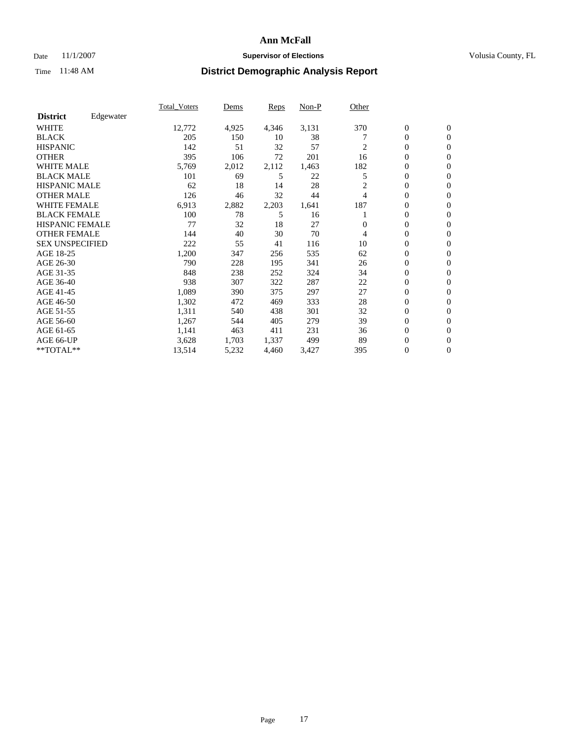### Date 11/1/2007 **Supervisor of Elections Supervisor of Elections** Volusia County, FL

|                        |           | Total Voters | Dems  | <b>Reps</b> | Non-P | Other    |                  |                  |  |
|------------------------|-----------|--------------|-------|-------------|-------|----------|------------------|------------------|--|
| <b>District</b>        | Edgewater |              |       |             |       |          |                  |                  |  |
| <b>WHITE</b>           |           | 12,772       | 4,925 | 4,346       | 3,131 | 370      | $\boldsymbol{0}$ | $\mathbf{0}$     |  |
| <b>BLACK</b>           |           | 205          | 150   | 10          | 38    |          | $\overline{0}$   | $\mathbf{0}$     |  |
| <b>HISPANIC</b>        |           | 142          | 51    | 32          | 57    | 2        | $\overline{0}$   | $\mathbf{0}$     |  |
| <b>OTHER</b>           |           | 395          | 106   | 72          | 201   | 16       | 0                | $\mathbf{0}$     |  |
| <b>WHITE MALE</b>      |           | 5,769        | 2,012 | 2,112       | 1,463 | 182      | $\overline{0}$   | $\mathbf{0}$     |  |
| <b>BLACK MALE</b>      |           | 101          | 69    | 5           | 22    | 5        | $\boldsymbol{0}$ | $\mathbf{0}$     |  |
| <b>HISPANIC MALE</b>   |           | 62           | 18    | 14          | 28    | 2        | 0                | $\Omega$         |  |
| <b>OTHER MALE</b>      |           | 126          | 46    | 32          | 44    | 4        | 0                | $\mathbf{0}$     |  |
| <b>WHITE FEMALE</b>    |           | 6,913        | 2,882 | 2,203       | 1,641 | 187      | 0                | $\Omega$         |  |
| <b>BLACK FEMALE</b>    |           | 100          | 78    | 5           | 16    |          | $\overline{0}$   | $\mathbf{0}$     |  |
| <b>HISPANIC FEMALE</b> |           | 77           | 32    | 18          | 27    | $\Omega$ | $\overline{0}$   | $\mathbf{0}$     |  |
| <b>OTHER FEMALE</b>    |           | 144          | 40    | 30          | 70    | 4        | $\overline{0}$   | $\mathbf{0}$     |  |
| <b>SEX UNSPECIFIED</b> |           | 222          | 55    | 41          | 116   | 10       | $\boldsymbol{0}$ | $\mathbf{0}$     |  |
| AGE 18-25              |           | 1,200        | 347   | 256         | 535   | 62       | $\overline{0}$   | $\mathbf{0}$     |  |
| AGE 26-30              |           | 790          | 228   | 195         | 341   | 26       | $\boldsymbol{0}$ | $\mathbf{0}$     |  |
| AGE 31-35              |           | 848          | 238   | 252         | 324   | 34       | 0                | $\overline{0}$   |  |
| AGE 36-40              |           | 938          | 307   | 322         | 287   | 22       | $\boldsymbol{0}$ | $\mathbf{0}$     |  |
| AGE 41-45              |           | 1,089        | 390   | 375         | 297   | 27       | $\overline{0}$   | $\mathbf{0}$     |  |
| AGE 46-50              |           | 1,302        | 472   | 469         | 333   | 28       | $\overline{0}$   | $\mathbf{0}$     |  |
| AGE 51-55              |           | 1,311        | 540   | 438         | 301   | 32       | $\mathbf{0}$     | $\mathbf{0}$     |  |
| AGE 56-60              |           | 1,267        | 544   | 405         | 279   | 39       | $\boldsymbol{0}$ | $\mathbf{0}$     |  |
| AGE 61-65              |           | 1,141        | 463   | 411         | 231   | 36       | 0                | $\mathbf{0}$     |  |
| AGE 66-UP              |           | 3,628        | 1,703 | 1,337       | 499   | 89       | 0                | 0                |  |
| $*$ TOTAL $**$         |           | 13,514       | 5,232 | 4,460       | 3,427 | 395      | 0                | $\boldsymbol{0}$ |  |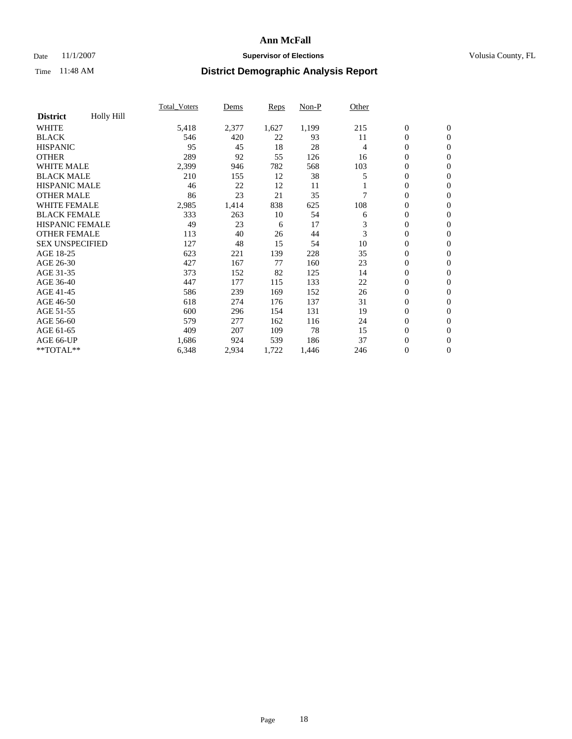### Date 11/1/2007 **Supervisor of Elections Supervisor of Elections** Volusia County, FL

| <b>Holly Hill</b><br><b>District</b><br><b>WHITE</b><br>5,418<br>2,377<br>1,627<br>1,199<br>215<br>$\boldsymbol{0}$<br>$\mathbf{0}$<br>$\mathbf{0}$<br>546<br>22<br>93<br>11<br>$\mathbf{0}$<br>420<br>95<br>18<br>28<br>45<br>$\mathbf{0}$<br>$\overline{0}$<br>4<br>289<br>92<br>55<br>0<br>126<br>16<br>$\mathbf{0}$<br><b>WHITE MALE</b><br>0<br>2,399<br>782<br>568<br>103<br>946<br>$\overline{0}$<br><b>BLACK MALE</b><br>$\boldsymbol{0}$<br>210<br>38<br>155<br>12<br>5<br>$\boldsymbol{0}$<br><b>HISPANIC MALE</b><br>0<br>46<br>22<br>12<br>11<br>$\mathbf{0}$<br>23<br><b>OTHER MALE</b><br>21<br>35<br>$\mathbf{0}$<br>86<br>$\mathbf{0}$<br><b>WHITE FEMALE</b><br>2,985<br>838<br>625<br>108<br>0<br>$\mathbf{0}$<br>1,414<br><b>BLACK FEMALE</b><br>333<br>54<br>$\boldsymbol{0}$<br>263<br>10<br>$\mathbf{0}$<br>6<br><b>HISPANIC FEMALE</b><br>49<br>17<br>3<br>$\boldsymbol{0}$<br>23<br>$\mathbf{0}$<br>6<br><b>OTHER FEMALE</b><br>3<br>113<br>26<br>0<br>40<br>44<br>$\mathbf{0}$<br><b>SEX UNSPECIFIED</b><br>10<br>$\mathbf{0}$<br>127<br>48<br>15<br>54<br>$\mathbf{0}$<br>221<br>139<br>228<br>35<br>0<br>623<br>$\mathbf{0}$<br>167<br>77<br>23<br>$\mathbf{0}$<br>$\mathbf{0}$<br>427<br>160<br>82<br>125<br>0<br>373<br>152<br>14<br>$\mathbf{0}$<br>177<br>115<br>133<br>22<br>0<br>447<br>$\mathbf{0}$<br>$\boldsymbol{0}$<br>586<br>239<br>169<br>152<br>26<br>$\mathbf{0}$<br>618<br>137<br>31<br>0<br>274<br>176<br>$\mathbf{0}$<br>131<br>19<br>$\boldsymbol{0}$<br>600<br>296<br>$\mathbf{0}$<br>154<br>579<br>277<br>116<br>24<br>0<br>162<br>$\mathbf{0}$<br>78<br>15<br>$\mathbf{0}$<br>409<br>207<br>109<br>$\mathbf{0}$<br>924<br>37<br>$\boldsymbol{0}$<br>1,686<br>539<br>186<br>$\mathbf{0}$<br>$\mathbf{0}$ |                 | <b>Total Voters</b> | Dems  | Reps  | Non-P | Other |   |  |
|----------------------------------------------------------------------------------------------------------------------------------------------------------------------------------------------------------------------------------------------------------------------------------------------------------------------------------------------------------------------------------------------------------------------------------------------------------------------------------------------------------------------------------------------------------------------------------------------------------------------------------------------------------------------------------------------------------------------------------------------------------------------------------------------------------------------------------------------------------------------------------------------------------------------------------------------------------------------------------------------------------------------------------------------------------------------------------------------------------------------------------------------------------------------------------------------------------------------------------------------------------------------------------------------------------------------------------------------------------------------------------------------------------------------------------------------------------------------------------------------------------------------------------------------------------------------------------------------------------------------------------------------------------------------------------------------------------------------------------------------------------|-----------------|---------------------|-------|-------|-------|-------|---|--|
|                                                                                                                                                                                                                                                                                                                                                                                                                                                                                                                                                                                                                                                                                                                                                                                                                                                                                                                                                                                                                                                                                                                                                                                                                                                                                                                                                                                                                                                                                                                                                                                                                                                                                                                                                          |                 |                     |       |       |       |       |   |  |
|                                                                                                                                                                                                                                                                                                                                                                                                                                                                                                                                                                                                                                                                                                                                                                                                                                                                                                                                                                                                                                                                                                                                                                                                                                                                                                                                                                                                                                                                                                                                                                                                                                                                                                                                                          |                 |                     |       |       |       |       |   |  |
|                                                                                                                                                                                                                                                                                                                                                                                                                                                                                                                                                                                                                                                                                                                                                                                                                                                                                                                                                                                                                                                                                                                                                                                                                                                                                                                                                                                                                                                                                                                                                                                                                                                                                                                                                          | <b>BLACK</b>    |                     |       |       |       |       |   |  |
|                                                                                                                                                                                                                                                                                                                                                                                                                                                                                                                                                                                                                                                                                                                                                                                                                                                                                                                                                                                                                                                                                                                                                                                                                                                                                                                                                                                                                                                                                                                                                                                                                                                                                                                                                          | <b>HISPANIC</b> |                     |       |       |       |       |   |  |
|                                                                                                                                                                                                                                                                                                                                                                                                                                                                                                                                                                                                                                                                                                                                                                                                                                                                                                                                                                                                                                                                                                                                                                                                                                                                                                                                                                                                                                                                                                                                                                                                                                                                                                                                                          | <b>OTHER</b>    |                     |       |       |       |       |   |  |
|                                                                                                                                                                                                                                                                                                                                                                                                                                                                                                                                                                                                                                                                                                                                                                                                                                                                                                                                                                                                                                                                                                                                                                                                                                                                                                                                                                                                                                                                                                                                                                                                                                                                                                                                                          |                 |                     |       |       |       |       |   |  |
|                                                                                                                                                                                                                                                                                                                                                                                                                                                                                                                                                                                                                                                                                                                                                                                                                                                                                                                                                                                                                                                                                                                                                                                                                                                                                                                                                                                                                                                                                                                                                                                                                                                                                                                                                          |                 |                     |       |       |       |       |   |  |
|                                                                                                                                                                                                                                                                                                                                                                                                                                                                                                                                                                                                                                                                                                                                                                                                                                                                                                                                                                                                                                                                                                                                                                                                                                                                                                                                                                                                                                                                                                                                                                                                                                                                                                                                                          |                 |                     |       |       |       |       |   |  |
|                                                                                                                                                                                                                                                                                                                                                                                                                                                                                                                                                                                                                                                                                                                                                                                                                                                                                                                                                                                                                                                                                                                                                                                                                                                                                                                                                                                                                                                                                                                                                                                                                                                                                                                                                          |                 |                     |       |       |       |       |   |  |
|                                                                                                                                                                                                                                                                                                                                                                                                                                                                                                                                                                                                                                                                                                                                                                                                                                                                                                                                                                                                                                                                                                                                                                                                                                                                                                                                                                                                                                                                                                                                                                                                                                                                                                                                                          |                 |                     |       |       |       |       |   |  |
|                                                                                                                                                                                                                                                                                                                                                                                                                                                                                                                                                                                                                                                                                                                                                                                                                                                                                                                                                                                                                                                                                                                                                                                                                                                                                                                                                                                                                                                                                                                                                                                                                                                                                                                                                          |                 |                     |       |       |       |       |   |  |
|                                                                                                                                                                                                                                                                                                                                                                                                                                                                                                                                                                                                                                                                                                                                                                                                                                                                                                                                                                                                                                                                                                                                                                                                                                                                                                                                                                                                                                                                                                                                                                                                                                                                                                                                                          |                 |                     |       |       |       |       |   |  |
|                                                                                                                                                                                                                                                                                                                                                                                                                                                                                                                                                                                                                                                                                                                                                                                                                                                                                                                                                                                                                                                                                                                                                                                                                                                                                                                                                                                                                                                                                                                                                                                                                                                                                                                                                          |                 |                     |       |       |       |       |   |  |
|                                                                                                                                                                                                                                                                                                                                                                                                                                                                                                                                                                                                                                                                                                                                                                                                                                                                                                                                                                                                                                                                                                                                                                                                                                                                                                                                                                                                                                                                                                                                                                                                                                                                                                                                                          |                 |                     |       |       |       |       |   |  |
|                                                                                                                                                                                                                                                                                                                                                                                                                                                                                                                                                                                                                                                                                                                                                                                                                                                                                                                                                                                                                                                                                                                                                                                                                                                                                                                                                                                                                                                                                                                                                                                                                                                                                                                                                          | AGE 18-25       |                     |       |       |       |       |   |  |
|                                                                                                                                                                                                                                                                                                                                                                                                                                                                                                                                                                                                                                                                                                                                                                                                                                                                                                                                                                                                                                                                                                                                                                                                                                                                                                                                                                                                                                                                                                                                                                                                                                                                                                                                                          | AGE 26-30       |                     |       |       |       |       |   |  |
|                                                                                                                                                                                                                                                                                                                                                                                                                                                                                                                                                                                                                                                                                                                                                                                                                                                                                                                                                                                                                                                                                                                                                                                                                                                                                                                                                                                                                                                                                                                                                                                                                                                                                                                                                          | AGE 31-35       |                     |       |       |       |       |   |  |
|                                                                                                                                                                                                                                                                                                                                                                                                                                                                                                                                                                                                                                                                                                                                                                                                                                                                                                                                                                                                                                                                                                                                                                                                                                                                                                                                                                                                                                                                                                                                                                                                                                                                                                                                                          | AGE 36-40       |                     |       |       |       |       |   |  |
|                                                                                                                                                                                                                                                                                                                                                                                                                                                                                                                                                                                                                                                                                                                                                                                                                                                                                                                                                                                                                                                                                                                                                                                                                                                                                                                                                                                                                                                                                                                                                                                                                                                                                                                                                          | AGE 41-45       |                     |       |       |       |       |   |  |
|                                                                                                                                                                                                                                                                                                                                                                                                                                                                                                                                                                                                                                                                                                                                                                                                                                                                                                                                                                                                                                                                                                                                                                                                                                                                                                                                                                                                                                                                                                                                                                                                                                                                                                                                                          | AGE 46-50       |                     |       |       |       |       |   |  |
|                                                                                                                                                                                                                                                                                                                                                                                                                                                                                                                                                                                                                                                                                                                                                                                                                                                                                                                                                                                                                                                                                                                                                                                                                                                                                                                                                                                                                                                                                                                                                                                                                                                                                                                                                          | AGE 51-55       |                     |       |       |       |       |   |  |
|                                                                                                                                                                                                                                                                                                                                                                                                                                                                                                                                                                                                                                                                                                                                                                                                                                                                                                                                                                                                                                                                                                                                                                                                                                                                                                                                                                                                                                                                                                                                                                                                                                                                                                                                                          | AGE 56-60       |                     |       |       |       |       |   |  |
|                                                                                                                                                                                                                                                                                                                                                                                                                                                                                                                                                                                                                                                                                                                                                                                                                                                                                                                                                                                                                                                                                                                                                                                                                                                                                                                                                                                                                                                                                                                                                                                                                                                                                                                                                          | AGE 61-65       |                     |       |       |       |       |   |  |
|                                                                                                                                                                                                                                                                                                                                                                                                                                                                                                                                                                                                                                                                                                                                                                                                                                                                                                                                                                                                                                                                                                                                                                                                                                                                                                                                                                                                                                                                                                                                                                                                                                                                                                                                                          | AGE 66-UP       |                     |       |       |       |       |   |  |
|                                                                                                                                                                                                                                                                                                                                                                                                                                                                                                                                                                                                                                                                                                                                                                                                                                                                                                                                                                                                                                                                                                                                                                                                                                                                                                                                                                                                                                                                                                                                                                                                                                                                                                                                                          | **TOTAL**       | 6,348               | 2,934 | 1,722 | 1,446 | 246   | 0 |  |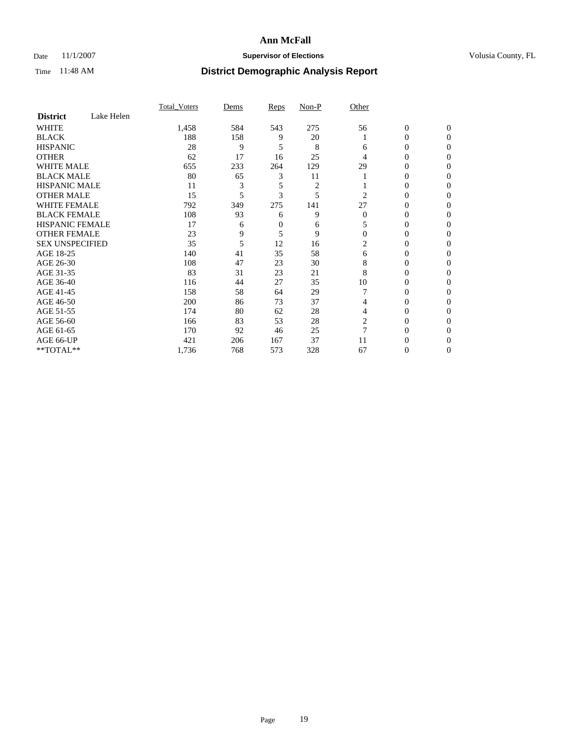### Date 11/1/2007 **Supervisor of Elections Supervisor of Elections** Volusia County, FL

|                        |            | <b>Total Voters</b> | Dems | Reps   | Non-P          | Other    |                  |              |  |
|------------------------|------------|---------------------|------|--------|----------------|----------|------------------|--------------|--|
| <b>District</b>        | Lake Helen |                     |      |        |                |          |                  |              |  |
| <b>WHITE</b>           |            | 1,458               | 584  | 543    | 275            | 56       | $\boldsymbol{0}$ | $\mathbf{0}$ |  |
| <b>BLACK</b>           |            | 188                 | 158  | 9      | 20             |          | 0                | $\mathbf{0}$ |  |
| <b>HISPANIC</b>        |            | 28                  | 9    | 5      | 8              | 6        | 0                | $\Omega$     |  |
| <b>OTHER</b>           |            | 62                  | 17   | 16     | 25             | 4        | $\overline{0}$   | $\theta$     |  |
| <b>WHITE MALE</b>      |            | 655                 | 233  | 264    | 129            | 29       | 0                | 0            |  |
| <b>BLACK MALE</b>      |            | 80                  | 65   | 3      | 11             |          | 0                | 0            |  |
| <b>HISPANIC MALE</b>   |            | 11                  | 3    | 5      | $\overline{c}$ |          | 0                | 0            |  |
| <b>OTHER MALE</b>      |            | 15                  | 5    | 3      | 5              | 2        | 0                | 0            |  |
| <b>WHITE FEMALE</b>    |            | 792                 | 349  | 275    | 141            | 27       | 0                | 0            |  |
| <b>BLACK FEMALE</b>    |            | 108                 | 93   | 6      | 9              | $\Omega$ | 0                | 0            |  |
| <b>HISPANIC FEMALE</b> |            | 17                  | 6    | $_{0}$ | 6              |          | 0                | $\Omega$     |  |
| <b>OTHER FEMALE</b>    |            | 23                  | 9    | 5      | 9              | $\Omega$ | 0                | $\theta$     |  |
| <b>SEX UNSPECIFIED</b> |            | 35                  | 5    | 12     | 16             | 2        | 0                | $\theta$     |  |
| AGE 18-25              |            | 140                 | 41   | 35     | 58             | 6        | 0                | $_{0}$       |  |
| AGE 26-30              |            | 108                 | 47   | 23     | 30             | 8        | 0                | 0            |  |
| AGE 31-35              |            | 83                  | 31   | 23     | 21             | 8        | 0                | 0            |  |
| AGE 36-40              |            | 116                 | 44   | 27     | 35             | 10       | 0                | 0            |  |
| AGE 41-45              |            | 158                 | 58   | 64     | 29             |          | 0                | 0            |  |
| AGE 46-50              |            | 200                 | 86   | 73     | 37             | 4        | 0                | $\Omega$     |  |
| AGE 51-55              |            | 174                 | 80   | 62     | 28             | 4        | 0                | $\Omega$     |  |
| AGE 56-60              |            | 166                 | 83   | 53     | 28             | 2        | 0                | $\theta$     |  |
| AGE 61-65              |            | 170                 | 92   | 46     | 25             | 7        | 0                | 0            |  |
| AGE 66-UP              |            | 421                 | 206  | 167    | 37             | 11       | 0                |              |  |
| **TOTAL**              |            | 1,736               | 768  | 573    | 328            | 67       | 0                | 0            |  |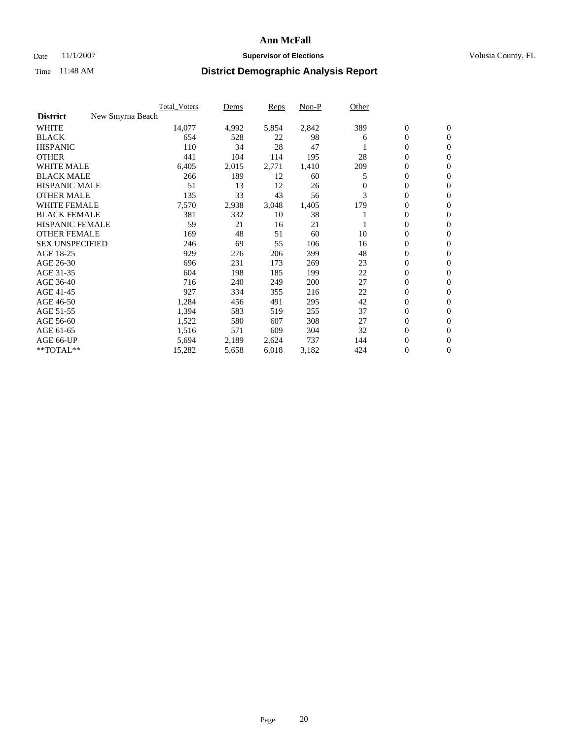### Date 11/1/2007 **Supervisor of Elections Supervisor of Elections** Volusia County, FL

|                                     | <b>Total Voters</b> | Dems  | Reps  | Non-P | Other    |                  |                  |  |
|-------------------------------------|---------------------|-------|-------|-------|----------|------------------|------------------|--|
| <b>District</b><br>New Smyrna Beach |                     |       |       |       |          |                  |                  |  |
| <b>WHITE</b>                        | 14,077              | 4,992 | 5,854 | 2,842 | 389      | $\boldsymbol{0}$ | $\mathbf{0}$     |  |
| <b>BLACK</b>                        | 654                 | 528   | 22    | 98    | 6        | $\mathbf{0}$     | $\mathbf{0}$     |  |
| <b>HISPANIC</b>                     | 110                 | 34    | 28    | 47    |          | $\mathbf{0}$     | $\mathbf{0}$     |  |
| <b>OTHER</b>                        | 441                 | 104   | 114   | 195   | 28       | 0                | $\mathbf{0}$     |  |
| <b>WHITE MALE</b>                   | 6,405               | 2,015 | 2,771 | 1,410 | 209      | 0                | $\mathbf{0}$     |  |
| <b>BLACK MALE</b>                   | 266                 | 189   | 12    | 60    | 5        | 0                | $\mathbf{0}$     |  |
| <b>HISPANIC MALE</b>                | 51                  | 13    | 12    | 26    | $\Omega$ | 0                | $\mathbf{0}$     |  |
| <b>OTHER MALE</b>                   | 135                 | 33    | 43    | 56    | 3        | 0                | $\mathbf{0}$     |  |
| <b>WHITE FEMALE</b>                 | 7,570               | 2,938 | 3,048 | 1,405 | 179      | 0                | $\mathbf{0}$     |  |
| <b>BLACK FEMALE</b>                 | 381                 | 332   | 10    | 38    |          | $\mathbf{0}$     | $\mathbf{0}$     |  |
| <b>HISPANIC FEMALE</b>              | 59                  | 21    | 16    | 21    |          | 0                | $\mathbf{0}$     |  |
| <b>OTHER FEMALE</b>                 | 169                 | 48    | 51    | 60    | 10       | $\overline{0}$   | $\mathbf{0}$     |  |
| <b>SEX UNSPECIFIED</b>              | 246                 | 69    | 55    | 106   | 16       | $\boldsymbol{0}$ | $\boldsymbol{0}$ |  |
| AGE 18-25                           | 929                 | 276   | 206   | 399   | 48       | 0                | $\mathbf{0}$     |  |
| AGE 26-30                           | 696                 | 231   | 173   | 269   | 23       | 0                | $\mathbf{0}$     |  |
| AGE 31-35                           | 604                 | 198   | 185   | 199   | 22       | 0                | $\mathbf{0}$     |  |
| AGE 36-40                           | 716                 | 240   | 249   | 200   | 27       | $\boldsymbol{0}$ | $\mathbf{0}$     |  |
| AGE 41-45                           | 927                 | 334   | 355   | 216   | 22       | 0                | $\mathbf{0}$     |  |
| AGE 46-50                           | 1,284               | 456   | 491   | 295   | 42       | $\mathbf{0}$     | $\mathbf{0}$     |  |
| AGE 51-55                           | 1,394               | 583   | 519   | 255   | 37       | $\overline{0}$   | $\mathbf{0}$     |  |
| AGE 56-60                           | 1,522               | 580   | 607   | 308   | 27       | $\mathbf{0}$     | $\mathbf{0}$     |  |
| AGE 61-65                           | 1,516               | 571   | 609   | 304   | 32       | 0                | $\mathbf{0}$     |  |
| AGE 66-UP                           | 5,694               | 2,189 | 2,624 | 737   | 144      | 0                | 0                |  |
| **TOTAL**                           | 15,282              | 5,658 | 6,018 | 3,182 | 424      | 0                | $\boldsymbol{0}$ |  |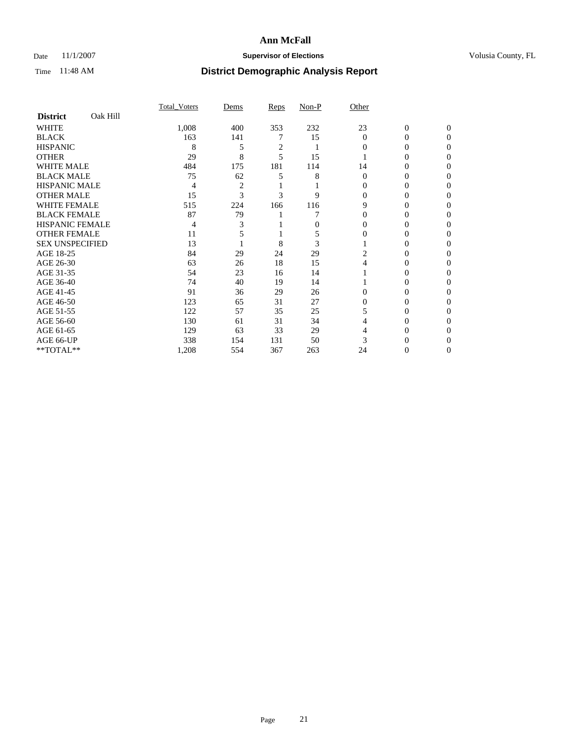### Date 11/1/2007 **Supervisor of Elections Supervisor of Elections** Volusia County, FL

|                        |          | Total Voters | Dems | Reps | Non-P | Other        |                |              |  |
|------------------------|----------|--------------|------|------|-------|--------------|----------------|--------------|--|
| <b>District</b>        | Oak Hill |              |      |      |       |              |                |              |  |
| <b>WHITE</b>           |          | 1,008        | 400  | 353  | 232   | 23           | $\overline{0}$ | $\mathbf{0}$ |  |
| <b>BLACK</b>           |          | 163          | 141  |      | 15    | $\mathbf{0}$ | 0              | $\Omega$     |  |
| <b>HISPANIC</b>        |          | 8            | 5    | 2    |       | 0            | 0              | $\Omega$     |  |
| <b>OTHER</b>           |          | 29           | 8    | 5    | 15    |              |                | 0            |  |
| <b>WHITE MALE</b>      |          | 484          | 175  | 181  | 114   | 14           | 0              |              |  |
| <b>BLACK MALE</b>      |          | 75           | 62   |      | 8     | 0            | 0              | 0            |  |
| <b>HISPANIC MALE</b>   |          | 4            | 2    |      |       |              | 0              |              |  |
| <b>OTHER MALE</b>      |          | 15           | 3    | 3    | 9     | 0            | 0              | $\theta$     |  |
| <b>WHITE FEMALE</b>    |          | 515          | 224  | 166  | 116   | 9            | 0              | $\theta$     |  |
| <b>BLACK FEMALE</b>    |          | 87           | 79   |      |       | 0            | 0              | 0            |  |
| HISPANIC FEMALE        |          | 4            |      |      | 0     |              |                | 0            |  |
| <b>OTHER FEMALE</b>    |          | 11           |      |      |       |              | 0              | 0            |  |
| <b>SEX UNSPECIFIED</b> |          | 13           |      | 8    | 3     |              | 0              | 0            |  |
| AGE 18-25              |          | 84           | 29   | 24   | 29    | 2            | 0              |              |  |
| AGE 26-30              |          | 63           | 26   | 18   | 15    |              | 0              | $\theta$     |  |
| AGE 31-35              |          | 54           | 23   | 16   | 14    |              | 0              |              |  |
| AGE 36-40              |          | 74           | 40   | 19   | 14    |              | 0              | 0            |  |
| AGE 41-45              |          | 91           | 36   | 29   | 26    | 0            | $_{0}$         | $\theta$     |  |
| AGE 46-50              |          | 123          | 65   | 31   | 27    | 0            | 0              | 0            |  |
| AGE 51-55              |          | 122          | 57   | 35   | 25    |              | 0              | 0            |  |
| AGE 56-60              |          | 130          | 61   | 31   | 34    |              | 0              | 0            |  |
| AGE 61-65              |          | 129          | 63   | 33   | 29    |              | 0              |              |  |
| AGE 66-UP              |          | 338          | 154  | 131  | 50    |              |                |              |  |
| **TOTAL**              |          | 1,208        | 554  | 367  | 263   | 24           | 0              | 0            |  |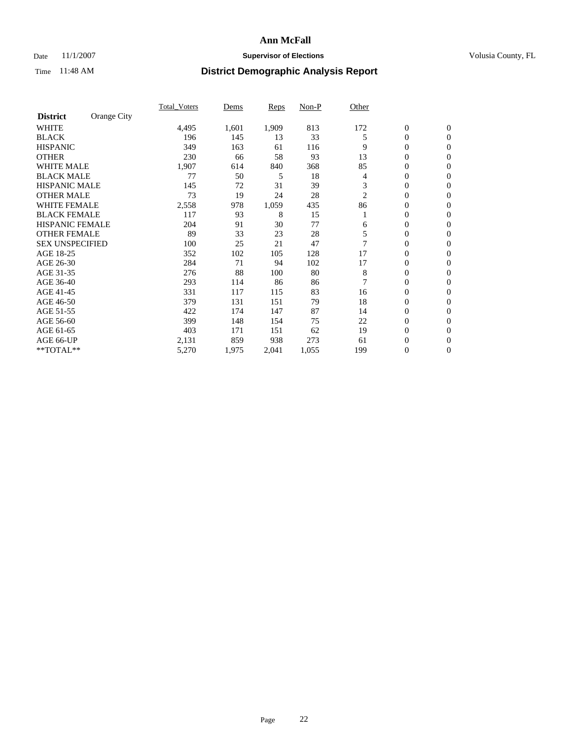### Date 11/1/2007 **Supervisor of Elections Supervisor of Elections** Volusia County, FL

|                        |             | Total Voters | Dems  | <b>Reps</b> | Non-P | Other |                  |                  |  |
|------------------------|-------------|--------------|-------|-------------|-------|-------|------------------|------------------|--|
| <b>District</b>        | Orange City |              |       |             |       |       |                  |                  |  |
| <b>WHITE</b>           |             | 4,495        | 1,601 | 1,909       | 813   | 172   | $\boldsymbol{0}$ | $\mathbf{0}$     |  |
| <b>BLACK</b>           |             | 196          | 145   | 13          | 33    | 5     | $\overline{0}$   | $\mathbf{0}$     |  |
| <b>HISPANIC</b>        |             | 349          | 163   | 61          | 116   | 9     | $\overline{0}$   | $\mathbf{0}$     |  |
| <b>OTHER</b>           |             | 230          | 66    | 58          | 93    | 13    | 0                | $\overline{0}$   |  |
| <b>WHITE MALE</b>      |             | 1,907        | 614   | 840         | 368   | 85    | 0                | $\mathbf{0}$     |  |
| <b>BLACK MALE</b>      |             | 77           | 50    | 5           | 18    | 4     | 0                | $\mathbf{0}$     |  |
| <b>HISPANIC MALE</b>   |             | 145          | 72    | 31          | 39    | 3     | 0                | $\Omega$         |  |
| <b>OTHER MALE</b>      |             | 73           | 19    | 24          | 28    | 2     | 0                | $\mathbf{0}$     |  |
| <b>WHITE FEMALE</b>    |             | 2,558        | 978   | 1,059       | 435   | 86    | 0                | $\Omega$         |  |
| <b>BLACK FEMALE</b>    |             | 117          | 93    | 8           | 15    |       | $\overline{0}$   | $\mathbf{0}$     |  |
| <b>HISPANIC FEMALE</b> |             | 204          | 91    | 30          | 77    | 6     | 0                | $\mathbf{0}$     |  |
| <b>OTHER FEMALE</b>    |             | 89           | 33    | 23          | 28    | 5     | 0                | $\mathbf{0}$     |  |
| <b>SEX UNSPECIFIED</b> |             | 100          | 25    | 21          | 47    | 7     | $\boldsymbol{0}$ | $\mathbf{0}$     |  |
| AGE 18-25              |             | 352          | 102   | 105         | 128   | 17    | 0                | $\mathbf{0}$     |  |
| AGE 26-30              |             | 284          | 71    | 94          | 102   | 17    | 0                | $\mathbf{0}$     |  |
| AGE 31-35              |             | 276          | 88    | 100         | 80    | 8     | 0                | $\mathbf{0}$     |  |
| AGE 36-40              |             | 293          | 114   | 86          | 86    | 7     | $\overline{0}$   | $\mathbf{0}$     |  |
| AGE 41-45              |             | 331          | 117   | 115         | 83    | 16    | 0                | $\mathbf{0}$     |  |
| AGE 46-50              |             | 379          | 131   | 151         | 79    | 18    | $\overline{0}$   | $\mathbf{0}$     |  |
| AGE 51-55              |             | 422          | 174   | 147         | 87    | 14    | 0                | $\mathbf{0}$     |  |
| AGE 56-60              |             | 399          | 148   | 154         | 75    | 22    | $\boldsymbol{0}$ | $\mathbf{0}$     |  |
| AGE 61-65              |             | 403          | 171   | 151         | 62    | 19    | 0                | $\mathbf{0}$     |  |
| AGE 66-UP              |             | 2,131        | 859   | 938         | 273   | 61    | 0                | 0                |  |
| **TOTAL**              |             | 5,270        | 1,975 | 2,041       | 1,055 | 199   | $\boldsymbol{0}$ | $\boldsymbol{0}$ |  |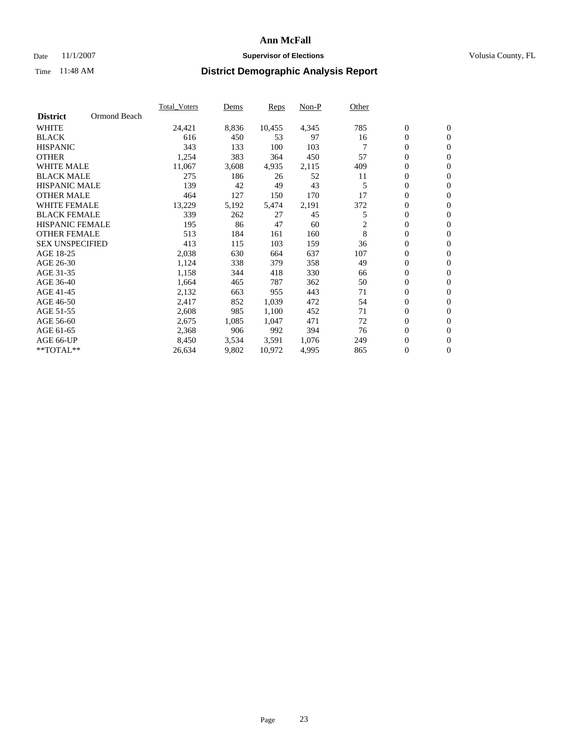### Date 11/1/2007 **Supervisor of Elections Supervisor of Elections** Volusia County, FL

|                        |              | <b>Total Voters</b> | Dems  | Reps   | Non-P | Other |                  |                  |  |
|------------------------|--------------|---------------------|-------|--------|-------|-------|------------------|------------------|--|
| <b>District</b>        | Ormond Beach |                     |       |        |       |       |                  |                  |  |
| <b>WHITE</b>           |              | 24,421              | 8,836 | 10,455 | 4,345 | 785   | $\boldsymbol{0}$ | $\mathbf{0}$     |  |
| <b>BLACK</b>           |              | 616                 | 450   | 53     | 97    | 16    | $\mathbf{0}$     | $\mathbf{0}$     |  |
| <b>HISPANIC</b>        |              | 343                 | 133   | 100    | 103   |       | $\mathbf{0}$     | $\mathbf{0}$     |  |
| <b>OTHER</b>           |              | 1,254               | 383   | 364    | 450   | 57    | 0                | $\mathbf{0}$     |  |
| <b>WHITE MALE</b>      |              | 11,067              | 3,608 | 4,935  | 2,115 | 409   | 0                | $\mathbf{0}$     |  |
| <b>BLACK MALE</b>      |              | 275                 | 186   | 26     | 52    | 11    | 0                | $\mathbf{0}$     |  |
| <b>HISPANIC MALE</b>   |              | 139                 | 42    | 49     | 43    | 5     | 0                | $\mathbf{0}$     |  |
| <b>OTHER MALE</b>      |              | 464                 | 127   | 150    | 170   | 17    | 0                | $\mathbf{0}$     |  |
| <b>WHITE FEMALE</b>    |              | 13,229              | 5,192 | 5,474  | 2,191 | 372   | 0                | $\mathbf{0}$     |  |
| <b>BLACK FEMALE</b>    |              | 339                 | 262   | 27     | 45    | 5     | $\mathbf{0}$     | $\mathbf{0}$     |  |
| <b>HISPANIC FEMALE</b> |              | 195                 | 86    | 47     | 60    | 2     | 0                | $\mathbf{0}$     |  |
| <b>OTHER FEMALE</b>    |              | 513                 | 184   | 161    | 160   | 8     | $\overline{0}$   | $\overline{0}$   |  |
| <b>SEX UNSPECIFIED</b> |              | 413                 | 115   | 103    | 159   | 36    | 0                | $\mathbf{0}$     |  |
| AGE 18-25              |              | 2,038               | 630   | 664    | 637   | 107   | 0                | $\mathbf{0}$     |  |
| AGE 26-30              |              | 1,124               | 338   | 379    | 358   | 49    | 0                | $\mathbf{0}$     |  |
| AGE 31-35              |              | 1,158               | 344   | 418    | 330   | 66    | 0                | $\mathbf{0}$     |  |
| AGE 36-40              |              | 1,664               | 465   | 787    | 362   | 50    | 0                | $\mathbf{0}$     |  |
| AGE 41-45              |              | 2,132               | 663   | 955    | 443   | 71    | 0                | $\mathbf{0}$     |  |
| AGE 46-50              |              | 2,417               | 852   | 1,039  | 472   | 54    | $\mathbf{0}$     | $\mathbf{0}$     |  |
| AGE 51-55              |              | 2,608               | 985   | 1,100  | 452   | 71    | $\overline{0}$   | $\mathbf{0}$     |  |
| AGE 56-60              |              | 2,675               | 1,085 | 1,047  | 471   | 72    | 0                | $\mathbf{0}$     |  |
| AGE 61-65              |              | 2,368               | 906   | 992    | 394   | 76    | 0                | $\mathbf{0}$     |  |
| AGE 66-UP              |              | 8,450               | 3,534 | 3,591  | 1,076 | 249   | 0                | 0                |  |
| $*$ TOTAL $**$         |              | 26,634              | 9,802 | 10,972 | 4,995 | 865   | 0                | $\boldsymbol{0}$ |  |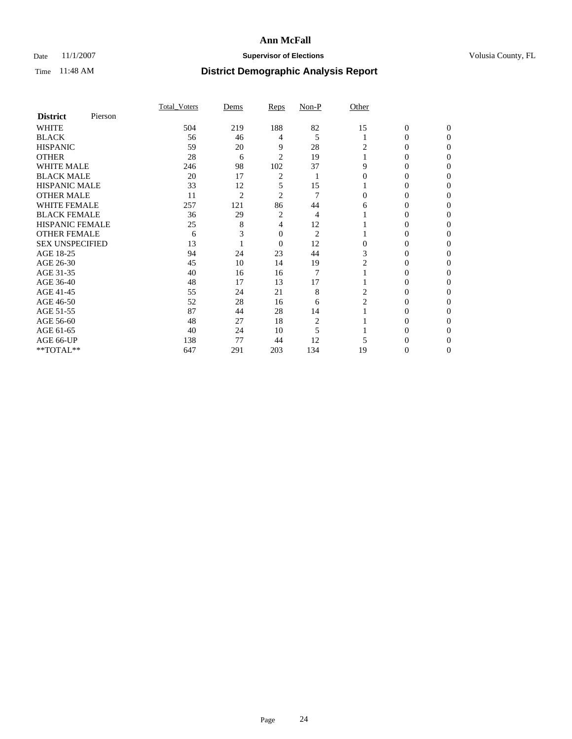### Date 11/1/2007 **Supervisor of Elections Supervisor of Elections** Volusia County, FL

|                        |         | Total Voters | Dems           | <b>Reps</b>    | Non-P          | Other          |                |              |
|------------------------|---------|--------------|----------------|----------------|----------------|----------------|----------------|--------------|
| <b>District</b>        | Pierson |              |                |                |                |                |                |              |
| <b>WHITE</b>           |         | 504          | 219            | 188            | 82             | 15             | $\overline{0}$ | $\mathbf{0}$ |
| <b>BLACK</b>           |         | 56           | 46             | 4              | 5              |                | 0              | $\Omega$     |
| <b>HISPANIC</b>        |         | 59           | 20             | 9              | $28\,$         | 2              | 0              | $\Omega$     |
| <b>OTHER</b>           |         | 28           | 6              | $\overline{2}$ | 19             |                | 0              | 0            |
| <b>WHITE MALE</b>      |         | 246          | 98             | 102            | 37             | 9              | 0              | 0            |
| <b>BLACK MALE</b>      |         | 20           | 17             | 2              |                | 0              | 0              | 0            |
| <b>HISPANIC MALE</b>   |         | 33           | 12             | 5              | 15             |                | 0              | 0            |
| <b>OTHER MALE</b>      |         | 11           | $\overline{c}$ | $\overline{2}$ | 7              | 0              | 0              | 0            |
| <b>WHITE FEMALE</b>    |         | 257          | 121            | 86             | 44             | 6              | 0              | 0            |
| <b>BLACK FEMALE</b>    |         | 36           | 29             | 2              | 4              |                |                | $\Omega$     |
| <b>HISPANIC FEMALE</b> |         | 25           | 8              | 4              | 12             |                | 0              | 0            |
| <b>OTHER FEMALE</b>    |         | 6            |                | 0              | $\overline{c}$ |                | 0              | 0            |
| <b>SEX UNSPECIFIED</b> |         | 13           |                | $\mathbf{0}$   | 12             | 0              | 0              | 0            |
| AGE 18-25              |         | 94           | 24             | 23             | 44             | 3              | 0              | $\Omega$     |
| AGE 26-30              |         | 45           | 10             | 14             | 19             | 2              |                | $\Omega$     |
| AGE 31-35              |         | 40           | 16             | 16             | 7              |                | 0              | 0            |
| AGE 36-40              |         | 48           | 17             | 13             | 17             |                | 0              | 0            |
| AGE 41-45              |         | 55           | 24             | 21             | 8              | 2              | 0              | $\theta$     |
| AGE 46-50              |         | 52           | 28             | 16             | 6              | $\overline{c}$ | 0              | 0            |
| AGE 51-55              |         | 87           | 44             | 28             | 14             |                | $_{0}$         | 0            |
| AGE 56-60              |         | 48           | 27             | 18             | $\overline{c}$ |                | 0              | $\Omega$     |
| AGE 61-65              |         | 40           | 24             | 10             | 5              |                | 0              | 0            |
| AGE 66-UP              |         | 138          | 77             | 44             | 12             |                |                |              |
| **TOTAL**              |         | 647          | 291            | 203            | 134            | 19             | 0              | 0            |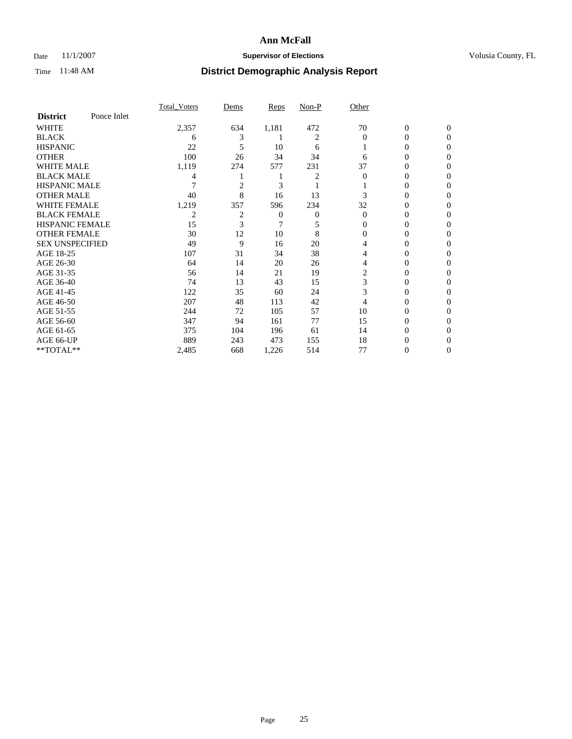### Date 11/1/2007 **Supervisor of Elections Supervisor of Elections** Volusia County, FL

|                        |             | Total Voters | Dems           | <b>Reps</b> | Non-P          | Other    |                  |                  |
|------------------------|-------------|--------------|----------------|-------------|----------------|----------|------------------|------------------|
| <b>District</b>        | Ponce Inlet |              |                |             |                |          |                  |                  |
| <b>WHITE</b>           |             | 2,357        | 634            | 1,181       | 472            | 70       | $\boldsymbol{0}$ | $\mathbf{0}$     |
| <b>BLACK</b>           |             | 6            | 3              |             | $\overline{2}$ | $\Omega$ | $\theta$         | $\Omega$         |
| <b>HISPANIC</b>        |             | 22           | 5              | 10          | 6              |          | 0                | $\Omega$         |
| <b>OTHER</b>           |             | 100          | 26             | 34          | 34             | 6        | $\overline{0}$   | $\theta$         |
| WHITE MALE             |             | 1,119        | 274            | 577         | 231            | 37       | 0                | $\theta$         |
| <b>BLACK MALE</b>      |             | 4            |                |             | 2              | $\Omega$ | 0                | 0                |
| <b>HISPANIC MALE</b>   |             |              | $\overline{c}$ | 3           |                |          | $\theta$         | 0                |
| <b>OTHER MALE</b>      |             | 40           | 8              | 16          | 13             | 3        | 0                | 0                |
| <b>WHITE FEMALE</b>    |             | 1,219        | 357            | 596         | 234            | 32       | 0                | $\Omega$         |
| <b>BLACK FEMALE</b>    |             | 2            | $\overline{2}$ | 0           | 0              | $\Omega$ | $\overline{0}$   | $\theta$         |
| <b>HISPANIC FEMALE</b> |             | 15           | 3              | 7           | 5              | 0        | 0                | 0                |
| <b>OTHER FEMALE</b>    |             | 30           | 12             | 10          | 8              | 0        | $\overline{0}$   | 0                |
| <b>SEX UNSPECIFIED</b> |             | 49           | 9              | 16          | 20             | 4        | 0                | 0                |
| AGE 18-25              |             | 107          | 31             | 34          | 38             | 4        | 0                | $\mathbf{0}$     |
| AGE 26-30              |             | 64           | 14             | 20          | 26             | 4        | 0                | $\Omega$         |
| AGE 31-35              |             | 56           | 14             | 21          | 19             | 2        | 0                | $\theta$         |
| AGE 36-40              |             | 74           | 13             | 43          | 15             | 3        | 0                | $\boldsymbol{0}$ |
| AGE 41-45              |             | 122          | 35             | 60          | 24             | 3        | 0                | 0                |
| AGE 46-50              |             | 207          | 48             | 113         | 42             | 4        | 0                | $\mathbf{0}$     |
| AGE 51-55              |             | 244          | 72             | 105         | 57             | 10       | 0                | $\Omega$         |
| AGE 56-60              |             | 347          | 94             | 161         | 77             | 15       | 0                | $\mathbf{0}$     |
| AGE 61-65              |             | 375          | 104            | 196         | 61             | 14       | 0                | $\boldsymbol{0}$ |
| AGE 66-UP              |             | 889          | 243            | 473         | 155            | 18       | 0                | $\theta$         |
| **TOTAL**              |             | 2,485        | 668            | 1,226       | 514            | 77       | 0                | $\mathbf{0}$     |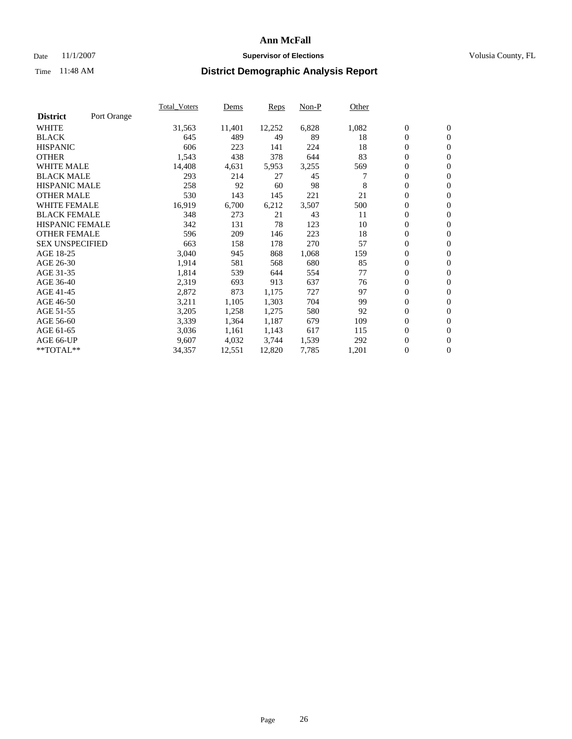#### Date 11/1/2007 **Supervisor of Elections Supervisor of Elections** Volusia County, FL

|                        |             | Total Voters | Dems   | <b>Reps</b> | Non-P | Other |                  |                  |  |
|------------------------|-------------|--------------|--------|-------------|-------|-------|------------------|------------------|--|
| <b>District</b>        | Port Orange |              |        |             |       |       |                  |                  |  |
| <b>WHITE</b>           |             | 31,563       | 11,401 | 12,252      | 6,828 | 1,082 | $\boldsymbol{0}$ | $\mathbf{0}$     |  |
| <b>BLACK</b>           |             | 645          | 489    | 49          | 89    | 18    | $\overline{0}$   | $\mathbf{0}$     |  |
| <b>HISPANIC</b>        |             | 606          | 223    | 141         | 224   | 18    | $\boldsymbol{0}$ | $\mathbf{0}$     |  |
| <b>OTHER</b>           |             | 1,543        | 438    | 378         | 644   | 83    | $\boldsymbol{0}$ | $\mathbf{0}$     |  |
| <b>WHITE MALE</b>      |             | 14,408       | 4,631  | 5,953       | 3,255 | 569   | 0                | $\mathbf{0}$     |  |
| <b>BLACK MALE</b>      |             | 293          | 214    | 27          | 45    |       | $\boldsymbol{0}$ | $\mathbf{0}$     |  |
| <b>HISPANIC MALE</b>   |             | 258          | 92     | 60          | 98    | 8     | $\overline{0}$   | $\mathbf{0}$     |  |
| <b>OTHER MALE</b>      |             | 530          | 143    | 145         | 221   | 21    | $\overline{0}$   | $\mathbf{0}$     |  |
| <b>WHITE FEMALE</b>    |             | 16,919       | 6,700  | 6,212       | 3,507 | 500   | $\mathbf{0}$     | $\mathbf{0}$     |  |
| <b>BLACK FEMALE</b>    |             | 348          | 273    | 21          | 43    | 11    | $\overline{0}$   | $\mathbf{0}$     |  |
| <b>HISPANIC FEMALE</b> |             | 342          | 131    | 78          | 123   | 10    | $\boldsymbol{0}$ | $\boldsymbol{0}$ |  |
| <b>OTHER FEMALE</b>    |             | 596          | 209    | 146         | 223   | 18    | 0                | $\mathbf{0}$     |  |
| <b>SEX UNSPECIFIED</b> |             | 663          | 158    | 178         | 270   | 57    | $\boldsymbol{0}$ | $\mathbf{0}$     |  |
| AGE 18-25              |             | 3,040        | 945    | 868         | 1,068 | 159   | $\boldsymbol{0}$ | $\mathbf{0}$     |  |
| AGE 26-30              |             | 1,914        | 581    | 568         | 680   | 85    | $\overline{0}$   | $\mathbf{0}$     |  |
| AGE 31-35              |             | 1,814        | 539    | 644         | 554   | 77    | $\overline{0}$   | $\mathbf{0}$     |  |
| AGE 36-40              |             | 2,319        | 693    | 913         | 637   | 76    | $\boldsymbol{0}$ | $\mathbf{0}$     |  |
| AGE 41-45              |             | 2,872        | 873    | 1,175       | 727   | 97    | $\boldsymbol{0}$ | $\mathbf{0}$     |  |
| AGE 46-50              |             | 3,211        | 1,105  | 1,303       | 704   | 99    | $\boldsymbol{0}$ | $\mathbf{0}$     |  |
| AGE 51-55              |             | 3,205        | 1,258  | 1,275       | 580   | 92    | $\boldsymbol{0}$ | $\boldsymbol{0}$ |  |
| AGE 56-60              |             | 3,339        | 1,364  | 1,187       | 679   | 109   | $\overline{0}$   | $\mathbf{0}$     |  |
| AGE 61-65              |             | 3,036        | 1,161  | 1,143       | 617   | 115   | $\mathbf{0}$     | $\mathbf{0}$     |  |
| AGE 66-UP              |             | 9,607        | 4,032  | 3,744       | 1,539 | 292   | $\boldsymbol{0}$ | $\boldsymbol{0}$ |  |
| **TOTAL**              |             | 34,357       | 12,551 | 12,820      | 7,785 | 1,201 | $\boldsymbol{0}$ | $\overline{0}$   |  |
|                        |             |              |        |             |       |       |                  |                  |  |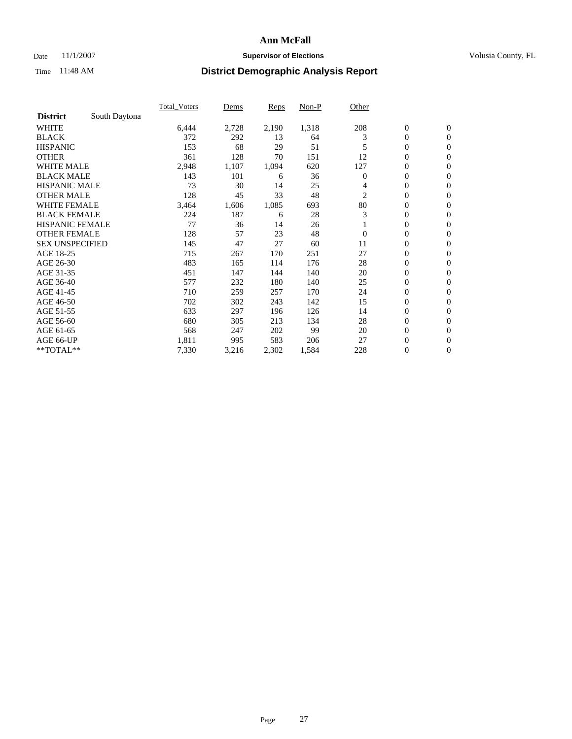### Date 11/1/2007 **Supervisor of Elections Supervisor of Elections** Volusia County, FL

|                        |               | Total Voters | Dems  | <b>Reps</b> | Non-P | Other          |                  |                  |
|------------------------|---------------|--------------|-------|-------------|-------|----------------|------------------|------------------|
| <b>District</b>        | South Daytona |              |       |             |       |                |                  |                  |
| <b>WHITE</b>           |               | 6,444        | 2,728 | 2,190       | 1,318 | 208            | $\boldsymbol{0}$ | $\boldsymbol{0}$ |
| <b>BLACK</b>           |               | 372          | 292   | 13          | 64    | 3              | $\boldsymbol{0}$ | $\mathbf{0}$     |
| <b>HISPANIC</b>        |               | 153          | 68    | 29          | 51    | 5              | 0                | $\mathbf{0}$     |
| <b>OTHER</b>           |               | 361          | 128   | 70          | 151   | 12             | 0                | $\mathbf{0}$     |
| WHITE MALE             |               | 2,948        | 1,107 | 1,094       | 620   | 127            | 0                | $\boldsymbol{0}$ |
| <b>BLACK MALE</b>      |               | 143          | 101   | 6           | 36    | $\overline{0}$ | 0                | $\mathbf{0}$     |
| <b>HISPANIC MALE</b>   |               | 73           | 30    | 14          | 25    | 4              | 0                | $\boldsymbol{0}$ |
| <b>OTHER MALE</b>      |               | 128          | 45    | 33          | 48    | $\overline{c}$ | 0                | $\mathbf{0}$     |
| WHITE FEMALE           |               | 3,464        | 1,606 | 1,085       | 693   | 80             | $\mathbf{0}$     | $\mathbf{0}$     |
| <b>BLACK FEMALE</b>    |               | 224          | 187   | 6           | 28    | 3              | 0                | $\mathbf{0}$     |
| <b>HISPANIC FEMALE</b> |               | 77           | 36    | 14          | 26    |                | 0                | $\boldsymbol{0}$ |
| <b>OTHER FEMALE</b>    |               | 128          | 57    | 23          | 48    | $\overline{0}$ | 0                | $\mathbf{0}$     |
| <b>SEX UNSPECIFIED</b> |               | 145          | 47    | 27          | 60    | 11             | 0                | $\mathbf{0}$     |
| AGE 18-25              |               | 715          | 267   | 170         | 251   | 27             | $\mathbf{0}$     | $\mathbf{0}$     |
| AGE 26-30              |               | 483          | 165   | 114         | 176   | 28             | $\mathbf{0}$     | $\mathbf{0}$     |
| AGE 31-35              |               | 451          | 147   | 144         | 140   | 20             | $\mathbf{0}$     | $\mathbf{0}$     |
| AGE 36-40              |               | 577          | 232   | 180         | 140   | 25             | $\boldsymbol{0}$ | $\mathbf{0}$     |
| AGE 41-45              |               | 710          | 259   | 257         | 170   | 24             | 0                | $\mathbf{0}$     |
| AGE 46-50              |               | 702          | 302   | 243         | 142   | 15             | $\boldsymbol{0}$ | $\mathbf{0}$     |
| AGE 51-55              |               | 633          | 297   | 196         | 126   | 14             | $\boldsymbol{0}$ | $\mathbf{0}$     |
| AGE 56-60              |               | 680          | 305   | 213         | 134   | 28             | $\boldsymbol{0}$ | $\mathbf{0}$     |
| AGE 61-65              |               | 568          | 247   | 202         | 99    | 20             | $\boldsymbol{0}$ | $\boldsymbol{0}$ |
| AGE 66-UP              |               | 1,811        | 995   | 583         | 206   | 27             | 0                | $\mathbf{0}$     |
| **TOTAL**              |               | 7,330        | 3,216 | 2,302       | 1,584 | 228            | $\boldsymbol{0}$ | $\boldsymbol{0}$ |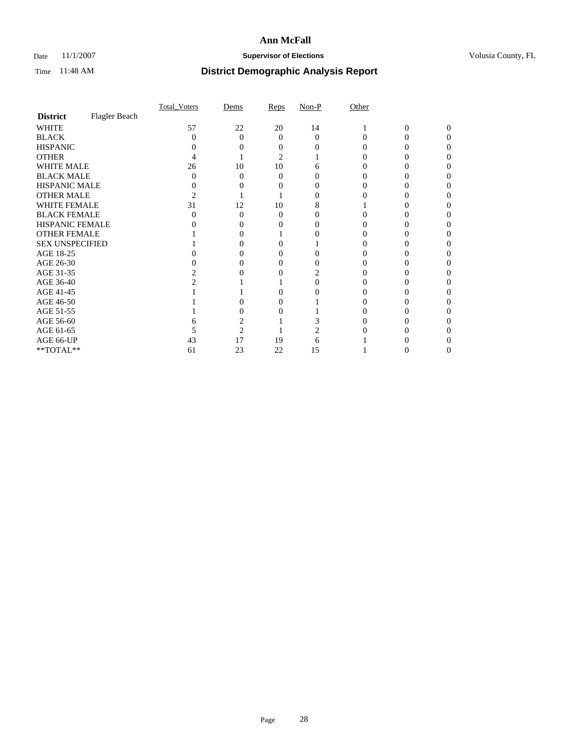### Date 11/1/2007 **Supervisor of Elections Supervisor of Elections** Volusia County, FL

|                                     |               | Total Voters | Dems              | Reps           | $Non-P$  | Other |   |          |
|-------------------------------------|---------------|--------------|-------------------|----------------|----------|-------|---|----------|
| <b>District</b>                     | Flagler Beach |              |                   |                |          |       |   |          |
| <b>WHITE</b>                        |               | 57           | 22                | 20             | 14       |       | 0 | $\Omega$ |
| <b>BLACK</b>                        |               | 0            | $\Omega$          | 0              | $\Omega$ | 0     | 0 | 0        |
| <b>HISPANIC</b>                     |               |              |                   |                |          |       |   |          |
| <b>OTHER</b>                        |               |              |                   | $\overline{2}$ |          |       |   |          |
| <b>WHITE MALE</b>                   |               | 26           | 10                | 10             | 6        |       |   |          |
| <b>BLACK MALE</b>                   |               |              | $\Omega$          | 0              |          |       |   |          |
| HISPANIC MALE                       |               |              | $\theta$          |                |          |       |   |          |
| <b>OTHER MALE</b>                   |               |              |                   |                |          |       |   |          |
| WHITE FEMALE                        |               | 31           | 12                | 10             |          |       |   |          |
| <b>BLACK FEMALE</b>                 |               |              | $\Omega$          | 0              |          |       |   |          |
| HISPANIC FEMALE                     |               |              |                   |                |          |       |   |          |
| <b>OTHER FEMALE</b>                 |               |              | 0                 |                |          |       |   |          |
| <b>SEX UNSPECIFIED</b>              |               |              | $\mathbf{\Omega}$ |                |          |       |   |          |
| AGE 18-25                           |               |              | 0                 |                |          |       |   |          |
| AGE 26-30                           |               |              |                   |                |          |       |   |          |
| AGE 31-35                           |               |              |                   |                |          |       |   |          |
| AGE 36-40                           |               |              |                   |                |          |       |   |          |
| AGE 41-45                           |               |              |                   |                |          |       |   |          |
| AGE 46-50                           |               |              | 0                 | 0              |          |       |   |          |
| AGE 51-55                           |               |              |                   |                |          |       |   |          |
| AGE 56-60                           |               |              |                   |                |          |       |   |          |
| AGE 61-65                           |               |              | $\overline{c}$    |                |          |       |   |          |
| AGE 66-UP                           |               | 43           | 17                | 19             | 6        |       |   |          |
| $\rm ^{\ast \ast}TOTAL^{\ast \ast}$ |               | 61           | 23                | 22             | 15       |       | 0 | 0        |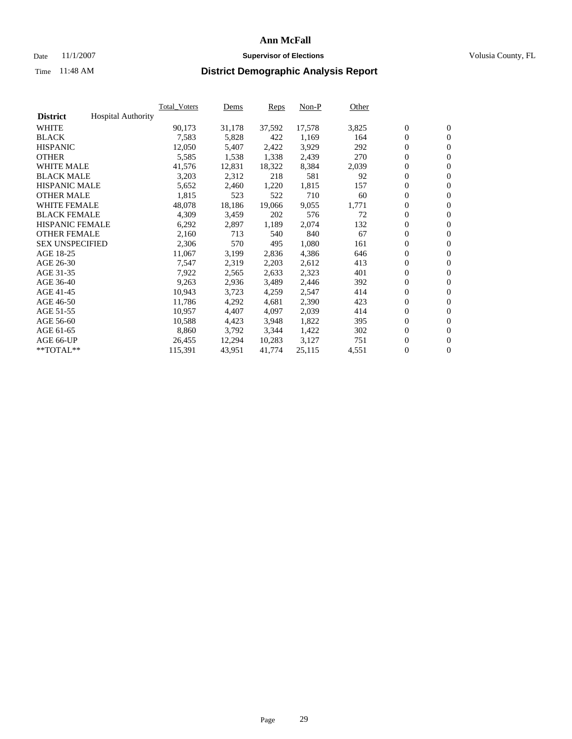### Date 11/1/2007 **Supervisor of Elections Supervisor of Elections** Volusia County, FL

|                        |                           | Total Voters | Dems   | <b>Reps</b> | Non-P  | Other |                  |                  |  |
|------------------------|---------------------------|--------------|--------|-------------|--------|-------|------------------|------------------|--|
| <b>District</b>        | <b>Hospital Authority</b> |              |        |             |        |       |                  |                  |  |
| <b>WHITE</b>           |                           | 90,173       | 31,178 | 37,592      | 17,578 | 3,825 | $\boldsymbol{0}$ | $\mathbf{0}$     |  |
| <b>BLACK</b>           |                           | 7,583        | 5,828  | 422         | 1,169  | 164   | $\overline{0}$   | $\mathbf{0}$     |  |
| <b>HISPANIC</b>        |                           | 12,050       | 5,407  | 2,422       | 3,929  | 292   | $\overline{0}$   | $\mathbf{0}$     |  |
| <b>OTHER</b>           |                           | 5,585        | 1,538  | 1,338       | 2,439  | 270   | $\overline{0}$   | $\mathbf{0}$     |  |
| <b>WHITE MALE</b>      |                           | 41,576       | 12,831 | 18,322      | 8,384  | 2,039 | $\overline{0}$   | $\mathbf{0}$     |  |
| <b>BLACK MALE</b>      |                           | 3,203        | 2,312  | 218         | 581    | 92    | $\boldsymbol{0}$ | $\mathbf{0}$     |  |
| <b>HISPANIC MALE</b>   |                           | 5,652        | 2,460  | 1,220       | 1,815  | 157   | 0                | $\mathbf{0}$     |  |
| <b>OTHER MALE</b>      |                           | 1,815        | 523    | 522         | 710    | 60    | $\boldsymbol{0}$ | $\mathbf{0}$     |  |
| <b>WHITE FEMALE</b>    |                           | 48,078       | 18,186 | 19,066      | 9,055  | 1,771 | $\boldsymbol{0}$ | $\mathbf{0}$     |  |
| <b>BLACK FEMALE</b>    |                           | 4,309        | 3,459  | 202         | 576    | 72    | $\overline{0}$   | $\mathbf{0}$     |  |
| <b>HISPANIC FEMALE</b> |                           | 6,292        | 2,897  | 1,189       | 2,074  | 132   | $\mathbf{0}$     | $\mathbf{0}$     |  |
| <b>OTHER FEMALE</b>    |                           | 2,160        | 713    | 540         | 840    | 67    | $\mathbf{0}$     | $\mathbf{0}$     |  |
| <b>SEX UNSPECIFIED</b> |                           | 2,306        | 570    | 495         | 1,080  | 161   | $\boldsymbol{0}$ | $\boldsymbol{0}$ |  |
| AGE 18-25              |                           | 11,067       | 3,199  | 2,836       | 4,386  | 646   | $\boldsymbol{0}$ | $\mathbf{0}$     |  |
| AGE 26-30              |                           | 7,547        | 2,319  | 2,203       | 2,612  | 413   | $\boldsymbol{0}$ | $\mathbf{0}$     |  |
| AGE 31-35              |                           | 7,922        | 2,565  | 2,633       | 2,323  | 401   | $\boldsymbol{0}$ | $\mathbf{0}$     |  |
| AGE 36-40              |                           | 9,263        | 2,936  | 3,489       | 2,446  | 392   | $\boldsymbol{0}$ | $\mathbf{0}$     |  |
| AGE 41-45              |                           | 10,943       | 3,723  | 4,259       | 2,547  | 414   | $\overline{0}$   | $\mathbf{0}$     |  |
| AGE 46-50              |                           | 11,786       | 4,292  | 4,681       | 2,390  | 423   | $\overline{0}$   | $\mathbf{0}$     |  |
| AGE 51-55              |                           | 10,957       | 4,407  | 4,097       | 2,039  | 414   | $\mathbf{0}$     | $\mathbf{0}$     |  |
| AGE 56-60              |                           | 10,588       | 4,423  | 3,948       | 1,822  | 395   | $\boldsymbol{0}$ | $\mathbf{0}$     |  |
| AGE 61-65              |                           | 8,860        | 3,792  | 3,344       | 1,422  | 302   | $\boldsymbol{0}$ | $\boldsymbol{0}$ |  |
| AGE 66-UP              |                           | 26,455       | 12,294 | 10,283      | 3,127  | 751   | 0                | $\mathbf{0}$     |  |
| $*$ TOTAL $**$         |                           | 115,391      | 43,951 | 41,774      | 25,115 | 4,551 | 0                | $\boldsymbol{0}$ |  |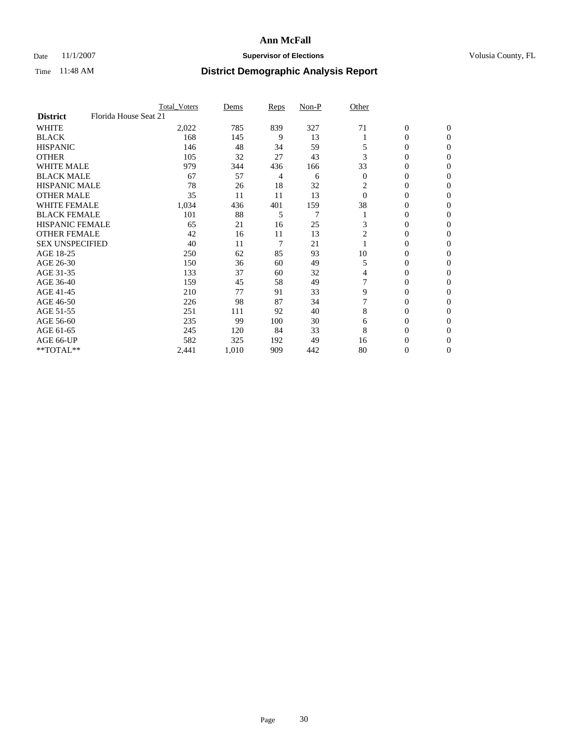### Date 11/1/2007 **Supervisor of Elections Supervisor of Elections** Volusia County, FL

|                                          | <b>Total Voters</b> | Dems  | Reps | Non-P          | Other          |                  |                  |  |
|------------------------------------------|---------------------|-------|------|----------------|----------------|------------------|------------------|--|
| Florida House Seat 21<br><b>District</b> |                     |       |      |                |                |                  |                  |  |
| <b>WHITE</b>                             | 2,022               | 785   | 839  | 327            | 71             | $\boldsymbol{0}$ | $\mathbf{0}$     |  |
| <b>BLACK</b>                             | 168                 | 145   | 9    | 13             |                | 0                | $\mathbf{0}$     |  |
| <b>HISPANIC</b>                          | 146                 | 48    | 34   | 59             |                | 0                | $\overline{0}$   |  |
| <b>OTHER</b>                             | 105                 | 32    | 27   | 43             | 3              | 0                | $\boldsymbol{0}$ |  |
| <b>WHITE MALE</b>                        | 979                 | 344   | 436  | 166            | 33             | 0                | $\Omega$         |  |
| <b>BLACK MALE</b>                        | 67                  | 57    | 4    | 6              | $\overline{0}$ | 0                | $\Omega$         |  |
| <b>HISPANIC MALE</b>                     | 78                  | 26    | 18   | 32             | 2              | 0                | $\Omega$         |  |
| <b>OTHER MALE</b>                        | 35                  | 11    | 11   | 13             | $\theta$       | 0                | 0                |  |
| <b>WHITE FEMALE</b>                      | 1,034               | 436   | 401  | 159            | 38             | 0                | 0                |  |
| <b>BLACK FEMALE</b>                      | 101                 | 88    | 5    | $\overline{7}$ |                | 0                | $\overline{0}$   |  |
| <b>HISPANIC FEMALE</b>                   | 65                  | 21    | 16   | 25             | 3              | 0                | $\Omega$         |  |
| <b>OTHER FEMALE</b>                      | 42                  | 16    | 11   | 13             | $\overline{2}$ | 0                | $\boldsymbol{0}$ |  |
| <b>SEX UNSPECIFIED</b>                   | 40                  | 11    | 7    | 21             |                | 0                | $\Omega$         |  |
| AGE 18-25                                | 250                 | 62    | 85   | 93             | 10             | 0                | 0                |  |
| AGE 26-30                                | 150                 | 36    | 60   | 49             | 5              | 0                | $\Omega$         |  |
| AGE 31-35                                | 133                 | 37    | 60   | 32             | 4              | 0                | 0                |  |
| AGE 36-40                                | 159                 | 45    | 58   | 49             |                | 0                | $\overline{0}$   |  |
| AGE 41-45                                | 210                 | 77    | 91   | 33             | 9              | 0                | 0                |  |
| AGE 46-50                                | 226                 | 98    | 87   | 34             |                | 0                | $\mathbf{0}$     |  |
| AGE 51-55                                | 251                 | 111   | 92   | 40             | 8              | 0                | $\Omega$         |  |
| AGE 56-60                                | 235                 | 99    | 100  | 30             | 6              | 0                | $\theta$         |  |
| AGE 61-65                                | 245                 | 120   | 84   | 33             | 8              | 0                | 0                |  |
| AGE 66-UP                                | 582                 | 325   | 192  | 49             | 16             | 0                | $_{0}$           |  |
| **TOTAL**                                | 2,441               | 1,010 | 909  | 442            | 80             | 0                | $\mathbf{0}$     |  |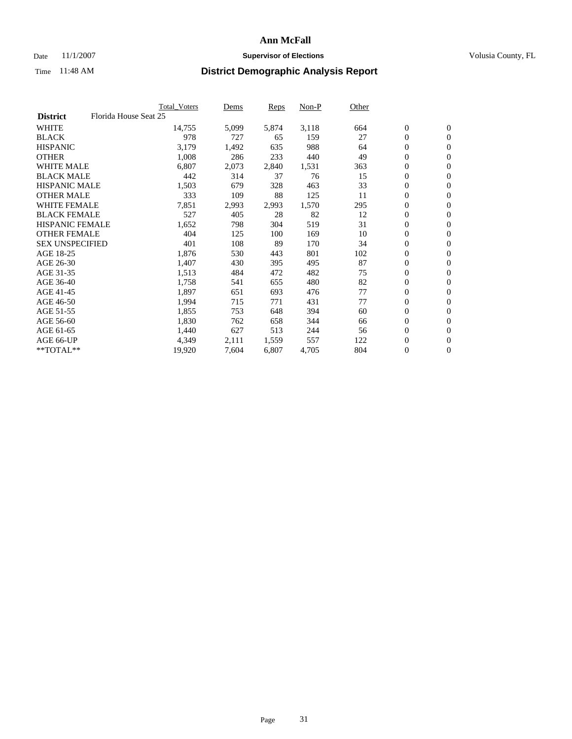#### Date 11/1/2007 **Supervisor of Elections Supervisor of Elections** Volusia County, FL

|                        |                       | Total_Voters | Dems  | <b>Reps</b> | Non-P | Other |                  |                  |
|------------------------|-----------------------|--------------|-------|-------------|-------|-------|------------------|------------------|
| <b>District</b>        | Florida House Seat 25 |              |       |             |       |       |                  |                  |
| <b>WHITE</b>           |                       | 14,755       | 5,099 | 5,874       | 3,118 | 664   | $\boldsymbol{0}$ | $\mathbf{0}$     |
| <b>BLACK</b>           |                       | 978          | 727   | 65          | 159   | 27    | $\overline{0}$   | $\mathbf{0}$     |
| <b>HISPANIC</b>        |                       | 3,179        | 1,492 | 635         | 988   | 64    | $\boldsymbol{0}$ | $\mathbf{0}$     |
| <b>OTHER</b>           |                       | 1,008        | 286   | 233         | 440   | 49    | $\boldsymbol{0}$ | $\mathbf{0}$     |
| <b>WHITE MALE</b>      |                       | 6,807        | 2,073 | 2,840       | 1,531 | 363   | 0                | $\mathbf{0}$     |
| <b>BLACK MALE</b>      |                       | 442          | 314   | 37          | 76    | 15    | $\boldsymbol{0}$ | $\boldsymbol{0}$ |
| <b>HISPANIC MALE</b>   |                       | 1,503        | 679   | 328         | 463   | 33    | $\overline{0}$   | $\mathbf{0}$     |
| <b>OTHER MALE</b>      |                       | 333          | 109   | 88          | 125   | 11    | $\overline{0}$   | $\mathbf{0}$     |
| <b>WHITE FEMALE</b>    |                       | 7,851        | 2,993 | 2,993       | 1,570 | 295   | $\overline{0}$   | $\mathbf{0}$     |
| <b>BLACK FEMALE</b>    |                       | 527          | 405   | 28          | 82    | 12    | $\boldsymbol{0}$ | $\mathbf{0}$     |
| <b>HISPANIC FEMALE</b> |                       | 1,652        | 798   | 304         | 519   | 31    | $\boldsymbol{0}$ | $\boldsymbol{0}$ |
| <b>OTHER FEMALE</b>    |                       | 404          | 125   | 100         | 169   | 10    | 0                | $\mathbf{0}$     |
| <b>SEX UNSPECIFIED</b> |                       | 401          | 108   | 89          | 170   | 34    | $\boldsymbol{0}$ | $\mathbf{0}$     |
| AGE 18-25              |                       | 1,876        | 530   | 443         | 801   | 102   | $\boldsymbol{0}$ | $\mathbf{0}$     |
| AGE 26-30              |                       | 1,407        | 430   | 395         | 495   | 87    | $\overline{0}$   | $\mathbf{0}$     |
| AGE 31-35              |                       | 1,513        | 484   | 472         | 482   | 75    | $\overline{0}$   | $\mathbf{0}$     |
| AGE 36-40              |                       | 1,758        | 541   | 655         | 480   | 82    | $\boldsymbol{0}$ | $\mathbf{0}$     |
| AGE 41-45              |                       | 1,897        | 651   | 693         | 476   | 77    | $\boldsymbol{0}$ | $\mathbf{0}$     |
| AGE 46-50              |                       | 1,994        | 715   | 771         | 431   | 77    | 0                | $\mathbf{0}$     |
| AGE 51-55              |                       | 1,855        | 753   | 648         | 394   | 60    | $\boldsymbol{0}$ | $\boldsymbol{0}$ |
| AGE 56-60              |                       | 1,830        | 762   | 658         | 344   | 66    | $\overline{0}$   | $\mathbf{0}$     |
| AGE 61-65              |                       | 1,440        | 627   | 513         | 244   | 56    | $\mathbf{0}$     | $\mathbf{0}$     |
| AGE 66-UP              |                       | 4,349        | 2,111 | 1,559       | 557   | 122   | $\boldsymbol{0}$ | $\mathbf{0}$     |
| **TOTAL**              |                       | 19,920       | 7,604 | 6,807       | 4,705 | 804   | 0                | $\overline{0}$   |
|                        |                       |              |       |             |       |       |                  |                  |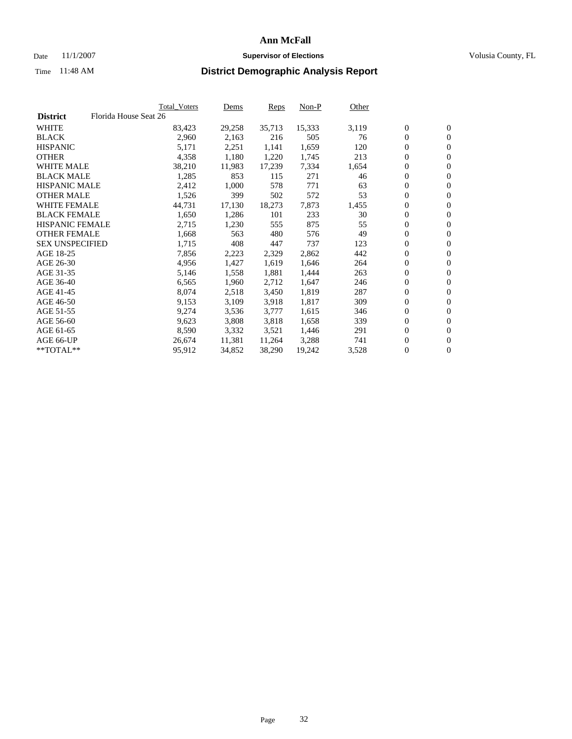#### Date 11/1/2007 **Supervisor of Elections Supervisor of Elections** Volusia County, FL

|                        | Total_Voters          | Dems   | <b>Reps</b> | Non-P  | Other |                  |                |  |
|------------------------|-----------------------|--------|-------------|--------|-------|------------------|----------------|--|
| <b>District</b>        | Florida House Seat 26 |        |             |        |       |                  |                |  |
| <b>WHITE</b>           | 83,423                | 29,258 | 35,713      | 15,333 | 3,119 | $\overline{0}$   | $\mathbf{0}$   |  |
| <b>BLACK</b>           | 2,960                 | 2,163  | 216         | 505    | 76    | $\overline{0}$   | $\mathbf{0}$   |  |
| <b>HISPANIC</b>        | 5,171                 | 2,251  | 1,141       | 1,659  | 120   | $\boldsymbol{0}$ | $\mathbf{0}$   |  |
| <b>OTHER</b>           | 4,358                 | 1,180  | 1,220       | 1,745  | 213   | $\boldsymbol{0}$ | $\mathbf{0}$   |  |
| <b>WHITE MALE</b>      | 38,210                | 11,983 | 17,239      | 7,334  | 1,654 | 0                | $\mathbf{0}$   |  |
| <b>BLACK MALE</b>      | 1,285                 | 853    | 115         | 271    | 46    | $\boldsymbol{0}$ | $\mathbf{0}$   |  |
| <b>HISPANIC MALE</b>   | 2,412                 | 1,000  | 578         | 771    | 63    | $\overline{0}$   | $\mathbf{0}$   |  |
| <b>OTHER MALE</b>      | 1,526                 | 399    | 502         | 572    | 53    | $\overline{0}$   | $\mathbf{0}$   |  |
| <b>WHITE FEMALE</b>    | 44,731                | 17,130 | 18,273      | 7,873  | 1,455 | $\mathbf{0}$     | $\mathbf{0}$   |  |
| <b>BLACK FEMALE</b>    | 1,650                 | 1,286  | 101         | 233    | 30    | $\boldsymbol{0}$ | $\mathbf{0}$   |  |
| HISPANIC FEMALE        | 2,715                 | 1,230  | 555         | 875    | 55    | $\boldsymbol{0}$ | $\mathbf{0}$   |  |
| <b>OTHER FEMALE</b>    | 1,668                 | 563    | 480         | 576    | 49    | 0                | $\mathbf{0}$   |  |
| <b>SEX UNSPECIFIED</b> | 1,715                 | 408    | 447         | 737    | 123   | $\boldsymbol{0}$ | $\mathbf{0}$   |  |
| AGE 18-25              | 7,856                 | 2,223  | 2,329       | 2,862  | 442   | $\boldsymbol{0}$ | $\mathbf{0}$   |  |
| AGE 26-30              | 4,956                 | 1,427  | 1,619       | 1,646  | 264   | $\overline{0}$   | $\mathbf{0}$   |  |
| AGE 31-35              | 5,146                 | 1,558  | 1,881       | 1,444  | 263   | $\overline{0}$   | $\mathbf{0}$   |  |
| AGE 36-40              | 6,565                 | 1,960  | 2,712       | 1,647  | 246   | $\boldsymbol{0}$ | $\mathbf{0}$   |  |
| AGE 41-45              | 8,074                 | 2,518  | 3,450       | 1,819  | 287   | $\boldsymbol{0}$ | $\mathbf{0}$   |  |
| AGE 46-50              | 9,153                 | 3,109  | 3,918       | 1,817  | 309   | 0                | $\mathbf{0}$   |  |
| AGE 51-55              | 9,274                 | 3,536  | 3,777       | 1,615  | 346   | $\boldsymbol{0}$ | $\mathbf{0}$   |  |
| AGE 56-60              | 9,623                 | 3,808  | 3,818       | 1,658  | 339   | $\overline{0}$   | $\mathbf{0}$   |  |
| AGE 61-65              | 8,590                 | 3,332  | 3,521       | 1,446  | 291   | $\mathbf{0}$     | $\mathbf{0}$   |  |
| AGE 66-UP              | 26,674                | 11,381 | 11,264      | 3,288  | 741   | $\boldsymbol{0}$ | $\mathbf{0}$   |  |
| **TOTAL**              | 95,912                | 34,852 | 38,290      | 19,242 | 3,528 | 0                | $\overline{0}$ |  |
|                        |                       |        |             |        |       |                  |                |  |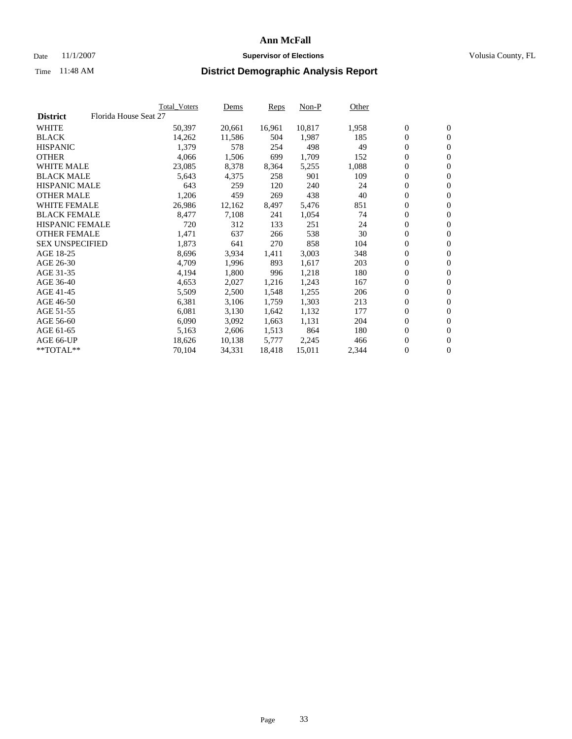#### Date 11/1/2007 **Supervisor of Elections Supervisor of Elections** Volusia County, FL

|                        | Total_Voters          | Dems   | <b>Reps</b> | Non-P  | Other |                  |                  |  |
|------------------------|-----------------------|--------|-------------|--------|-------|------------------|------------------|--|
| <b>District</b>        | Florida House Seat 27 |        |             |        |       |                  |                  |  |
| <b>WHITE</b>           | 50,397                | 20,661 | 16,961      | 10,817 | 1,958 | $\overline{0}$   | $\mathbf{0}$     |  |
| <b>BLACK</b>           | 14,262                | 11,586 | 504         | 1,987  | 185   | $\overline{0}$   | $\mathbf{0}$     |  |
| <b>HISPANIC</b>        | 1,379                 | 578    | 254         | 498    | 49    | $\boldsymbol{0}$ | $\mathbf{0}$     |  |
| <b>OTHER</b>           | 4,066                 | 1,506  | 699         | 1,709  | 152   | 0                | $\mathbf{0}$     |  |
| <b>WHITE MALE</b>      | 23,085                | 8,378  | 8,364       | 5,255  | 1,088 | 0                | $\mathbf{0}$     |  |
| <b>BLACK MALE</b>      | 5,643                 | 4,375  | 258         | 901    | 109   | $\boldsymbol{0}$ | $\mathbf{0}$     |  |
| <b>HISPANIC MALE</b>   | 643                   | 259    | 120         | 240    | 24    | $\overline{0}$   | $\mathbf{0}$     |  |
| <b>OTHER MALE</b>      | 1,206                 | 459    | 269         | 438    | 40    | $\overline{0}$   | $\mathbf{0}$     |  |
| <b>WHITE FEMALE</b>    | 26,986                | 12,162 | 8,497       | 5,476  | 851   | $\overline{0}$   | $\mathbf{0}$     |  |
| <b>BLACK FEMALE</b>    | 8,477                 | 7,108  | 241         | 1,054  | 74    | $\boldsymbol{0}$ | $\mathbf{0}$     |  |
| <b>HISPANIC FEMALE</b> | 720                   | 312    | 133         | 251    | 24    | $\boldsymbol{0}$ | $\boldsymbol{0}$ |  |
| <b>OTHER FEMALE</b>    | 1,471                 | 637    | 266         | 538    | 30    | 0                | $\mathbf{0}$     |  |
| <b>SEX UNSPECIFIED</b> | 1,873                 | 641    | 270         | 858    | 104   | $\boldsymbol{0}$ | $\mathbf{0}$     |  |
| AGE 18-25              | 8,696                 | 3,934  | 1,411       | 3,003  | 348   | $\boldsymbol{0}$ | $\mathbf{0}$     |  |
| AGE 26-30              | 4,709                 | 1,996  | 893         | 1,617  | 203   | $\overline{0}$   | $\mathbf{0}$     |  |
| AGE 31-35              | 4,194                 | 1,800  | 996         | 1,218  | 180   | $\boldsymbol{0}$ | $\mathbf{0}$     |  |
| AGE 36-40              | 4,653                 | 2,027  | 1,216       | 1,243  | 167   | $\boldsymbol{0}$ | $\boldsymbol{0}$ |  |
| AGE 41-45              | 5,509                 | 2,500  | 1,548       | 1,255  | 206   | $\boldsymbol{0}$ | $\mathbf{0}$     |  |
| AGE 46-50              | 6,381                 | 3,106  | 1,759       | 1,303  | 213   | 0                | $\mathbf{0}$     |  |
| AGE 51-55              | 6,081                 | 3,130  | 1,642       | 1,132  | 177   | $\boldsymbol{0}$ | $\boldsymbol{0}$ |  |
| AGE 56-60              | 6,090                 | 3,092  | 1,663       | 1,131  | 204   | $\overline{0}$   | $\mathbf{0}$     |  |
| AGE 61-65              | 5,163                 | 2,606  | 1,513       | 864    | 180   | $\mathbf{0}$     | $\mathbf{0}$     |  |
| AGE 66-UP              | 18,626                | 10,138 | 5,777       | 2,245  | 466   | $\boldsymbol{0}$ | $\boldsymbol{0}$ |  |
| **TOTAL**              | 70,104                | 34,331 | 18,418      | 15,011 | 2,344 | 0                | $\overline{0}$   |  |
|                        |                       |        |             |        |       |                  |                  |  |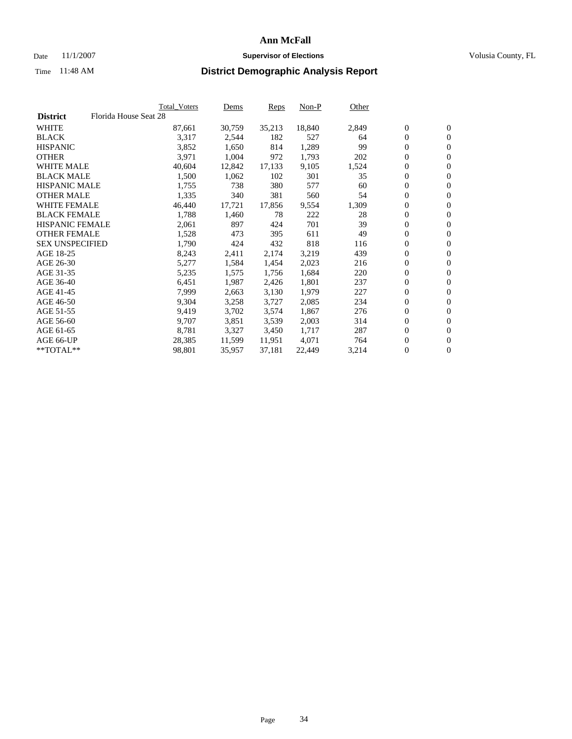#### Date 11/1/2007 **Supervisor of Elections Supervisor of Elections** Volusia County, FL

|                        |                       | Total_Voters | Dems   | <b>Reps</b> | Non-P  | Other |                  |                  |  |
|------------------------|-----------------------|--------------|--------|-------------|--------|-------|------------------|------------------|--|
| <b>District</b>        | Florida House Seat 28 |              |        |             |        |       |                  |                  |  |
| <b>WHITE</b>           |                       | 87,661       | 30,759 | 35,213      | 18,840 | 2,849 | $\overline{0}$   | $\mathbf{0}$     |  |
| <b>BLACK</b>           |                       | 3,317        | 2,544  | 182         | 527    | 64    | $\overline{0}$   | $\mathbf{0}$     |  |
| <b>HISPANIC</b>        |                       | 3,852        | 1,650  | 814         | 1,289  | 99    | $\boldsymbol{0}$ | $\mathbf{0}$     |  |
| <b>OTHER</b>           |                       | 3,971        | 1,004  | 972         | 1,793  | 202   | $\boldsymbol{0}$ | $\mathbf{0}$     |  |
| <b>WHITE MALE</b>      |                       | 40,604       | 12,842 | 17,133      | 9,105  | 1,524 | 0                | $\mathbf{0}$     |  |
| <b>BLACK MALE</b>      |                       | 1,500        | 1,062  | 102         | 301    | 35    | $\boldsymbol{0}$ | $\boldsymbol{0}$ |  |
| <b>HISPANIC MALE</b>   |                       | 1,755        | 738    | 380         | 577    | 60    | $\overline{0}$   | $\mathbf{0}$     |  |
| <b>OTHER MALE</b>      |                       | 1,335        | 340    | 381         | 560    | 54    | $\overline{0}$   | $\mathbf{0}$     |  |
| <b>WHITE FEMALE</b>    |                       | 46,440       | 17,721 | 17,856      | 9,554  | 1,309 | $\mathbf{0}$     | $\mathbf{0}$     |  |
| <b>BLACK FEMALE</b>    |                       | 1,788        | 1,460  | 78          | 222    | 28    | $\boldsymbol{0}$ | $\mathbf{0}$     |  |
| HISPANIC FEMALE        |                       | 2,061        | 897    | 424         | 701    | 39    | $\boldsymbol{0}$ | $\boldsymbol{0}$ |  |
| <b>OTHER FEMALE</b>    |                       | 1,528        | 473    | 395         | 611    | 49    | 0                | $\mathbf{0}$     |  |
| <b>SEX UNSPECIFIED</b> |                       | 1,790        | 424    | 432         | 818    | 116   | $\boldsymbol{0}$ | $\mathbf{0}$     |  |
| AGE 18-25              |                       | 8,243        | 2,411  | 2,174       | 3,219  | 439   | $\boldsymbol{0}$ | $\mathbf{0}$     |  |
| AGE 26-30              |                       | 5,277        | 1,584  | 1,454       | 2,023  | 216   | $\overline{0}$   | $\mathbf{0}$     |  |
| AGE 31-35              |                       | 5,235        | 1,575  | 1,756       | 1,684  | 220   | $\overline{0}$   | $\mathbf{0}$     |  |
| AGE 36-40              |                       | 6,451        | 1,987  | 2,426       | 1,801  | 237   | $\boldsymbol{0}$ | $\boldsymbol{0}$ |  |
| AGE 41-45              |                       | 7,999        | 2,663  | 3,130       | 1,979  | 227   | $\boldsymbol{0}$ | $\mathbf{0}$     |  |
| AGE 46-50              |                       | 9,304        | 3,258  | 3,727       | 2,085  | 234   | 0                | $\mathbf{0}$     |  |
| AGE 51-55              |                       | 9,419        | 3,702  | 3,574       | 1,867  | 276   | $\boldsymbol{0}$ | $\mathbf{0}$     |  |
| AGE 56-60              |                       | 9,707        | 3,851  | 3,539       | 2,003  | 314   | $\overline{0}$   | $\mathbf{0}$     |  |
| AGE 61-65              |                       | 8,781        | 3,327  | 3,450       | 1,717  | 287   | $\mathbf{0}$     | $\mathbf{0}$     |  |
| AGE 66-UP              |                       | 28,385       | 11,599 | 11,951      | 4,071  | 764   | $\boldsymbol{0}$ | $\mathbf{0}$     |  |
| **TOTAL**              |                       | 98,801       | 35,957 | 37,181      | 22,449 | 3,214 | 0                | $\overline{0}$   |  |
|                        |                       |              |        |             |        |       |                  |                  |  |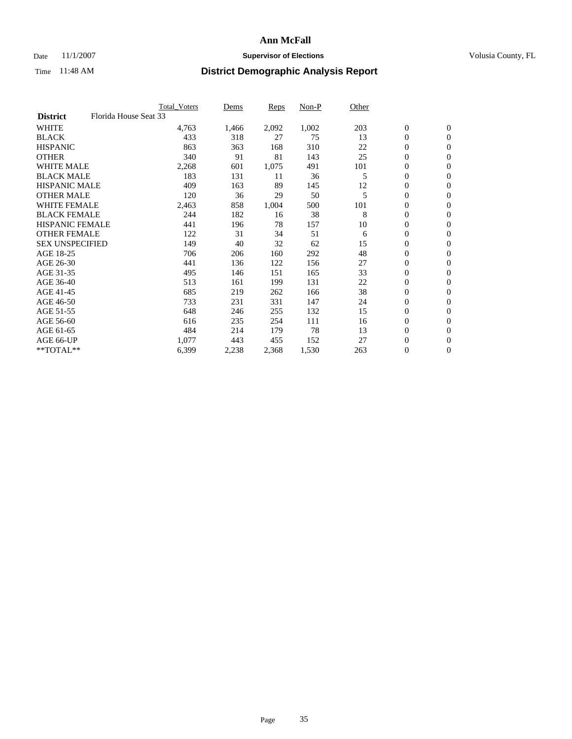### Date 11/1/2007 **Supervisor of Elections Supervisor of Elections** Volusia County, FL

|                        | <b>Total Voters</b>   | Dems  | Reps  | Non-P | Other |                  |                |  |
|------------------------|-----------------------|-------|-------|-------|-------|------------------|----------------|--|
| <b>District</b>        | Florida House Seat 33 |       |       |       |       |                  |                |  |
| <b>WHITE</b>           | 4,763                 | 1,466 | 2,092 | 1,002 | 203   | $\boldsymbol{0}$ | $\mathbf{0}$   |  |
| <b>BLACK</b>           | 433                   | 318   | 27    | 75    | 13    | $\mathbf{0}$     | $\mathbf{0}$   |  |
| <b>HISPANIC</b>        | 863                   | 363   | 168   | 310   | 22    | 0                | $\overline{0}$ |  |
| <b>OTHER</b>           | 340                   | 91    | 81    | 143   | 25    | 0                | $\mathbf{0}$   |  |
| <b>WHITE MALE</b>      | 2,268                 | 601   | 1,075 | 491   | 101   | 0                | $\mathbf{0}$   |  |
| <b>BLACK MALE</b>      | 183                   | 131   | 11    | 36    | 5     | $\boldsymbol{0}$ | $\mathbf{0}$   |  |
| <b>HISPANIC MALE</b>   | 409                   | 163   | 89    | 145   | 12    | 0                | $\mathbf{0}$   |  |
| <b>OTHER MALE</b>      | 120                   | 36    | 29    | 50    | 5     | $\mathbf{0}$     | $\mathbf{0}$   |  |
| <b>WHITE FEMALE</b>    | 2,463                 | 858   | 1,004 | 500   | 101   | 0                | $\mathbf{0}$   |  |
| <b>BLACK FEMALE</b>    | 244                   | 182   | 16    | 38    | 8     | $\boldsymbol{0}$ | $\mathbf{0}$   |  |
| <b>HISPANIC FEMALE</b> | 441                   | 196   | 78    | 157   | 10    | 0                | $\mathbf{0}$   |  |
| <b>OTHER FEMALE</b>    | 122                   | 31    | 34    | 51    | 6     | 0                | $\mathbf{0}$   |  |
| <b>SEX UNSPECIFIED</b> | 149                   | 40    | 32    | 62    | 15    | 0                | $\mathbf{0}$   |  |
| AGE 18-25              | 706                   | 206   | 160   | 292   | 48    | 0                | $\mathbf{0}$   |  |
| AGE 26-30              | 441                   | 136   | 122   | 156   | 27    | $\mathbf{0}$     | $\mathbf{0}$   |  |
| AGE 31-35              | 495                   | 146   | 151   | 165   | 33    | 0                | $\mathbf{0}$   |  |
| AGE 36-40              | 513                   | 161   | 199   | 131   | 22    | 0                | $\mathbf{0}$   |  |
| AGE 41-45              | 685                   | 219   | 262   | 166   | 38    | 0                | $\mathbf{0}$   |  |
| AGE 46-50              | 733                   | 231   | 331   | 147   | 24    | 0                | $\mathbf{0}$   |  |
| AGE 51-55              | 648                   | 246   | 255   | 132   | 15    | $\boldsymbol{0}$ | $\mathbf{0}$   |  |
| AGE 56-60              | 616                   | 235   | 254   | 111   | 16    | 0                | $\mathbf{0}$   |  |
| AGE 61-65              | 484                   | 214   | 179   | 78    | 13    | $\mathbf{0}$     | $\mathbf{0}$   |  |
| AGE 66-UP              | 1,077                 | 443   | 455   | 152   | 27    | 0                | $\mathbf{0}$   |  |
| $*$ TOTAL $**$         | 6,399                 | 2,238 | 2,368 | 1,530 | 263   | 0                | $\overline{0}$ |  |
|                        |                       |       |       |       |       |                  |                |  |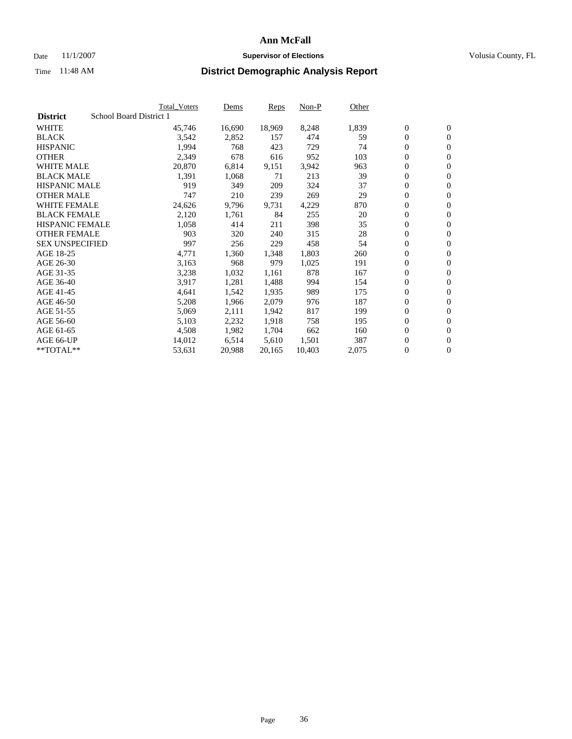#### Date 11/1/2007 **Supervisor of Elections Supervisor of Elections** Volusia County, FL

|                        | Total_Voters            | Dems   | <b>Reps</b> | Non-P  | Other |                  |                  |  |
|------------------------|-------------------------|--------|-------------|--------|-------|------------------|------------------|--|
| <b>District</b>        | School Board District 1 |        |             |        |       |                  |                  |  |
| <b>WHITE</b>           | 45,746                  | 16,690 | 18,969      | 8,248  | 1,839 | $\overline{0}$   | $\mathbf{0}$     |  |
| <b>BLACK</b>           | 3,542                   | 2,852  | 157         | 474    | 59    | $\overline{0}$   | $\mathbf{0}$     |  |
| <b>HISPANIC</b>        | 1,994                   | 768    | 423         | 729    | 74    | $\boldsymbol{0}$ | $\mathbf{0}$     |  |
| <b>OTHER</b>           | 2,349                   | 678    | 616         | 952    | 103   | 0                | $\mathbf{0}$     |  |
| <b>WHITE MALE</b>      | 20,870                  | 6,814  | 9,151       | 3,942  | 963   | 0                | $\mathbf{0}$     |  |
| <b>BLACK MALE</b>      | 1,391                   | 1,068  | 71          | 213    | 39    | $\boldsymbol{0}$ | $\boldsymbol{0}$ |  |
| <b>HISPANIC MALE</b>   | 919                     | 349    | 209         | 324    | 37    | $\overline{0}$   | $\mathbf{0}$     |  |
| <b>OTHER MALE</b>      | 747                     | 210    | 239         | 269    | 29    | $\overline{0}$   | $\mathbf{0}$     |  |
| <b>WHITE FEMALE</b>    | 24,626                  | 9,796  | 9,731       | 4,229  | 870   | $\mathbf{0}$     | $\mathbf{0}$     |  |
| <b>BLACK FEMALE</b>    | 2,120                   | 1,761  | 84          | 255    | 20    | $\boldsymbol{0}$ | $\mathbf{0}$     |  |
| <b>HISPANIC FEMALE</b> | 1,058                   | 414    | 211         | 398    | 35    | $\boldsymbol{0}$ | $\boldsymbol{0}$ |  |
| <b>OTHER FEMALE</b>    | 903                     | 320    | 240         | 315    | 28    | 0                | $\mathbf{0}$     |  |
| <b>SEX UNSPECIFIED</b> | 997                     | 256    | 229         | 458    | 54    | $\boldsymbol{0}$ | $\mathbf{0}$     |  |
| AGE 18-25              | 4,771                   | 1,360  | 1,348       | 1,803  | 260   | $\boldsymbol{0}$ | $\mathbf{0}$     |  |
| AGE 26-30              | 3,163                   | 968    | 979         | 1,025  | 191   | $\overline{0}$   | $\mathbf{0}$     |  |
| AGE 31-35              | 3,238                   | 1,032  | 1,161       | 878    | 167   | $\overline{0}$   | $\mathbf{0}$     |  |
| AGE 36-40              | 3,917                   | 1,281  | 1,488       | 994    | 154   | $\boldsymbol{0}$ | $\mathbf{0}$     |  |
| AGE 41-45              | 4,641                   | 1,542  | 1,935       | 989    | 175   | $\boldsymbol{0}$ | $\mathbf{0}$     |  |
| AGE 46-50              | 5,208                   | 1,966  | 2,079       | 976    | 187   | 0                | $\mathbf{0}$     |  |
| AGE 51-55              | 5,069                   | 2,111  | 1,942       | 817    | 199   | $\boldsymbol{0}$ | $\boldsymbol{0}$ |  |
| AGE 56-60              | 5,103                   | 2,232  | 1,918       | 758    | 195   | $\overline{0}$   | $\mathbf{0}$     |  |
| AGE 61-65              | 4,508                   | 1,982  | 1,704       | 662    | 160   | $\mathbf{0}$     | $\mathbf{0}$     |  |
| AGE 66-UP              | 14,012                  | 6,514  | 5,610       | 1,501  | 387   | $\boldsymbol{0}$ | $\boldsymbol{0}$ |  |
| **TOTAL**              | 53,631                  | 20,988 | 20,165      | 10,403 | 2,075 | 0                | $\overline{0}$   |  |
|                        |                         |        |             |        |       |                  |                  |  |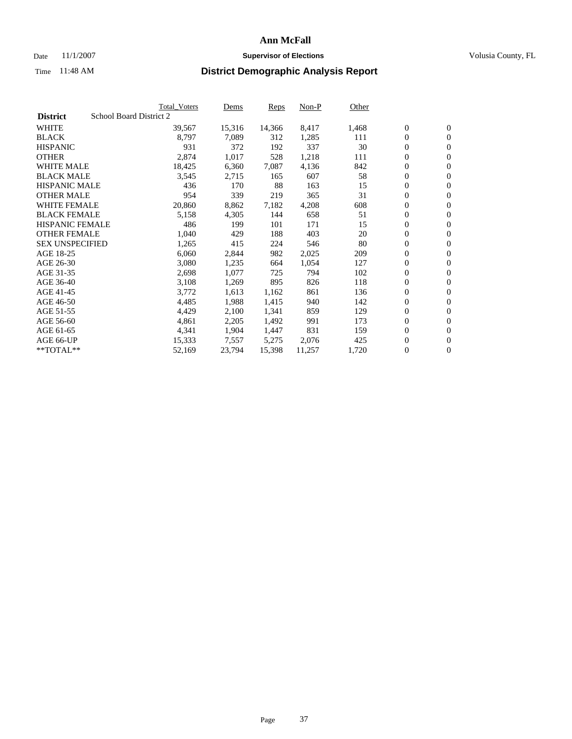### Date 11/1/2007 **Supervisor of Elections Supervisor of Elections** Volusia County, FL

|                        | <b>Total_Voters</b>     | Dems   | <b>Reps</b> | Non-P  | Other |                  |                  |  |
|------------------------|-------------------------|--------|-------------|--------|-------|------------------|------------------|--|
| <b>District</b>        | School Board District 2 |        |             |        |       |                  |                  |  |
| <b>WHITE</b>           | 39,567                  | 15,316 | 14,366      | 8,417  | 1,468 | $\boldsymbol{0}$ | $\mathbf{0}$     |  |
| <b>BLACK</b>           | 8,797                   | 7,089  | 312         | 1,285  | 111   | $\overline{0}$   | $\mathbf{0}$     |  |
| <b>HISPANIC</b>        | 931                     | 372    | 192         | 337    | 30    | $\overline{0}$   | $\mathbf{0}$     |  |
| <b>OTHER</b>           | 2,874                   | 1,017  | 528         | 1,218  | 111   | 0                | $\overline{0}$   |  |
| <b>WHITE MALE</b>      | 18,425                  | 6,360  | 7,087       | 4,136  | 842   | $\overline{0}$   | $\mathbf{0}$     |  |
| <b>BLACK MALE</b>      | 3,545                   | 2,715  | 165         | 607    | 58    | $\boldsymbol{0}$ | $\boldsymbol{0}$ |  |
| <b>HISPANIC MALE</b>   | 436                     | 170    | 88          | 163    | 15    | 0                | $\mathbf{0}$     |  |
| <b>OTHER MALE</b>      | 954                     | 339    | 219         | 365    | 31    | 0                | $\boldsymbol{0}$ |  |
| <b>WHITE FEMALE</b>    | 20,860                  | 8,862  | 7,182       | 4,208  | 608   | 0                | $\mathbf{0}$     |  |
| <b>BLACK FEMALE</b>    | 5,158                   | 4,305  | 144         | 658    | 51    | $\overline{0}$   | $\mathbf{0}$     |  |
| <b>HISPANIC FEMALE</b> | 486                     | 199    | 101         | 171    | 15    | 0                | $\mathbf{0}$     |  |
| <b>OTHER FEMALE</b>    | 1,040                   | 429    | 188         | 403    | 20    | $\overline{0}$   | $\mathbf{0}$     |  |
| <b>SEX UNSPECIFIED</b> | 1,265                   | 415    | 224         | 546    | 80    | $\boldsymbol{0}$ | $\boldsymbol{0}$ |  |
| AGE 18-25              | 6,060                   | 2,844  | 982         | 2,025  | 209   | 0                | $\mathbf{0}$     |  |
| AGE 26-30              | 3,080                   | 1,235  | 664         | 1,054  | 127   | 0                | $\mathbf{0}$     |  |
| AGE 31-35              | 2,698                   | 1,077  | 725         | 794    | 102   | 0                | $\mathbf{0}$     |  |
| AGE 36-40              | 3,108                   | 1,269  | 895         | 826    | 118   | $\boldsymbol{0}$ | $\mathbf{0}$     |  |
| AGE 41-45              | 3,772                   | 1,613  | 1,162       | 861    | 136   | 0                | $\mathbf{0}$     |  |
| AGE 46-50              | 4,485                   | 1,988  | 1,415       | 940    | 142   | $\overline{0}$   | $\mathbf{0}$     |  |
| AGE 51-55              | 4,429                   | 2,100  | 1,341       | 859    | 129   | 0                | $\mathbf{0}$     |  |
| AGE 56-60              | 4,861                   | 2,205  | 1,492       | 991    | 173   | $\overline{0}$   | $\mathbf{0}$     |  |
| AGE 61-65              | 4,341                   | 1,904  | 1,447       | 831    | 159   | 0                | $\boldsymbol{0}$ |  |
| AGE 66-UP              | 15,333                  | 7,557  | 5,275       | 2,076  | 425   | 0                | $\mathbf{0}$     |  |
| $*$ TOTAL $**$         | 52,169                  | 23,794 | 15,398      | 11,257 | 1,720 | 0                | $\boldsymbol{0}$ |  |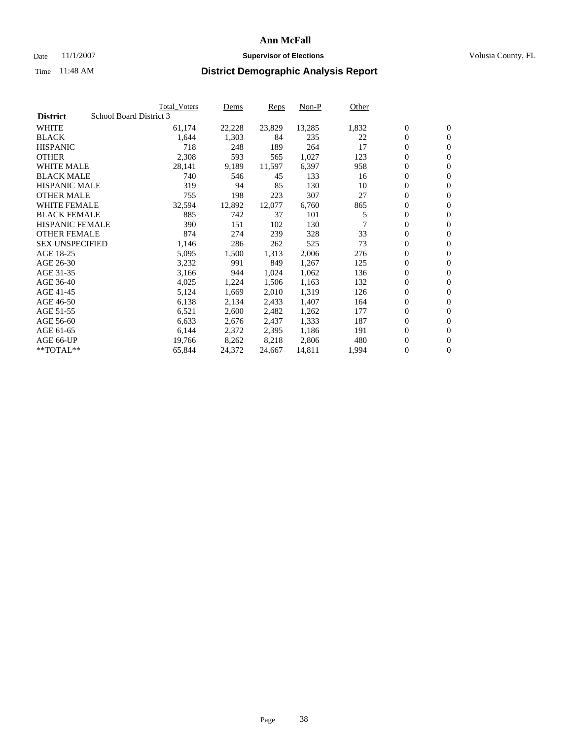### Date 11/1/2007 **Supervisor of Elections Supervisor of Elections** Volusia County, FL

|                        | <b>Total_Voters</b>     | Dems   | Reps   | Non-P  | Other |                  |                  |
|------------------------|-------------------------|--------|--------|--------|-------|------------------|------------------|
| <b>District</b>        | School Board District 3 |        |        |        |       |                  |                  |
| <b>WHITE</b>           | 61,174                  | 22,228 | 23,829 | 13,285 | 1,832 | $\boldsymbol{0}$ | $\mathbf{0}$     |
| <b>BLACK</b>           | 1,644                   | 1,303  | 84     | 235    | 22    | $\boldsymbol{0}$ | $\mathbf{0}$     |
| <b>HISPANIC</b>        | 718                     | 248    | 189    | 264    | 17    | $\boldsymbol{0}$ | $\mathbf{0}$     |
| <b>OTHER</b>           | 2,308                   | 593    | 565    | 1,027  | 123   | $\boldsymbol{0}$ | $\boldsymbol{0}$ |
| <b>WHITE MALE</b>      | 28,141                  | 9,189  | 11,597 | 6,397  | 958   | 0                | $\mathbf{0}$     |
| <b>BLACK MALE</b>      | 740                     | 546    | 45     | 133    | 16    | $\boldsymbol{0}$ | $\boldsymbol{0}$ |
| <b>HISPANIC MALE</b>   | 319                     | 94     | 85     | 130    | 10    | $\overline{0}$   | $\mathbf{0}$     |
| <b>OTHER MALE</b>      | 755                     | 198    | 223    | 307    | 27    | $\overline{0}$   | $\mathbf{0}$     |
| <b>WHITE FEMALE</b>    | 32,594                  | 12,892 | 12,077 | 6,760  | 865   | $\boldsymbol{0}$ | $\boldsymbol{0}$ |
| <b>BLACK FEMALE</b>    | 885                     | 742    | 37     | 101    | 5     | $\boldsymbol{0}$ | $\mathbf{0}$     |
| <b>HISPANIC FEMALE</b> | 390                     | 151    | 102    | 130    |       | $\boldsymbol{0}$ | $\boldsymbol{0}$ |
| <b>OTHER FEMALE</b>    | 874                     | 274    | 239    | 328    | 33    | $\overline{0}$   | $\mathbf{0}$     |
| <b>SEX UNSPECIFIED</b> | 1,146                   | 286    | 262    | 525    | 73    | $\boldsymbol{0}$ | $\mathbf{0}$     |
| AGE 18-25              | 5,095                   | 1,500  | 1,313  | 2,006  | 276   | $\overline{0}$   | $\mathbf{0}$     |
| AGE 26-30              | 3,232                   | 991    | 849    | 1,267  | 125   | $\boldsymbol{0}$ | $\boldsymbol{0}$ |
| AGE 31-35              | 3,166                   | 944    | 1,024  | 1,062  | 136   | $\boldsymbol{0}$ | $\boldsymbol{0}$ |
| AGE 36-40              | 4,025                   | 1,224  | 1,506  | 1,163  | 132   | 0                | $\mathbf{0}$     |
| AGE 41-45              | 5,124                   | 1,669  | 2,010  | 1,319  | 126   | $\overline{0}$   | $\mathbf{0}$     |
| AGE 46-50              | 6,138                   | 2,134  | 2,433  | 1,407  | 164   | $\overline{0}$   | $\mathbf{0}$     |
| AGE 51-55              | 6,521                   | 2,600  | 2,482  | 1,262  | 177   | $\overline{0}$   | $\mathbf{0}$     |
| AGE 56-60              | 6,633                   | 2,676  | 2,437  | 1,333  | 187   | $\boldsymbol{0}$ | $\boldsymbol{0}$ |
| AGE 61-65              | 6,144                   | 2,372  | 2,395  | 1,186  | 191   | 0                | $\mathbf{0}$     |
| AGE 66-UP              | 19,766                  | 8,262  | 8,218  | 2,806  | 480   | $\boldsymbol{0}$ | $\boldsymbol{0}$ |
| **TOTAL**              | 65,844                  | 24,372 | 24,667 | 14,811 | 1,994 | $\overline{0}$   | $\mathbf{0}$     |
|                        |                         |        |        |        |       |                  |                  |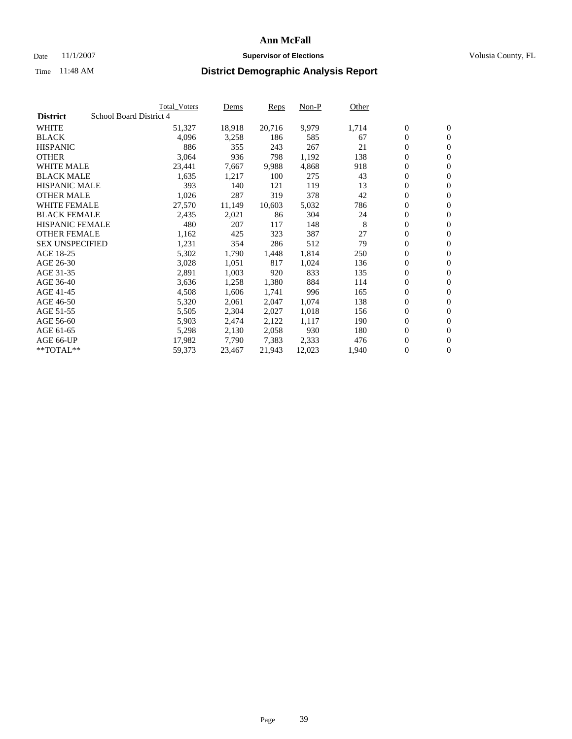#### Date 11/1/2007 **Supervisor of Elections Supervisor of Elections** Volusia County, FL

|                        |                         | <b>Total_Voters</b> | Dems   | <b>Reps</b> | Non-P  | Other |                  |                  |  |
|------------------------|-------------------------|---------------------|--------|-------------|--------|-------|------------------|------------------|--|
| <b>District</b>        | School Board District 4 |                     |        |             |        |       |                  |                  |  |
| <b>WHITE</b>           |                         | 51,327              | 18,918 | 20,716      | 9,979  | 1,714 | $\overline{0}$   | $\mathbf{0}$     |  |
| <b>BLACK</b>           |                         | 4,096               | 3,258  | 186         | 585    | 67    | $\overline{0}$   | $\mathbf{0}$     |  |
| <b>HISPANIC</b>        |                         | 886                 | 355    | 243         | 267    | 21    | $\boldsymbol{0}$ | $\mathbf{0}$     |  |
| <b>OTHER</b>           |                         | 3,064               | 936    | 798         | 1,192  | 138   | 0                | $\mathbf{0}$     |  |
| <b>WHITE MALE</b>      |                         | 23,441              | 7,667  | 9,988       | 4,868  | 918   | 0                | $\mathbf{0}$     |  |
| <b>BLACK MALE</b>      |                         | 1,635               | 1,217  | 100         | 275    | 43    | $\boldsymbol{0}$ | $\boldsymbol{0}$ |  |
| <b>HISPANIC MALE</b>   |                         | 393                 | 140    | 121         | 119    | 13    | $\overline{0}$   | $\mathbf{0}$     |  |
| <b>OTHER MALE</b>      |                         | 1,026               | 287    | 319         | 378    | 42    | $\overline{0}$   | $\mathbf{0}$     |  |
| <b>WHITE FEMALE</b>    |                         | 27,570              | 11,149 | 10,603      | 5,032  | 786   | $\overline{0}$   | $\mathbf{0}$     |  |
| <b>BLACK FEMALE</b>    |                         | 2,435               | 2,021  | 86          | 304    | 24    | $\boldsymbol{0}$ | $\mathbf{0}$     |  |
| HISPANIC FEMALE        |                         | 480                 | 207    | 117         | 148    | 8     | $\boldsymbol{0}$ | $\boldsymbol{0}$ |  |
| <b>OTHER FEMALE</b>    |                         | 1,162               | 425    | 323         | 387    | 27    | 0                | $\mathbf{0}$     |  |
| <b>SEX UNSPECIFIED</b> |                         | 1,231               | 354    | 286         | 512    | 79    | $\overline{0}$   | $\mathbf{0}$     |  |
| AGE 18-25              |                         | 5,302               | 1,790  | 1,448       | 1,814  | 250   | $\boldsymbol{0}$ | $\mathbf{0}$     |  |
| AGE 26-30              |                         | 3,028               | 1,051  | 817         | 1,024  | 136   | $\overline{0}$   | $\mathbf{0}$     |  |
| AGE 31-35              |                         | 2,891               | 1,003  | 920         | 833    | 135   | $\overline{0}$   | $\mathbf{0}$     |  |
| AGE 36-40              |                         | 3,636               | 1,258  | 1,380       | 884    | 114   | $\boldsymbol{0}$ | $\mathbf{0}$     |  |
| AGE 41-45              |                         | 4,508               | 1,606  | 1,741       | 996    | 165   | $\boldsymbol{0}$ | $\mathbf{0}$     |  |
| AGE 46-50              |                         | 5,320               | 2,061  | 2,047       | 1,074  | 138   | 0                | $\mathbf{0}$     |  |
| AGE 51-55              |                         | 5,505               | 2,304  | 2,027       | 1,018  | 156   | $\boldsymbol{0}$ | $\mathbf{0}$     |  |
| AGE 56-60              |                         | 5,903               | 2,474  | 2,122       | 1,117  | 190   | $\overline{0}$   | $\mathbf{0}$     |  |
| AGE 61-65              |                         | 5,298               | 2,130  | 2,058       | 930    | 180   | $\mathbf{0}$     | $\mathbf{0}$     |  |
| AGE 66-UP              |                         | 17,982              | 7,790  | 7,383       | 2,333  | 476   | $\boldsymbol{0}$ | $\mathbf{0}$     |  |
| **TOTAL**              |                         | 59,373              | 23,467 | 21,943      | 12,023 | 1,940 | 0                | $\overline{0}$   |  |
|                        |                         |                     |        |             |        |       |                  |                  |  |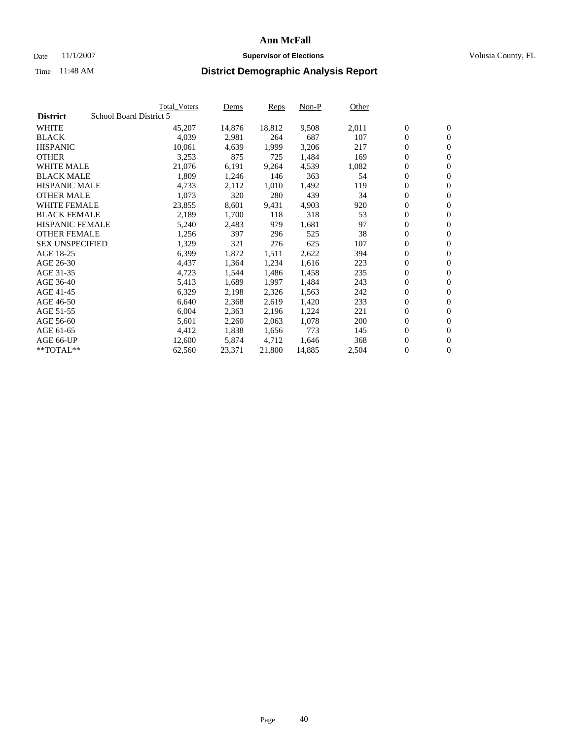#### Date 11/1/2007 **Supervisor of Elections Supervisor of Elections** Volusia County, FL

|                        | <b>Total_Voters</b>     | Dems   | <b>Reps</b> | Non-P  | Other |                  |                |  |
|------------------------|-------------------------|--------|-------------|--------|-------|------------------|----------------|--|
| <b>District</b>        | School Board District 5 |        |             |        |       |                  |                |  |
| <b>WHITE</b>           | 45,207                  | 14,876 | 18,812      | 9,508  | 2,011 | $\overline{0}$   | $\mathbf{0}$   |  |
| <b>BLACK</b>           | 4,039                   | 2,981  | 264         | 687    | 107   | $\overline{0}$   | $\mathbf{0}$   |  |
| <b>HISPANIC</b>        | 10,061                  | 4,639  | 1,999       | 3,206  | 217   | $\boldsymbol{0}$ | $\mathbf{0}$   |  |
| <b>OTHER</b>           | 3,253                   | 875    | 725         | 1,484  | 169   | $\boldsymbol{0}$ | $\mathbf{0}$   |  |
| <b>WHITE MALE</b>      | 21,076                  | 6,191  | 9,264       | 4,539  | 1,082 | 0                | $\mathbf{0}$   |  |
| <b>BLACK MALE</b>      | 1,809                   | 1,246  | 146         | 363    | 54    | $\boldsymbol{0}$ | $\mathbf{0}$   |  |
| <b>HISPANIC MALE</b>   | 4,733                   | 2,112  | 1,010       | 1,492  | 119   | $\overline{0}$   | $\mathbf{0}$   |  |
| <b>OTHER MALE</b>      | 1,073                   | 320    | 280         | 439    | 34    | $\overline{0}$   | $\mathbf{0}$   |  |
| <b>WHITE FEMALE</b>    | 23,855                  | 8,601  | 9,431       | 4,903  | 920   | $\mathbf{0}$     | $\mathbf{0}$   |  |
| <b>BLACK FEMALE</b>    | 2,189                   | 1,700  | 118         | 318    | 53    | $\boldsymbol{0}$ | $\mathbf{0}$   |  |
| <b>HISPANIC FEMALE</b> | 5,240                   | 2,483  | 979         | 1,681  | 97    | $\boldsymbol{0}$ | $\mathbf{0}$   |  |
| <b>OTHER FEMALE</b>    | 1,256                   | 397    | 296         | 525    | 38    | 0                | $\mathbf{0}$   |  |
| <b>SEX UNSPECIFIED</b> | 1,329                   | 321    | 276         | 625    | 107   | $\boldsymbol{0}$ | $\mathbf{0}$   |  |
| AGE 18-25              | 6,399                   | 1,872  | 1,511       | 2,622  | 394   | $\boldsymbol{0}$ | $\mathbf{0}$   |  |
| AGE 26-30              | 4,437                   | 1,364  | 1,234       | 1,616  | 223   | $\overline{0}$   | $\mathbf{0}$   |  |
| AGE 31-35              | 4,723                   | 1,544  | 1,486       | 1,458  | 235   | $\overline{0}$   | $\mathbf{0}$   |  |
| AGE 36-40              | 5,413                   | 1,689  | 1,997       | 1,484  | 243   | $\boldsymbol{0}$ | $\mathbf{0}$   |  |
| AGE 41-45              | 6,329                   | 2,198  | 2,326       | 1,563  | 242   | $\boldsymbol{0}$ | $\mathbf{0}$   |  |
| AGE 46-50              | 6,640                   | 2,368  | 2,619       | 1,420  | 233   | 0                | $\mathbf{0}$   |  |
| AGE 51-55              | 6,004                   | 2,363  | 2,196       | 1,224  | 221   | $\boldsymbol{0}$ | $\mathbf{0}$   |  |
| AGE 56-60              | 5,601                   | 2,260  | 2,063       | 1,078  | 200   | $\overline{0}$   | $\mathbf{0}$   |  |
| AGE 61-65              | 4,412                   | 1,838  | 1,656       | 773    | 145   | $\mathbf{0}$     | $\mathbf{0}$   |  |
| AGE 66-UP              | 12,600                  | 5,874  | 4,712       | 1,646  | 368   | $\boldsymbol{0}$ | $\mathbf{0}$   |  |
| **TOTAL**              | 62,560                  | 23,371 | 21,800      | 14,885 | 2,504 | 0                | $\overline{0}$ |  |
|                        |                         |        |             |        |       |                  |                |  |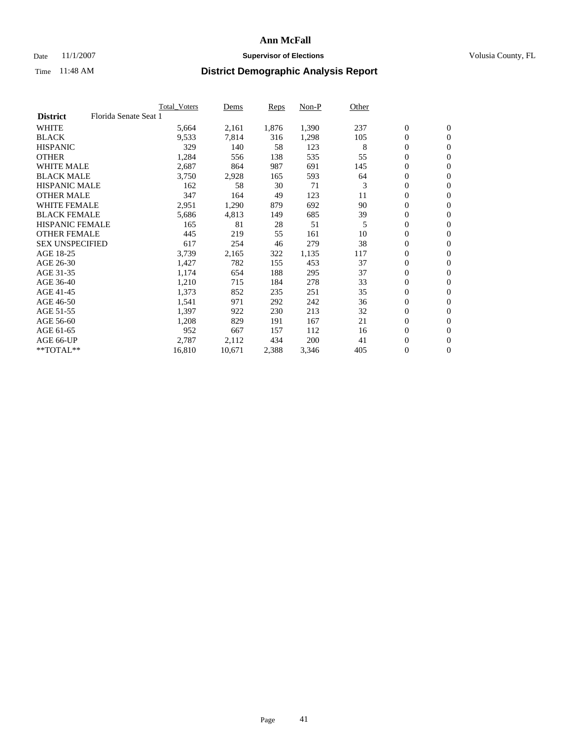### Date 11/1/2007 **Supervisor of Elections Supervisor of Elections** Volusia County, FL

|                        | <b>Total Voters</b>   | Dems   | Reps  | Non-P | Other |                  |                |  |
|------------------------|-----------------------|--------|-------|-------|-------|------------------|----------------|--|
| <b>District</b>        | Florida Senate Seat 1 |        |       |       |       |                  |                |  |
| <b>WHITE</b>           | 5,664                 | 2,161  | 1,876 | 1,390 | 237   | $\mathbf{0}$     | $\mathbf{0}$   |  |
| <b>BLACK</b>           | 9,533                 | 7,814  | 316   | 1,298 | 105   | $\mathbf{0}$     | $\mathbf{0}$   |  |
| <b>HISPANIC</b>        | 329                   | 140    | 58    | 123   | 8     | $\boldsymbol{0}$ | $\overline{0}$ |  |
| <b>OTHER</b>           | 1,284                 | 556    | 138   | 535   | 55    | 0                | $\mathbf{0}$   |  |
| <b>WHITE MALE</b>      | 2,687                 | 864    | 987   | 691   | 145   | 0                | $\mathbf{0}$   |  |
| <b>BLACK MALE</b>      | 3,750                 | 2,928  | 165   | 593   | 64    | 0                | $\mathbf{0}$   |  |
| <b>HISPANIC MALE</b>   | 162                   | 58     | 30    | 71    | 3     | 0                | $\mathbf{0}$   |  |
| <b>OTHER MALE</b>      | 347                   | 164    | 49    | 123   | 11    | $\mathbf{0}$     | $\mathbf{0}$   |  |
| <b>WHITE FEMALE</b>    | 2,951                 | 1,290  | 879   | 692   | 90    | 0                | $\mathbf{0}$   |  |
| <b>BLACK FEMALE</b>    | 5,686                 | 4,813  | 149   | 685   | 39    | $\boldsymbol{0}$ | $\mathbf{0}$   |  |
| <b>HISPANIC FEMALE</b> | 165                   | 81     | 28    | 51    | 5     | $\boldsymbol{0}$ | $\mathbf{0}$   |  |
| <b>OTHER FEMALE</b>    | 445                   | 219    | 55    | 161   | 10    | 0                | $\mathbf{0}$   |  |
| <b>SEX UNSPECIFIED</b> | 617                   | 254    | 46    | 279   | 38    | 0                | $\mathbf{0}$   |  |
| AGE 18-25              | 3,739                 | 2,165  | 322   | 1,135 | 117   | 0                | $\mathbf{0}$   |  |
| AGE 26-30              | 1,427                 | 782    | 155   | 453   | 37    | $\mathbf{0}$     | $\mathbf{0}$   |  |
| AGE 31-35              | 1,174                 | 654    | 188   | 295   | 37    | 0                | $\mathbf{0}$   |  |
| AGE 36-40              | 1,210                 | 715    | 184   | 278   | 33    | 0                | $\mathbf{0}$   |  |
| AGE 41-45              | 1,373                 | 852    | 235   | 251   | 35    | 0                | $\mathbf{0}$   |  |
| AGE 46-50              | 1,541                 | 971    | 292   | 242   | 36    | 0                | $\mathbf{0}$   |  |
| AGE 51-55              | 1,397                 | 922    | 230   | 213   | 32    | $\boldsymbol{0}$ | $\mathbf{0}$   |  |
| AGE 56-60              | 1,208                 | 829    | 191   | 167   | 21    | 0                | $\mathbf{0}$   |  |
| AGE 61-65              | 952                   | 667    | 157   | 112   | 16    | $\mathbf{0}$     | $\mathbf{0}$   |  |
| AGE 66-UP              | 2,787                 | 2,112  | 434   | 200   | 41    | 0                | $\mathbf{0}$   |  |
| $*$ TOTAL $**$         | 16,810                | 10,671 | 2,388 | 3,346 | 405   | 0                | $\mathbf{0}$   |  |
|                        |                       |        |       |       |       |                  |                |  |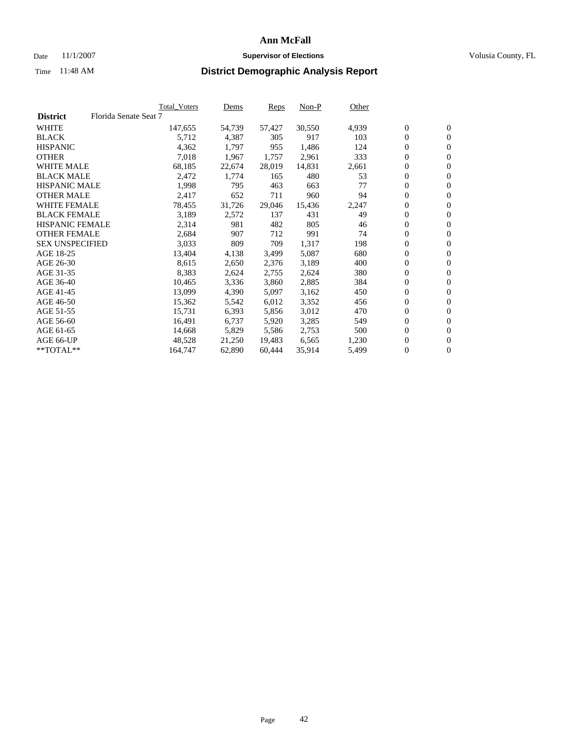#### Date 11/1/2007 **Supervisor of Elections Supervisor of Elections** Volusia County, FL

|                        |                       | Total_Voters | Dems   | <b>Reps</b> | Non-P  | Other |                  |                  |  |
|------------------------|-----------------------|--------------|--------|-------------|--------|-------|------------------|------------------|--|
| <b>District</b>        | Florida Senate Seat 7 |              |        |             |        |       |                  |                  |  |
| <b>WHITE</b>           |                       | 147,655      | 54,739 | 57,427      | 30,550 | 4,939 | $\overline{0}$   | $\mathbf{0}$     |  |
| <b>BLACK</b>           |                       | 5,712        | 4,387  | 305         | 917    | 103   | $\overline{0}$   | $\mathbf{0}$     |  |
| <b>HISPANIC</b>        |                       | 4,362        | 1,797  | 955         | 1,486  | 124   | $\boldsymbol{0}$ | $\mathbf{0}$     |  |
| <b>OTHER</b>           |                       | 7,018        | 1,967  | 1,757       | 2,961  | 333   | $\boldsymbol{0}$ | $\mathbf{0}$     |  |
| <b>WHITE MALE</b>      |                       | 68,185       | 22,674 | 28,019      | 14,831 | 2,661 | 0                | $\mathbf{0}$     |  |
| <b>BLACK MALE</b>      |                       | 2,472        | 1,774  | 165         | 480    | 53    | $\boldsymbol{0}$ | $\mathbf{0}$     |  |
| <b>HISPANIC MALE</b>   |                       | 1,998        | 795    | 463         | 663    | 77    | $\overline{0}$   | $\mathbf{0}$     |  |
| <b>OTHER MALE</b>      |                       | 2,417        | 652    | 711         | 960    | 94    | $\overline{0}$   | $\mathbf{0}$     |  |
| <b>WHITE FEMALE</b>    |                       | 78,455       | 31,726 | 29,046      | 15,436 | 2,247 | $\mathbf{0}$     | $\mathbf{0}$     |  |
| <b>BLACK FEMALE</b>    |                       | 3,189        | 2,572  | 137         | 431    | 49    | $\boldsymbol{0}$ | $\mathbf{0}$     |  |
| HISPANIC FEMALE        |                       | 2,314        | 981    | 482         | 805    | 46    | $\boldsymbol{0}$ | $\mathbf{0}$     |  |
| <b>OTHER FEMALE</b>    |                       | 2,684        | 907    | 712         | 991    | 74    | 0                | $\mathbf{0}$     |  |
| <b>SEX UNSPECIFIED</b> |                       | 3,033        | 809    | 709         | 1,317  | 198   | $\boldsymbol{0}$ | $\mathbf{0}$     |  |
| AGE 18-25              |                       | 13,404       | 4,138  | 3,499       | 5,087  | 680   | $\boldsymbol{0}$ | $\mathbf{0}$     |  |
| AGE 26-30              |                       | 8,615        | 2,650  | 2,376       | 3,189  | 400   | $\overline{0}$   | $\mathbf{0}$     |  |
| AGE 31-35              |                       | 8,383        | 2,624  | 2,755       | 2,624  | 380   | $\overline{0}$   | $\mathbf{0}$     |  |
| AGE 36-40              |                       | 10,465       | 3,336  | 3,860       | 2,885  | 384   | $\boldsymbol{0}$ | $\mathbf{0}$     |  |
| AGE 41-45              |                       | 13,099       | 4,390  | 5,097       | 3,162  | 450   | $\boldsymbol{0}$ | $\mathbf{0}$     |  |
| AGE 46-50              |                       | 15,362       | 5,542  | 6,012       | 3,352  | 456   | 0                | $\mathbf{0}$     |  |
| AGE 51-55              |                       | 15,731       | 6,393  | 5,856       | 3,012  | 470   | $\boldsymbol{0}$ | $\mathbf{0}$     |  |
| AGE 56-60              |                       | 16,491       | 6,737  | 5,920       | 3,285  | 549   | $\overline{0}$   | $\mathbf{0}$     |  |
| AGE 61-65              |                       | 14,668       | 5,829  | 5,586       | 2,753  | 500   | $\mathbf{0}$     | $\boldsymbol{0}$ |  |
| AGE 66-UP              |                       | 48,528       | 21,250 | 19.483      | 6,565  | 1,230 | $\boldsymbol{0}$ | $\mathbf{0}$     |  |
| **TOTAL**              |                       | 164,747      | 62,890 | 60,444      | 35,914 | 5,499 | $\boldsymbol{0}$ | $\overline{0}$   |  |
|                        |                       |              |        |             |        |       |                  |                  |  |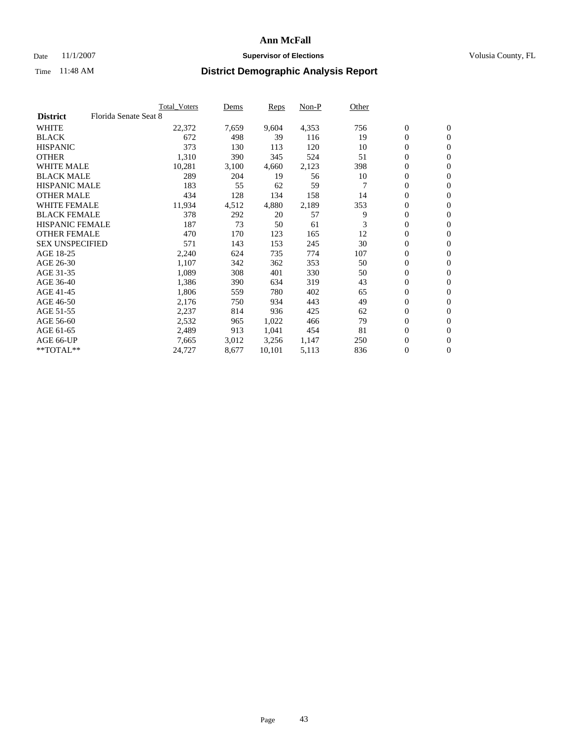### Date 11/1/2007 **Supervisor of Elections Supervisor of Elections** Volusia County, FL

|                        |                       | <b>Total Voters</b> | Dems  | Reps   | Non-P | Other |                  |                |  |
|------------------------|-----------------------|---------------------|-------|--------|-------|-------|------------------|----------------|--|
| <b>District</b>        | Florida Senate Seat 8 |                     |       |        |       |       |                  |                |  |
| <b>WHITE</b>           |                       | 22,372              | 7,659 | 9,604  | 4,353 | 756   | $\boldsymbol{0}$ | $\mathbf{0}$   |  |
| <b>BLACK</b>           |                       | 672                 | 498   | 39     | 116   | 19    | $\mathbf{0}$     | $\mathbf{0}$   |  |
| <b>HISPANIC</b>        |                       | 373                 | 130   | 113    | 120   | 10    | 0                | $\overline{0}$ |  |
| <b>OTHER</b>           |                       | 1,310               | 390   | 345    | 524   | 51    | 0                | $\mathbf{0}$   |  |
| <b>WHITE MALE</b>      |                       | 10,281              | 3,100 | 4,660  | 2,123 | 398   | 0                | $\mathbf{0}$   |  |
| <b>BLACK MALE</b>      |                       | 289                 | 204   | 19     | 56    | 10    | 0                | $\mathbf{0}$   |  |
| <b>HISPANIC MALE</b>   |                       | 183                 | 55    | 62     | 59    |       | 0                | $\mathbf{0}$   |  |
| <b>OTHER MALE</b>      |                       | 434                 | 128   | 134    | 158   | 14    | $\mathbf{0}$     | $\mathbf{0}$   |  |
| <b>WHITE FEMALE</b>    |                       | 11,934              | 4,512 | 4,880  | 2,189 | 353   | 0                | $\mathbf{0}$   |  |
| <b>BLACK FEMALE</b>    |                       | 378                 | 292   | 20     | 57    | 9     | $\boldsymbol{0}$ | $\mathbf{0}$   |  |
| <b>HISPANIC FEMALE</b> |                       | 187                 | 73    | 50     | 61    | 3     | 0                | $\mathbf{0}$   |  |
| <b>OTHER FEMALE</b>    |                       | 470                 | 170   | 123    | 165   | 12    | 0                | $\mathbf{0}$   |  |
| <b>SEX UNSPECIFIED</b> |                       | 571                 | 143   | 153    | 245   | 30    | 0                | $\mathbf{0}$   |  |
| AGE 18-25              |                       | 2,240               | 624   | 735    | 774   | 107   | 0                | $\mathbf{0}$   |  |
| AGE 26-30              |                       | 1,107               | 342   | 362    | 353   | 50    | $\mathbf{0}$     | $\mathbf{0}$   |  |
| AGE 31-35              |                       | 1,089               | 308   | 401    | 330   | 50    | 0                | $\mathbf{0}$   |  |
| AGE 36-40              |                       | 1,386               | 390   | 634    | 319   | 43    | 0                | $\mathbf{0}$   |  |
| AGE 41-45              |                       | 1,806               | 559   | 780    | 402   | 65    | 0                | $\mathbf{0}$   |  |
| AGE 46-50              |                       | 2,176               | 750   | 934    | 443   | 49    | 0                | $\mathbf{0}$   |  |
| AGE 51-55              |                       | 2,237               | 814   | 936    | 425   | 62    | $\boldsymbol{0}$ | $\mathbf{0}$   |  |
| AGE 56-60              |                       | 2,532               | 965   | 1,022  | 466   | 79    | 0                | $\mathbf{0}$   |  |
| AGE 61-65              |                       | 2,489               | 913   | 1,041  | 454   | 81    | $\mathbf{0}$     | $\mathbf{0}$   |  |
| AGE 66-UP              |                       | 7,665               | 3,012 | 3,256  | 1,147 | 250   | 0                | $\mathbf{0}$   |  |
| $*$ TOTAL $**$         |                       | 24,727              | 8,677 | 10,101 | 5,113 | 836   | 0                | $\mathbf{0}$   |  |
|                        |                       |                     |       |        |       |       |                  |                |  |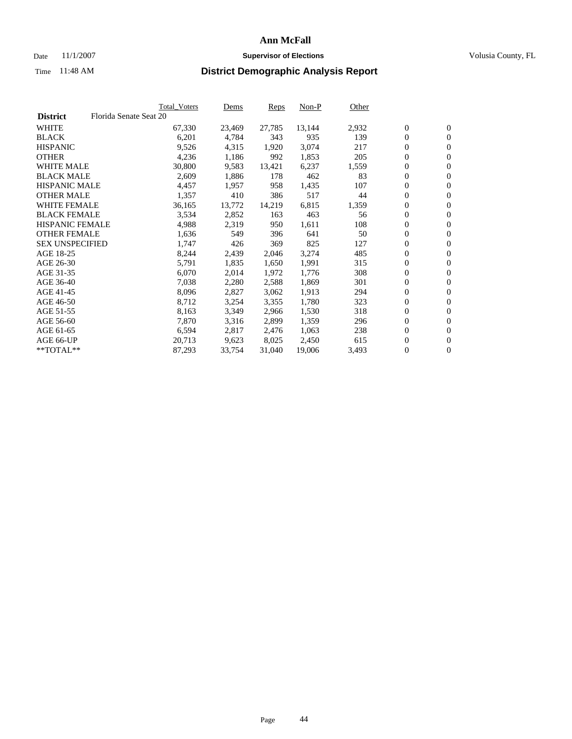#### Date 11/1/2007 **Supervisor of Elections Supervisor of Elections** Volusia County, FL

|                        |                        | Total_Voters | Dems   | <b>Reps</b> | Non-P  | Other |                  |                  |  |
|------------------------|------------------------|--------------|--------|-------------|--------|-------|------------------|------------------|--|
| <b>District</b>        | Florida Senate Seat 20 |              |        |             |        |       |                  |                  |  |
| <b>WHITE</b>           |                        | 67,330       | 23,469 | 27,785      | 13,144 | 2,932 | $\overline{0}$   | $\mathbf{0}$     |  |
| <b>BLACK</b>           |                        | 6,201        | 4,784  | 343         | 935    | 139   | $\overline{0}$   | $\mathbf{0}$     |  |
| <b>HISPANIC</b>        |                        | 9,526        | 4,315  | 1,920       | 3,074  | 217   | $\boldsymbol{0}$ | $\mathbf{0}$     |  |
| <b>OTHER</b>           |                        | 4,236        | 1,186  | 992         | 1,853  | 205   | $\boldsymbol{0}$ | $\mathbf{0}$     |  |
| <b>WHITE MALE</b>      |                        | 30,800       | 9,583  | 13,421      | 6,237  | 1,559 | 0                | $\mathbf{0}$     |  |
| <b>BLACK MALE</b>      |                        | 2,609        | 1,886  | 178         | 462    | 83    | $\boldsymbol{0}$ | $\mathbf{0}$     |  |
| <b>HISPANIC MALE</b>   |                        | 4,457        | 1,957  | 958         | 1,435  | 107   | $\overline{0}$   | $\mathbf{0}$     |  |
| <b>OTHER MALE</b>      |                        | 1,357        | 410    | 386         | 517    | 44    | $\overline{0}$   | $\mathbf{0}$     |  |
| <b>WHITE FEMALE</b>    |                        | 36,165       | 13,772 | 14,219      | 6,815  | 1,359 | $\mathbf{0}$     | $\mathbf{0}$     |  |
| <b>BLACK FEMALE</b>    |                        | 3,534        | 2,852  | 163         | 463    | 56    | $\boldsymbol{0}$ | $\mathbf{0}$     |  |
| <b>HISPANIC FEMALE</b> |                        | 4,988        | 2,319  | 950         | 1,611  | 108   | $\boldsymbol{0}$ | $\mathbf{0}$     |  |
| <b>OTHER FEMALE</b>    |                        | 1,636        | 549    | 396         | 641    | 50    | 0                | $\mathbf{0}$     |  |
| <b>SEX UNSPECIFIED</b> |                        | 1,747        | 426    | 369         | 825    | 127   | $\boldsymbol{0}$ | $\mathbf{0}$     |  |
| AGE 18-25              |                        | 8,244        | 2,439  | 2,046       | 3,274  | 485   | $\boldsymbol{0}$ | $\mathbf{0}$     |  |
| AGE 26-30              |                        | 5,791        | 1,835  | 1,650       | 1,991  | 315   | $\overline{0}$   | $\mathbf{0}$     |  |
| AGE 31-35              |                        | 6,070        | 2,014  | 1.972       | 1,776  | 308   | $\overline{0}$   | $\mathbf{0}$     |  |
| AGE 36-40              |                        | 7,038        | 2,280  | 2,588       | 1,869  | 301   | $\boldsymbol{0}$ | $\mathbf{0}$     |  |
| AGE 41-45              |                        | 8,096        | 2,827  | 3,062       | 1,913  | 294   | $\boldsymbol{0}$ | $\mathbf{0}$     |  |
| AGE 46-50              |                        | 8,712        | 3,254  | 3,355       | 1,780  | 323   | 0                | $\mathbf{0}$     |  |
| AGE 51-55              |                        | 8,163        | 3,349  | 2,966       | 1,530  | 318   | $\boldsymbol{0}$ | $\mathbf{0}$     |  |
| AGE 56-60              |                        | 7,870        | 3,316  | 2,899       | 1,359  | 296   | $\overline{0}$   | $\mathbf{0}$     |  |
| AGE 61-65              |                        | 6,594        | 2,817  | 2,476       | 1,063  | 238   | $\mathbf{0}$     | $\boldsymbol{0}$ |  |
| AGE 66-UP              |                        | 20,713       | 9,623  | 8,025       | 2,450  | 615   | $\boldsymbol{0}$ | $\mathbf{0}$     |  |
| **TOTAL**              |                        | 87,293       | 33,754 | 31,040      | 19,006 | 3,493 | 0                | $\overline{0}$   |  |
|                        |                        |              |        |             |        |       |                  |                  |  |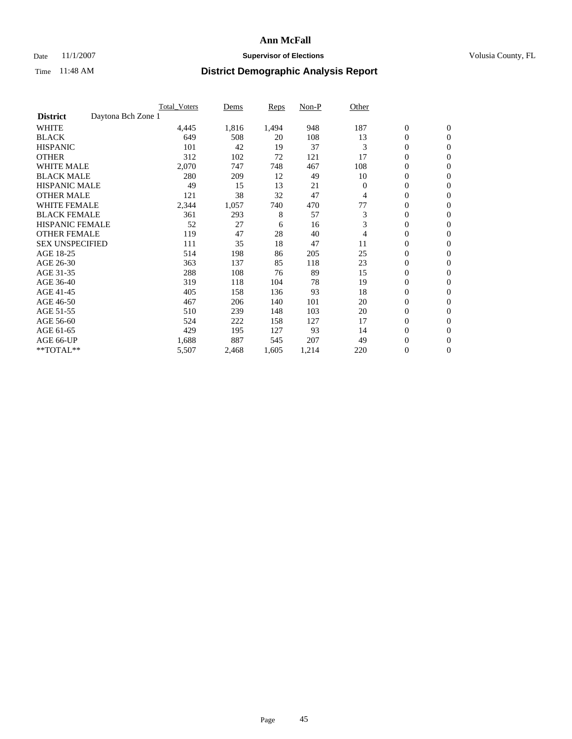### Date 11/1/2007 **Supervisor of Elections Supervisor of Elections** Volusia County, FL

|                        |                    | <b>Total Voters</b> | Dems  | Reps  | Non-P | Other    |                  |                  |  |
|------------------------|--------------------|---------------------|-------|-------|-------|----------|------------------|------------------|--|
| <b>District</b>        | Daytona Bch Zone 1 |                     |       |       |       |          |                  |                  |  |
| <b>WHITE</b>           |                    | 4,445               | 1,816 | 1,494 | 948   | 187      | $\boldsymbol{0}$ | $\mathbf{0}$     |  |
| <b>BLACK</b>           |                    | 649                 | 508   | 20    | 108   | 13       | $\mathbf{0}$     | $\mathbf{0}$     |  |
| <b>HISPANIC</b>        |                    | 101                 | 42    | 19    | 37    | 3        | 0                | $\mathbf{0}$     |  |
| <b>OTHER</b>           |                    | 312                 | 102   | 72    | 121   | 17       | 0                | $\mathbf{0}$     |  |
| <b>WHITE MALE</b>      |                    | 2,070               | 747   | 748   | 467   | 108      | 0                | $\mathbf{0}$     |  |
| <b>BLACK MALE</b>      |                    | 280                 | 209   | 12    | 49    | 10       | 0                | $\mathbf{0}$     |  |
| <b>HISPANIC MALE</b>   |                    | 49                  | 15    | 13    | 21    | $\Omega$ | 0                | $\mathbf{0}$     |  |
| <b>OTHER MALE</b>      |                    | 121                 | 38    | 32    | 47    | 4        | $\mathbf{0}$     | $\mathbf{0}$     |  |
| <b>WHITE FEMALE</b>    |                    | 2,344               | 1,057 | 740   | 470   | 77       | 0                | $\mathbf{0}$     |  |
| <b>BLACK FEMALE</b>    |                    | 361                 | 293   | 8     | 57    | 3        | $\boldsymbol{0}$ | $\mathbf{0}$     |  |
| <b>HISPANIC FEMALE</b> |                    | 52                  | 27    | 6     | 16    | 3        | 0                | $\mathbf{0}$     |  |
| <b>OTHER FEMALE</b>    |                    | 119                 | 47    | 28    | 40    | 4        | 0                | $\mathbf{0}$     |  |
| <b>SEX UNSPECIFIED</b> |                    | 111                 | 35    | 18    | 47    | 11       | 0                | $\mathbf{0}$     |  |
| AGE 18-25              |                    | 514                 | 198   | 86    | 205   | 25       | 0                | $\mathbf{0}$     |  |
| AGE 26-30              |                    | 363                 | 137   | 85    | 118   | 23       | $\mathbf{0}$     | $\mathbf{0}$     |  |
| AGE 31-35              |                    | 288                 | 108   | 76    | 89    | 15       | 0                | $\mathbf{0}$     |  |
| AGE 36-40              |                    | 319                 | 118   | 104   | 78    | 19       | 0                | $\mathbf{0}$     |  |
| AGE 41-45              |                    | 405                 | 158   | 136   | 93    | 18       | 0                | $\mathbf{0}$     |  |
| AGE 46-50              |                    | 467                 | 206   | 140   | 101   | 20       | 0                | $\mathbf{0}$     |  |
| AGE 51-55              |                    | 510                 | 239   | 148   | 103   | 20       | $\boldsymbol{0}$ | $\mathbf{0}$     |  |
| AGE 56-60              |                    | 524                 | 222   | 158   | 127   | 17       | $\mathbf{0}$     | $\mathbf{0}$     |  |
| AGE 61-65              |                    | 429                 | 195   | 127   | 93    | 14       | $\mathbf{0}$     | $\mathbf{0}$     |  |
| AGE 66-UP              |                    | 1,688               | 887   | 545   | 207   | 49       | 0                | $\mathbf{0}$     |  |
| **TOTAL**              |                    | 5,507               | 2,468 | 1,605 | 1,214 | 220      | 0                | $\boldsymbol{0}$ |  |
|                        |                    |                     |       |       |       |          |                  |                  |  |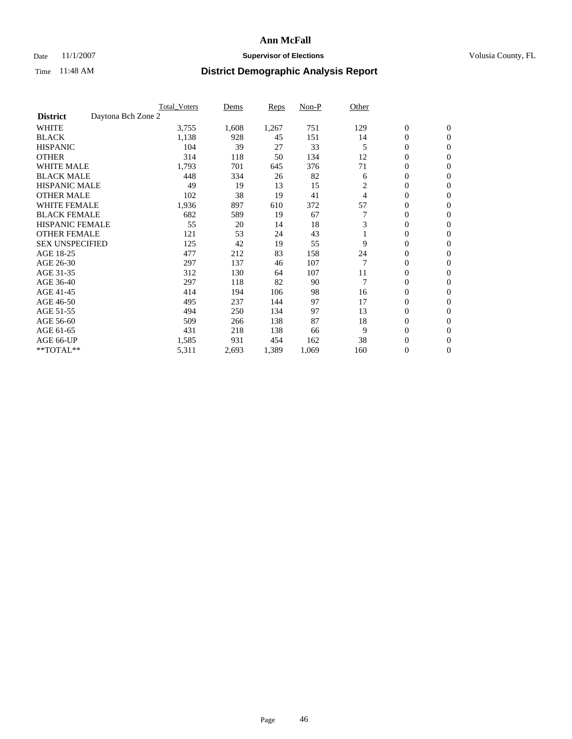#### Date 11/1/2007 **Supervisor of Elections Supervisor of Elections** Volusia County, FL

|                                       | <b>Total Voters</b> | Dems  | <b>Reps</b> | Non-P | Other |                  |                  |
|---------------------------------------|---------------------|-------|-------------|-------|-------|------------------|------------------|
| Daytona Bch Zone 2<br><b>District</b> |                     |       |             |       |       |                  |                  |
| <b>WHITE</b>                          | 3,755               | 1,608 | 1,267       | 751   | 129   | $\boldsymbol{0}$ | $\mathbf{0}$     |
| <b>BLACK</b>                          | 1,138               | 928   | 45          | 151   | 14    | 0                | $\mathbf{0}$     |
| <b>HISPANIC</b>                       | 104                 | 39    | 27          | 33    | 5     | 0                | $\mathbf{0}$     |
| <b>OTHER</b>                          | 314                 | 118   | 50          | 134   | 12    | 0                | $\mathbf{0}$     |
| <b>WHITE MALE</b>                     | 1,793               | 701   | 645         | 376   | 71    | 0                | $\mathbf{0}$     |
| <b>BLACK MALE</b>                     | 448                 | 334   | 26          | 82    | 6     | 0                | $\mathbf{0}$     |
| <b>HISPANIC MALE</b>                  | 49                  | 19    | 13          | 15    | 2     | 0                | $\mathbf{0}$     |
| <b>OTHER MALE</b>                     | 102                 | 38    | 19          | 41    | 4     | $\mathbf{0}$     | $\mathbf{0}$     |
| <b>WHITE FEMALE</b>                   | 1,936               | 897   | 610         | 372   | 57    | 0                | $\mathbf{0}$     |
| <b>BLACK FEMALE</b>                   | 682                 | 589   | 19          | 67    | 7     | $\mathbf{0}$     | $\mathbf{0}$     |
| <b>HISPANIC FEMALE</b>                | 55                  | 20    | 14          | 18    | 3     | 0                | $\mathbf{0}$     |
| <b>OTHER FEMALE</b>                   | 121                 | 53    | 24          | 43    |       | 0                | $\mathbf{0}$     |
| <b>SEX UNSPECIFIED</b>                | 125                 | 42    | 19          | 55    | 9     | 0                | 0                |
| AGE 18-25                             | 477                 | 212   | 83          | 158   | 24    | 0                | $\Omega$         |
| AGE 26-30                             | 297                 | 137   | 46          | 107   | 7     | $\mathbf{0}$     | $\mathbf{0}$     |
| AGE 31-35                             | 312                 | 130   | 64          | 107   | 11    | 0                | $\mathbf{0}$     |
| AGE 36-40                             | 297                 | 118   | 82          | 90    | 7     | 0                | $\mathbf{0}$     |
| AGE 41-45                             | 414                 | 194   | 106         | 98    | 16    | 0                | $\mathbf{0}$     |
| AGE 46-50                             | 495                 | 237   | 144         | 97    | 17    | 0                | $\Omega$         |
| AGE 51-55                             | 494                 | 250   | 134         | 97    | 13    | $\boldsymbol{0}$ | $\mathbf{0}$     |
| AGE 56-60                             | 509                 | 266   | 138         | 87    | 18    | 0                | $\mathbf{0}$     |
| AGE 61-65                             | 431                 | 218   | 138         | 66    | 9     | $\overline{0}$   | $\mathbf{0}$     |
| AGE 66-UP                             | 1,585               | 931   | 454         | 162   | 38    | 0                | $\mathbf{0}$     |
| **TOTAL**                             | 5,311               | 2,693 | 1,389       | 1,069 | 160   | 0                | $\boldsymbol{0}$ |
|                                       |                     |       |             |       |       |                  |                  |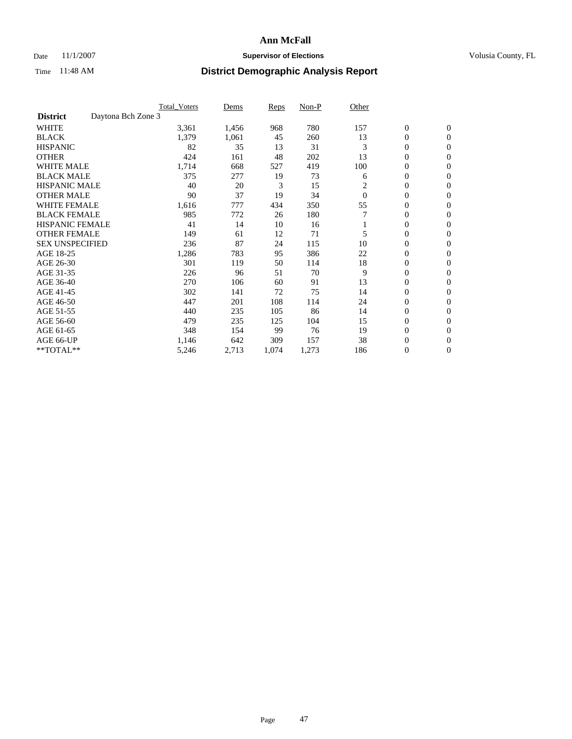### Date 11/1/2007 **Supervisor of Elections Supervisor of Elections** Volusia County, FL

|                                       | <b>Total Voters</b> | Dems  | Reps  | Non-P | Other    |                  |                  |  |
|---------------------------------------|---------------------|-------|-------|-------|----------|------------------|------------------|--|
| Daytona Bch Zone 3<br><b>District</b> |                     |       |       |       |          |                  |                  |  |
| <b>WHITE</b>                          | 3,361               | 1,456 | 968   | 780   | 157      | $\boldsymbol{0}$ | $\boldsymbol{0}$ |  |
| <b>BLACK</b>                          | 1,379               | 1,061 | 45    | 260   | 13       | $\mathbf{0}$     | $\mathbf{0}$     |  |
| <b>HISPANIC</b>                       | 82                  | 35    | 13    | 31    | 3        | $\mathbf{0}$     | $\mathbf{0}$     |  |
| <b>OTHER</b>                          | 424                 | 161   | 48    | 202   | 13       | 0                | $\overline{0}$   |  |
| <b>WHITE MALE</b>                     | 1,714               | 668   | 527   | 419   | 100      | 0                | $\mathbf{0}$     |  |
| <b>BLACK MALE</b>                     | 375                 | 277   | 19    | 73    | 6        | 0                | 0                |  |
| <b>HISPANIC MALE</b>                  | 40                  | 20    | 3     | 15    | 2        | 0                | $\mathbf{0}$     |  |
| <b>OTHER MALE</b>                     | 90                  | 37    | 19    | 34    | $\Omega$ | 0                | $\mathbf{0}$     |  |
| <b>WHITE FEMALE</b>                   | 1,616               | 777   | 434   | 350   | 55       | 0                | $\mathbf{0}$     |  |
| <b>BLACK FEMALE</b>                   | 985                 | 772   | 26    | 180   |          | $\mathbf{0}$     | $\mathbf{0}$     |  |
| <b>HISPANIC FEMALE</b>                | 41                  | 14    | 10    | 16    |          | 0                | $\mathbf{0}$     |  |
| <b>OTHER FEMALE</b>                   | 149                 | 61    | 12    | 71    | 5        | 0                | $\mathbf{0}$     |  |
| <b>SEX UNSPECIFIED</b>                | 236                 | 87    | 24    | 115   | 10       | 0                | $\mathbf{0}$     |  |
| AGE 18-25                             | 1,286               | 783   | 95    | 386   | 22       | 0                | $\mathbf{0}$     |  |
| AGE 26-30                             | 301                 | 119   | 50    | 114   | 18       | 0                | $\mathbf{0}$     |  |
| AGE 31-35                             | 226                 | 96    | 51    | 70    | 9        | 0                | $\mathbf{0}$     |  |
| AGE 36-40                             | 270                 | 106   | 60    | 91    | 13       | $\mathbf{0}$     | $\mathbf{0}$     |  |
| AGE 41-45                             | 302                 | 141   | 72    | 75    | 14       | 0                | $\mathbf{0}$     |  |
| AGE 46-50                             | 447                 | 201   | 108   | 114   | 24       | $\mathbf{0}$     | $\mathbf{0}$     |  |
| AGE 51-55                             | 440                 | 235   | 105   | 86    | 14       | 0                | $\mathbf{0}$     |  |
| AGE 56-60                             | 479                 | 235   | 125   | 104   | 15       | $\boldsymbol{0}$ | $\mathbf{0}$     |  |
| AGE 61-65                             | 348                 | 154   | 99    | 76    | 19       | 0                | $\mathbf{0}$     |  |
| AGE 66-UP                             | 1,146               | 642   | 309   | 157   | 38       | 0                | 0                |  |
| **TOTAL**                             | 5,246               | 2,713 | 1,074 | 1,273 | 186      | 0                | $\boldsymbol{0}$ |  |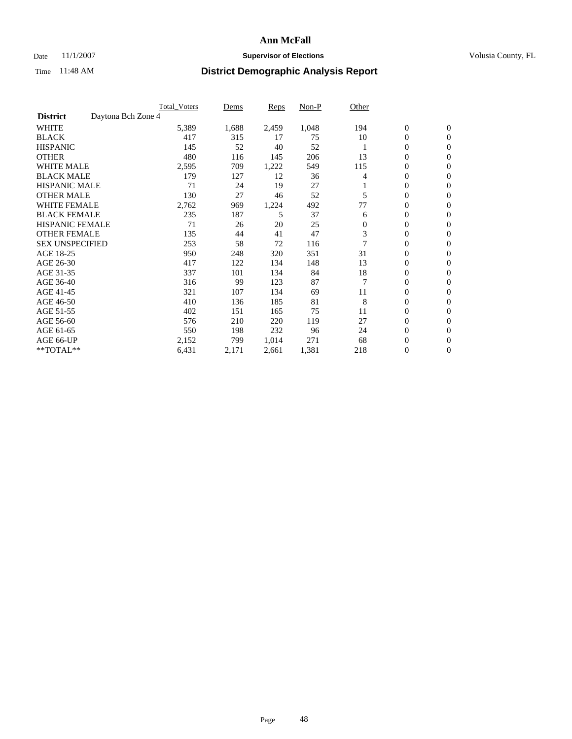### Date 11/1/2007 **Supervisor of Elections Supervisor of Elections** Volusia County, FL

| Daytona Bch Zone 4<br><b>District</b><br><b>WHITE</b><br>5,389<br>1,688<br>2,459<br>1,048<br>$\boldsymbol{0}$<br>$\mathbf{0}$<br>194<br>10<br><b>BLACK</b><br>417<br>315<br>75<br>$\mathbf{0}$<br>$\mathbf{0}$<br>17<br>52<br><b>HISPANIC</b><br>145<br>52<br>40<br>0<br>$\mathbf{0}$<br><b>OTHER</b><br>13<br>0<br>480<br>145<br>206<br>116<br>$\mathbf{0}$<br><b>WHITE MALE</b><br>2,595<br>549<br>115<br>0<br>709<br>1,222<br>$\mathbf{0}$<br><b>BLACK MALE</b><br>179<br>0<br>127<br>12<br>36<br>4<br>$\mathbf{0}$<br><b>HISPANIC MALE</b><br>71<br>27<br>24<br>19<br>0<br>$\mathbf{0}$<br><b>OTHER MALE</b><br>27<br>52<br>$\mathbf{0}$<br>130<br>46<br>5<br>$\mathbf{0}$<br><b>WHITE FEMALE</b><br>2,762<br>492<br>77<br>0<br>969<br>1,224<br>$\mathbf{0}$<br><b>BLACK FEMALE</b><br>37<br>235<br>5<br>$\boldsymbol{0}$<br>187<br>$\mathbf{0}$<br>6<br><b>HISPANIC FEMALE</b><br>71<br>20<br>25<br>0<br>26<br>$\boldsymbol{0}$<br>$\mathbf{0}$<br><b>OTHER FEMALE</b><br>3<br>135<br>47<br>0<br>41<br>44<br>$\mathbf{0}$<br><b>SEX UNSPECIFIED</b><br>0<br>253<br>58<br>72<br>116<br>0<br>31<br>AGE 18-25<br>351<br>0<br>950<br>248<br>320<br>$\mathbf{0}$<br>13<br>$\mathbf{0}$<br>AGE 26-30<br>417<br>122<br>148<br>$\mathbf{0}$<br>134<br>AGE 31-35<br>337<br>84<br>18<br>0<br>101<br>134<br>$\mathbf{0}$ |
|--------------------------------------------------------------------------------------------------------------------------------------------------------------------------------------------------------------------------------------------------------------------------------------------------------------------------------------------------------------------------------------------------------------------------------------------------------------------------------------------------------------------------------------------------------------------------------------------------------------------------------------------------------------------------------------------------------------------------------------------------------------------------------------------------------------------------------------------------------------------------------------------------------------------------------------------------------------------------------------------------------------------------------------------------------------------------------------------------------------------------------------------------------------------------------------------------------------------------------------------------------------------------------------------------------------------|
|                                                                                                                                                                                                                                                                                                                                                                                                                                                                                                                                                                                                                                                                                                                                                                                                                                                                                                                                                                                                                                                                                                                                                                                                                                                                                                                    |
|                                                                                                                                                                                                                                                                                                                                                                                                                                                                                                                                                                                                                                                                                                                                                                                                                                                                                                                                                                                                                                                                                                                                                                                                                                                                                                                    |
|                                                                                                                                                                                                                                                                                                                                                                                                                                                                                                                                                                                                                                                                                                                                                                                                                                                                                                                                                                                                                                                                                                                                                                                                                                                                                                                    |
|                                                                                                                                                                                                                                                                                                                                                                                                                                                                                                                                                                                                                                                                                                                                                                                                                                                                                                                                                                                                                                                                                                                                                                                                                                                                                                                    |
|                                                                                                                                                                                                                                                                                                                                                                                                                                                                                                                                                                                                                                                                                                                                                                                                                                                                                                                                                                                                                                                                                                                                                                                                                                                                                                                    |
|                                                                                                                                                                                                                                                                                                                                                                                                                                                                                                                                                                                                                                                                                                                                                                                                                                                                                                                                                                                                                                                                                                                                                                                                                                                                                                                    |
|                                                                                                                                                                                                                                                                                                                                                                                                                                                                                                                                                                                                                                                                                                                                                                                                                                                                                                                                                                                                                                                                                                                                                                                                                                                                                                                    |
|                                                                                                                                                                                                                                                                                                                                                                                                                                                                                                                                                                                                                                                                                                                                                                                                                                                                                                                                                                                                                                                                                                                                                                                                                                                                                                                    |
|                                                                                                                                                                                                                                                                                                                                                                                                                                                                                                                                                                                                                                                                                                                                                                                                                                                                                                                                                                                                                                                                                                                                                                                                                                                                                                                    |
|                                                                                                                                                                                                                                                                                                                                                                                                                                                                                                                                                                                                                                                                                                                                                                                                                                                                                                                                                                                                                                                                                                                                                                                                                                                                                                                    |
|                                                                                                                                                                                                                                                                                                                                                                                                                                                                                                                                                                                                                                                                                                                                                                                                                                                                                                                                                                                                                                                                                                                                                                                                                                                                                                                    |
|                                                                                                                                                                                                                                                                                                                                                                                                                                                                                                                                                                                                                                                                                                                                                                                                                                                                                                                                                                                                                                                                                                                                                                                                                                                                                                                    |
|                                                                                                                                                                                                                                                                                                                                                                                                                                                                                                                                                                                                                                                                                                                                                                                                                                                                                                                                                                                                                                                                                                                                                                                                                                                                                                                    |
|                                                                                                                                                                                                                                                                                                                                                                                                                                                                                                                                                                                                                                                                                                                                                                                                                                                                                                                                                                                                                                                                                                                                                                                                                                                                                                                    |
|                                                                                                                                                                                                                                                                                                                                                                                                                                                                                                                                                                                                                                                                                                                                                                                                                                                                                                                                                                                                                                                                                                                                                                                                                                                                                                                    |
|                                                                                                                                                                                                                                                                                                                                                                                                                                                                                                                                                                                                                                                                                                                                                                                                                                                                                                                                                                                                                                                                                                                                                                                                                                                                                                                    |
|                                                                                                                                                                                                                                                                                                                                                                                                                                                                                                                                                                                                                                                                                                                                                                                                                                                                                                                                                                                                                                                                                                                                                                                                                                                                                                                    |
| $\overline{7}$<br>AGE 36-40<br>316<br>87<br>0<br>99<br>123<br>$\mathbf{0}$                                                                                                                                                                                                                                                                                                                                                                                                                                                                                                                                                                                                                                                                                                                                                                                                                                                                                                                                                                                                                                                                                                                                                                                                                                         |
| AGE 41-45<br>0<br>321<br>107<br>134<br>69<br>11<br>$\mathbf{0}$                                                                                                                                                                                                                                                                                                                                                                                                                                                                                                                                                                                                                                                                                                                                                                                                                                                                                                                                                                                                                                                                                                                                                                                                                                                    |
| 8<br>AGE 46-50<br>81<br>0<br>410<br>136<br>185<br>$\Omega$                                                                                                                                                                                                                                                                                                                                                                                                                                                                                                                                                                                                                                                                                                                                                                                                                                                                                                                                                                                                                                                                                                                                                                                                                                                         |
| AGE 51-55<br>75<br>11<br>$\boldsymbol{0}$<br>402<br>151<br>165<br>$\mathbf{0}$                                                                                                                                                                                                                                                                                                                                                                                                                                                                                                                                                                                                                                                                                                                                                                                                                                                                                                                                                                                                                                                                                                                                                                                                                                     |
| AGE 56-60<br>119<br>27<br>0<br>576<br>210<br>220<br>$\mathbf{0}$                                                                                                                                                                                                                                                                                                                                                                                                                                                                                                                                                                                                                                                                                                                                                                                                                                                                                                                                                                                                                                                                                                                                                                                                                                                   |
| $\mathbf{0}$<br>AGE 61-65<br>550<br>232<br>96<br>$\mathbf{0}$<br>198<br>24                                                                                                                                                                                                                                                                                                                                                                                                                                                                                                                                                                                                                                                                                                                                                                                                                                                                                                                                                                                                                                                                                                                                                                                                                                         |
| AGE 66-UP<br>2,152<br>799<br>1,014<br>271<br>68<br>0<br>$\mathbf{0}$                                                                                                                                                                                                                                                                                                                                                                                                                                                                                                                                                                                                                                                                                                                                                                                                                                                                                                                                                                                                                                                                                                                                                                                                                                               |
| 218<br>**TOTAL**<br>6,431<br>1,381<br>0<br>2,171<br>2,661<br>$\boldsymbol{0}$                                                                                                                                                                                                                                                                                                                                                                                                                                                                                                                                                                                                                                                                                                                                                                                                                                                                                                                                                                                                                                                                                                                                                                                                                                      |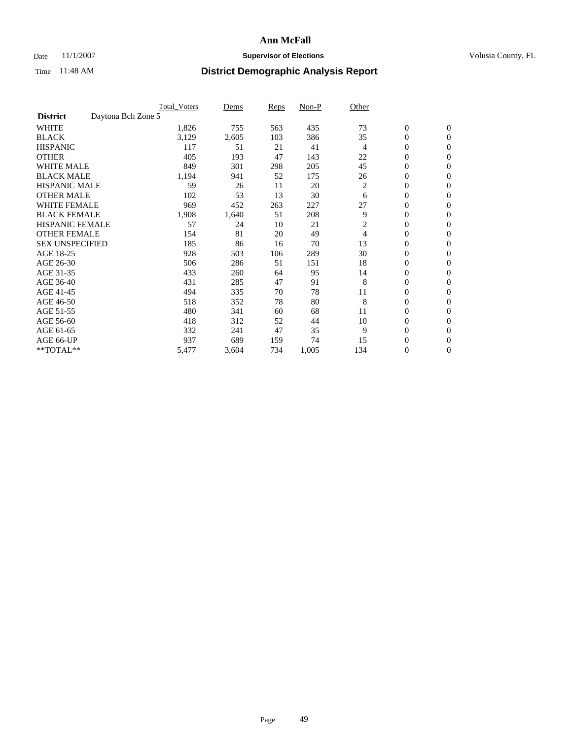### Date 11/1/2007 **Supervisor of Elections Supervisor of Elections** Volusia County, FL

|                                       | <b>Total Voters</b> | Dems  | Reps | Non-P | Other |                  |                  |
|---------------------------------------|---------------------|-------|------|-------|-------|------------------|------------------|
| Daytona Bch Zone 5<br><b>District</b> |                     |       |      |       |       |                  |                  |
| <b>WHITE</b>                          | 1,826               | 755   | 563  | 435   | 73    | $\boldsymbol{0}$ | $\boldsymbol{0}$ |
| <b>BLACK</b>                          | 3,129               | 2,605 | 103  | 386   | 35    | 0                | $\mathbf{0}$     |
| <b>HISPANIC</b>                       | 117                 | 51    | 21   | 41    | 4     | 0                | $\overline{0}$   |
| <b>OTHER</b>                          | 405                 | 193   | 47   | 143   | 22    | 0                | $\mathbf{0}$     |
| <b>WHITE MALE</b>                     | 849                 | 301   | 298  | 205   | 45    | 0                | $\mathbf{0}$     |
| <b>BLACK MALE</b>                     | 1,194               | 941   | 52   | 175   | 26    | 0                | $\mathbf{0}$     |
| <b>HISPANIC MALE</b>                  | 59                  | 26    | 11   | 20    | 2     | 0                | $\mathbf{0}$     |
| <b>OTHER MALE</b>                     | 102                 | 53    | 13   | 30    | 6     | $\mathbf{0}$     | $\mathbf{0}$     |
| <b>WHITE FEMALE</b>                   | 969                 | 452   | 263  | 227   | 27    | $\boldsymbol{0}$ | $\mathbf{0}$     |
| <b>BLACK FEMALE</b>                   | 1,908               | 1,640 | 51   | 208   | 9     | 0                | $\mathbf{0}$     |
| <b>HISPANIC FEMALE</b>                | 57                  | 24    | 10   | 21    | 2     | 0                | $\mathbf{0}$     |
| <b>OTHER FEMALE</b>                   | 154                 | 81    | 20   | 49    | 4     | 0                | $\mathbf{0}$     |
| <b>SEX UNSPECIFIED</b>                | 185                 | 86    | 16   | 70    | 13    | $\mathbf{0}$     | $\mathbf{0}$     |
| AGE 18-25                             | 928                 | 503   | 106  | 289   | 30    | 0                | $\mathbf{0}$     |
| AGE 26-30                             | 506                 | 286   | 51   | 151   | 18    | 0                | $\mathbf{0}$     |
| AGE 31-35                             | 433                 | 260   | 64   | 95    | 14    | 0                | $\mathbf{0}$     |
| AGE 36-40                             | 431                 | 285   | 47   | 91    | 8     | 0                | $\mathbf{0}$     |
| AGE 41-45                             | 494                 | 335   | 70   | 78    | 11    | 0                | $\mathbf{0}$     |
| AGE 46-50                             | 518                 | 352   | 78   | 80    | 8     | 0                | $\mathbf{0}$     |
| AGE 51-55                             | 480                 | 341   | 60   | 68    | 11    | $\mathbf{0}$     | $\mathbf{0}$     |
| AGE 56-60                             | 418                 | 312   | 52   | 44    | 10    | 0                | $\mathbf{0}$     |
| AGE 61-65                             | 332                 | 241   | 47   | 35    | 9     | 0                | $\mathbf{0}$     |
| AGE 66-UP                             | 937                 | 689   | 159  | 74    | 15    | 0                | $\mathbf{0}$     |
| $*$ TOTAL $**$                        | 5,477               | 3,604 | 734  | 1,005 | 134   | 0                | $\mathbf{0}$     |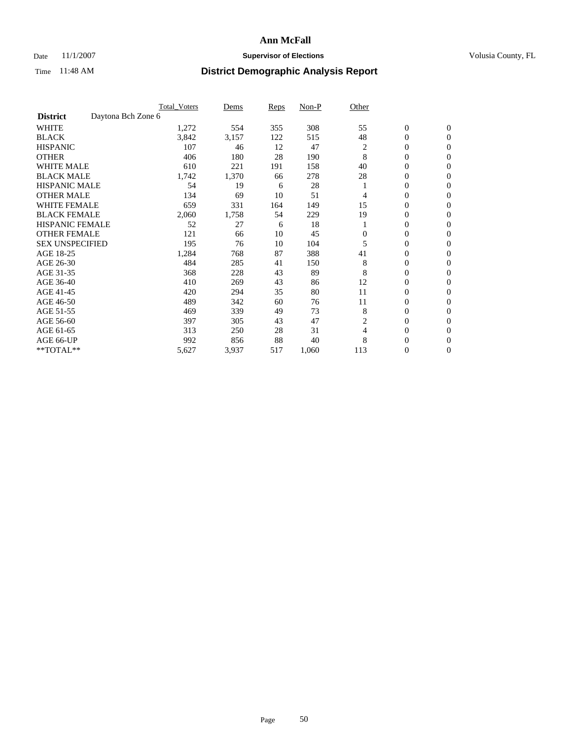### Date 11/1/2007 **Supervisor of Elections Supervisor of Elections** Volusia County, FL

|                        |                    | <b>Total Voters</b> | Dems  | Reps | Non-P | Other          |                  |                  |  |
|------------------------|--------------------|---------------------|-------|------|-------|----------------|------------------|------------------|--|
| <b>District</b>        | Daytona Bch Zone 6 |                     |       |      |       |                |                  |                  |  |
| <b>WHITE</b>           |                    | 1,272               | 554   | 355  | 308   | 55             | $\boldsymbol{0}$ | $\mathbf{0}$     |  |
| <b>BLACK</b>           |                    | 3,842               | 3,157 | 122  | 515   | 48             | 0                | $\mathbf{0}$     |  |
| <b>HISPANIC</b>        |                    | 107                 | 46    | 12   | 47    | $\overline{c}$ | 0                | $\mathbf{0}$     |  |
| <b>OTHER</b>           |                    | 406                 | 180   | 28   | 190   | 8              | 0                | $\overline{0}$   |  |
| <b>WHITE MALE</b>      |                    | 610                 | 221   | 191  | 158   | 40             | 0                | $\overline{0}$   |  |
| <b>BLACK MALE</b>      |                    | 1,742               | 1,370 | 66   | 278   | 28             | 0                | $\mathbf{0}$     |  |
| <b>HISPANIC MALE</b>   |                    | 54                  | 19    | 6    | 28    |                | 0                | $\overline{0}$   |  |
| <b>OTHER MALE</b>      |                    | 134                 | 69    | 10   | 51    | 4              | $\mathbf{0}$     | $\mathbf{0}$     |  |
| <b>WHITE FEMALE</b>    |                    | 659                 | 331   | 164  | 149   | 15             | 0                | $\mathbf{0}$     |  |
| <b>BLACK FEMALE</b>    |                    | 2,060               | 1,758 | 54   | 229   | 19             | 0                | $\overline{0}$   |  |
| <b>HISPANIC FEMALE</b> |                    | 52                  | 27    | 6    | 18    |                | 0                | $\mathbf{0}$     |  |
| <b>OTHER FEMALE</b>    |                    | 121                 | 66    | 10   | 45    | $\Omega$       | 0                | $\overline{0}$   |  |
| <b>SEX UNSPECIFIED</b> |                    | 195                 | 76    | 10   | 104   | 5              | 0                | 0                |  |
| AGE 18-25              |                    | 1,284               | 768   | 87   | 388   | 41             | 0                | $\Omega$         |  |
| AGE 26-30              |                    | 484                 | 285   | 41   | 150   | 8              | $\mathbf{0}$     | $\mathbf{0}$     |  |
| AGE 31-35              |                    | 368                 | 228   | 43   | 89    | 8              | 0                | $\mathbf{0}$     |  |
| AGE 36-40              |                    | 410                 | 269   | 43   | 86    | 12             | 0                | $\overline{0}$   |  |
| AGE 41-45              |                    | 420                 | 294   | 35   | 80    | 11             | 0                | $\overline{0}$   |  |
| AGE 46-50              |                    | 489                 | 342   | 60   | 76    | 11             | 0                | $\Omega$         |  |
| AGE 51-55              |                    | 469                 | 339   | 49   | 73    | 8              | $\boldsymbol{0}$ | $\mathbf{0}$     |  |
| AGE 56-60              |                    | 397                 | 305   | 43   | 47    | 2              | 0                | $\mathbf{0}$     |  |
| AGE 61-65              |                    | 313                 | 250   | 28   | 31    | 4              | $\overline{0}$   | $\mathbf{0}$     |  |
| AGE 66-UP              |                    | 992                 | 856   | 88   | 40    | 8              | 0                | $\mathbf{0}$     |  |
| **TOTAL**              |                    | 5,627               | 3,937 | 517  | 1,060 | 113            | 0                | $\boldsymbol{0}$ |  |
|                        |                    |                     |       |      |       |                |                  |                  |  |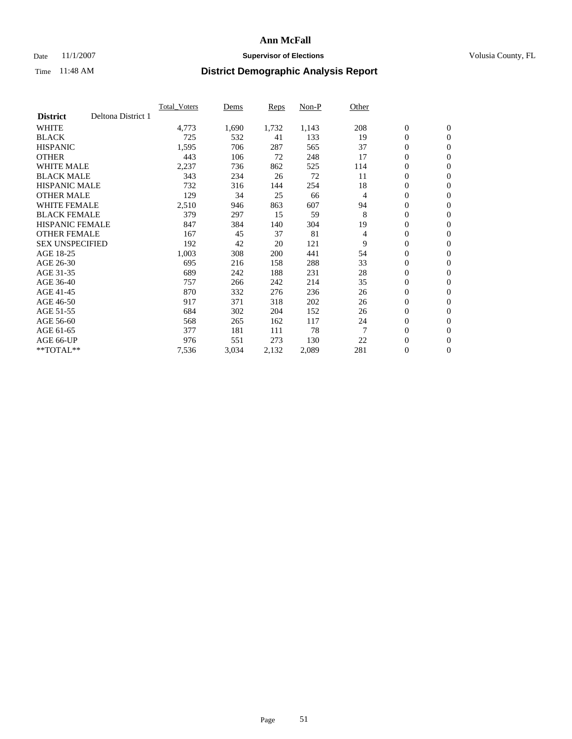### Date 11/1/2007 **Supervisor of Elections Supervisor of Elections** Volusia County, FL

|                        |                    | <b>Total Voters</b> | Dems  | Reps  | Non-P | Other |                  |                  |  |
|------------------------|--------------------|---------------------|-------|-------|-------|-------|------------------|------------------|--|
| <b>District</b>        | Deltona District 1 |                     |       |       |       |       |                  |                  |  |
| <b>WHITE</b>           |                    | 4,773               | 1,690 | 1,732 | 1,143 | 208   | $\boldsymbol{0}$ | $\boldsymbol{0}$ |  |
| <b>BLACK</b>           |                    | 725                 | 532   | 41    | 133   | 19    | $\mathbf{0}$     | $\mathbf{0}$     |  |
| <b>HISPANIC</b>        |                    | 1,595               | 706   | 287   | 565   | 37    | $\mathbf{0}$     | $\mathbf{0}$     |  |
| <b>OTHER</b>           |                    | 443                 | 106   | 72    | 248   | 17    | 0                | $\mathbf{0}$     |  |
| <b>WHITE MALE</b>      |                    | 2,237               | 736   | 862   | 525   | 114   | 0                | $\overline{0}$   |  |
| <b>BLACK MALE</b>      |                    | 343                 | 234   | 26    | 72    | 11    | 0                | $\mathbf{0}$     |  |
| <b>HISPANIC MALE</b>   |                    | 732                 | 316   | 144   | 254   | 18    | 0                | $\overline{0}$   |  |
| <b>OTHER MALE</b>      |                    | 129                 | 34    | 25    | 66    | 4     | 0                | $\mathbf{0}$     |  |
| <b>WHITE FEMALE</b>    |                    | 2,510               | 946   | 863   | 607   | 94    | 0                | $\mathbf{0}$     |  |
| <b>BLACK FEMALE</b>    |                    | 379                 | 297   | 15    | 59    | 8     | $\mathbf{0}$     | $\mathbf{0}$     |  |
| <b>HISPANIC FEMALE</b> |                    | 847                 | 384   | 140   | 304   | 19    | $\overline{0}$   | $\mathbf{0}$     |  |
| <b>OTHER FEMALE</b>    |                    | 167                 | 45    | 37    | 81    | 4     | $\overline{0}$   | $\mathbf{0}$     |  |
| <b>SEX UNSPECIFIED</b> |                    | 192                 | 42    | 20    | 121   | 9     | $\boldsymbol{0}$ | $\mathbf{0}$     |  |
| AGE 18-25              |                    | 1,003               | 308   | 200   | 441   | 54    | 0                | $\overline{0}$   |  |
| AGE 26-30              |                    | 695                 | 216   | 158   | 288   | 33    | 0                | $\mathbf{0}$     |  |
| AGE 31-35              |                    | 689                 | 242   | 188   | 231   | 28    | 0                | $\overline{0}$   |  |
| AGE 36-40              |                    | 757                 | 266   | 242   | 214   | 35    | $\boldsymbol{0}$ | $\mathbf{0}$     |  |
| AGE 41-45              |                    | 870                 | 332   | 276   | 236   | 26    | 0                | $\mathbf{0}$     |  |
| AGE 46-50              |                    | 917                 | 371   | 318   | 202   | 26    | $\mathbf{0}$     | $\mathbf{0}$     |  |
| AGE 51-55              |                    | 684                 | 302   | 204   | 152   | 26    | $\overline{0}$   | $\mathbf{0}$     |  |
| AGE 56-60              |                    | 568                 | 265   | 162   | 117   | 24    | $\boldsymbol{0}$ | $\mathbf{0}$     |  |
| AGE 61-65              |                    | 377                 | 181   | 111   | 78    | 7     | 0                | $\mathbf{0}$     |  |
| AGE 66-UP              |                    | 976                 | 551   | 273   | 130   | 22    | 0                | 0                |  |
| $*$ TOTAL $**$         |                    | 7,536               | 3,034 | 2,132 | 2,089 | 281   | 0                | $\boldsymbol{0}$ |  |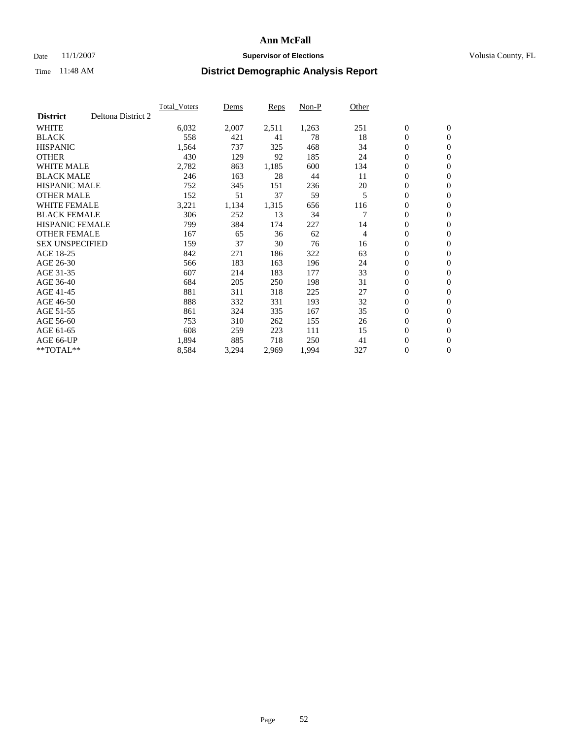### Date 11/1/2007 **Supervisor of Elections Supervisor of Elections** Volusia County, FL

|                                       | Total Voters | Dems  | <b>Reps</b> | Non-P | Other |                  |                  |
|---------------------------------------|--------------|-------|-------------|-------|-------|------------------|------------------|
| Deltona District 2<br><b>District</b> |              |       |             |       |       |                  |                  |
| <b>WHITE</b>                          | 6,032        | 2,007 | 2,511       | 1,263 | 251   | $\boldsymbol{0}$ | $\boldsymbol{0}$ |
| <b>BLACK</b>                          | 558          | 421   | 41          | 78    | 18    | $\boldsymbol{0}$ | $\mathbf{0}$     |
| <b>HISPANIC</b>                       | 1,564        | 737   | 325         | 468   | 34    | 0                | $\mathbf{0}$     |
| <b>OTHER</b>                          | 430          | 129   | 92          | 185   | 24    | 0                | $\mathbf{0}$     |
| WHITE MALE                            | 2,782        | 863   | 1,185       | 600   | 134   | 0                | $\boldsymbol{0}$ |
| <b>BLACK MALE</b>                     | 246          | 163   | 28          | 44    | 11    | 0                | $\mathbf{0}$     |
| <b>HISPANIC MALE</b>                  | 752          | 345   | 151         | 236   | 20    | 0                | $\boldsymbol{0}$ |
| <b>OTHER MALE</b>                     | 152          | 51    | 37          | 59    | 5     | 0                | $\mathbf{0}$     |
| WHITE FEMALE                          | 3,221        | 1,134 | 1,315       | 656   | 116   | 0                | $\mathbf{0}$     |
| <b>BLACK FEMALE</b>                   | 306          | 252   | 13          | 34    |       | 0                | $\mathbf{0}$     |
| <b>HISPANIC FEMALE</b>                | 799          | 384   | 174         | 227   | 14    | 0                | $\boldsymbol{0}$ |
| <b>OTHER FEMALE</b>                   | 167          | 65    | 36          | 62    | 4     | 0                | $\mathbf{0}$     |
| <b>SEX UNSPECIFIED</b>                | 159          | 37    | 30          | 76    | 16    | 0                | $\mathbf{0}$     |
| AGE 18-25                             | 842          | 271   | 186         | 322   | 63    | $\boldsymbol{0}$ | $\mathbf{0}$     |
| AGE 26-30                             | 566          | 183   | 163         | 196   | 24    | 0                | $\mathbf{0}$     |
| AGE 31-35                             | 607          | 214   | 183         | 177   | 33    | $\mathbf{0}$     | $\mathbf{0}$     |
| AGE 36-40                             | 684          | 205   | 250         | 198   | 31    | $\boldsymbol{0}$ | $\mathbf{0}$     |
| AGE 41-45                             | 881          | 311   | 318         | 225   | 27    | 0                | $\mathbf{0}$     |
| AGE 46-50                             | 888          | 332   | 331         | 193   | 32    | $\boldsymbol{0}$ | $\boldsymbol{0}$ |
| AGE 51-55                             | 861          | 324   | 335         | 167   | 35    | 0                | $\mathbf{0}$     |
| AGE 56-60                             | 753          | 310   | 262         | 155   | 26    | $\boldsymbol{0}$ | $\mathbf{0}$     |
| AGE 61-65                             | 608          | 259   | 223         | 111   | 15    | $\boldsymbol{0}$ | $\boldsymbol{0}$ |
| AGE 66-UP                             | 1,894        | 885   | 718         | 250   | 41    | 0                | $\mathbf{0}$     |
| $*$ TOTAL $**$                        | 8,584        | 3,294 | 2,969       | 1,994 | 327   | $\boldsymbol{0}$ | $\boldsymbol{0}$ |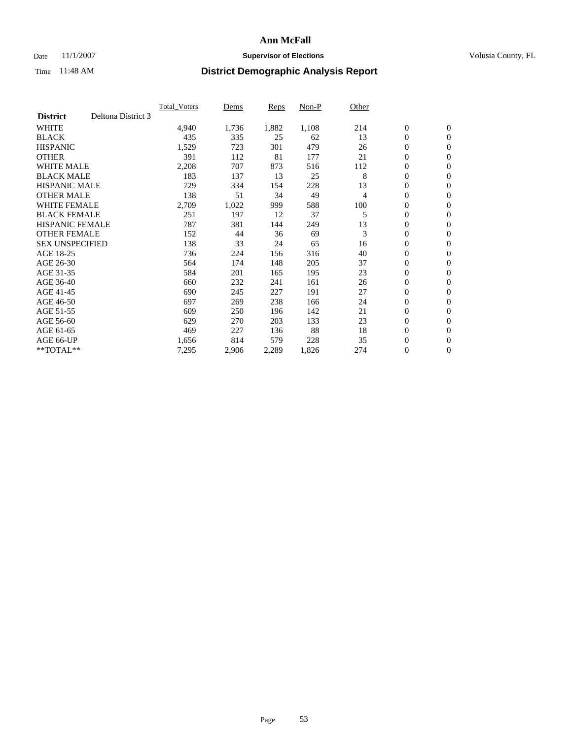### Date 11/1/2007 **Supervisor of Elections Supervisor of Elections** Volusia County, FL

|                        |                    | <b>Total Voters</b> | Dems  | Reps  | Non-P | Other |                  |                |  |
|------------------------|--------------------|---------------------|-------|-------|-------|-------|------------------|----------------|--|
| <b>District</b>        | Deltona District 3 |                     |       |       |       |       |                  |                |  |
| <b>WHITE</b>           |                    | 4,940               | 1,736 | 1,882 | 1,108 | 214   | $\boldsymbol{0}$ | $\mathbf{0}$   |  |
| <b>BLACK</b>           |                    | 435                 | 335   | 25    | 62    | 13    | $\mathbf{0}$     | $\mathbf{0}$   |  |
| <b>HISPANIC</b>        |                    | 1,529               | 723   | 301   | 479   | 26    | 0                | $\mathbf{0}$   |  |
| <b>OTHER</b>           |                    | 391                 | 112   | 81    | 177   | 21    | $\boldsymbol{0}$ | $\mathbf{0}$   |  |
| <b>WHITE MALE</b>      |                    | 2,208               | 707   | 873   | 516   | 112   | 0                | $\overline{0}$ |  |
| <b>BLACK MALE</b>      |                    | 183                 | 137   | 13    | 25    | 8     | $\boldsymbol{0}$ | $\mathbf{0}$   |  |
| <b>HISPANIC MALE</b>   |                    | 729                 | 334   | 154   | 228   | 13    | 0                | $\mathbf{0}$   |  |
| <b>OTHER MALE</b>      |                    | 138                 | 51    | 34    | 49    | 4     | $\mathbf{0}$     | $\mathbf{0}$   |  |
| <b>WHITE FEMALE</b>    |                    | 2,709               | 1,022 | 999   | 588   | 100   | 0                | $\mathbf{0}$   |  |
| <b>BLACK FEMALE</b>    |                    | 251                 | 197   | 12    | 37    | 5     | $\boldsymbol{0}$ | $\mathbf{0}$   |  |
| <b>HISPANIC FEMALE</b> |                    | 787                 | 381   | 144   | 249   | 13    | $\boldsymbol{0}$ | $\mathbf{0}$   |  |
| <b>OTHER FEMALE</b>    |                    | 152                 | 44    | 36    | 69    | 3     | 0                | $\overline{0}$ |  |
| <b>SEX UNSPECIFIED</b> |                    | 138                 | 33    | 24    | 65    | 16    | 0                | $\mathbf{0}$   |  |
| AGE 18-25              |                    | 736                 | 224   | 156   | 316   | 40    | 0                | $\mathbf{0}$   |  |
| AGE 26-30              |                    | 564                 | 174   | 148   | 205   | 37    | $\mathbf{0}$     | $\mathbf{0}$   |  |
| AGE 31-35              |                    | 584                 | 201   | 165   | 195   | 23    | 0                | $\mathbf{0}$   |  |
| AGE 36-40              |                    | 660                 | 232   | 241   | 161   | 26    | 0                | $\overline{0}$ |  |
| AGE 41-45              |                    | 690                 | 245   | 227   | 191   | 27    | 0                | $\mathbf{0}$   |  |
| AGE 46-50              |                    | 697                 | 269   | 238   | 166   | 24    | 0                | $\mathbf{0}$   |  |
| AGE 51-55              |                    | 609                 | 250   | 196   | 142   | 21    | $\boldsymbol{0}$ | $\mathbf{0}$   |  |
| AGE 56-60              |                    | 629                 | 270   | 203   | 133   | 23    | 0                | $\mathbf{0}$   |  |
| AGE 61-65              |                    | 469                 | 227   | 136   | 88    | 18    | $\mathbf{0}$     | $\mathbf{0}$   |  |
| AGE 66-UP              |                    | 1,656               | 814   | 579   | 228   | 35    | $\boldsymbol{0}$ | $\mathbf{0}$   |  |
| $*$ TOTAL $**$         |                    | 7,295               | 2,906 | 2,289 | 1,826 | 274   | 0                | $\overline{0}$ |  |
|                        |                    |                     |       |       |       |       |                  |                |  |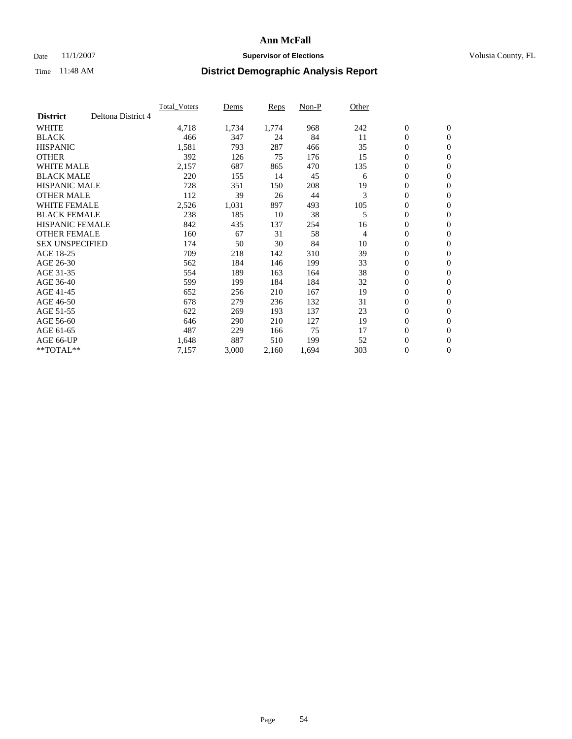### Date 11/1/2007 **Supervisor of Elections Supervisor of Elections** Volusia County, FL

|                        |                    | <b>Total Voters</b> | Dems  | Reps  | Non-P | Other |                  |                |  |
|------------------------|--------------------|---------------------|-------|-------|-------|-------|------------------|----------------|--|
| <b>District</b>        | Deltona District 4 |                     |       |       |       |       |                  |                |  |
| <b>WHITE</b>           |                    | 4,718               | 1,734 | 1,774 | 968   | 242   | $\boldsymbol{0}$ | $\mathbf{0}$   |  |
| <b>BLACK</b>           |                    | 466                 | 347   | 24    | 84    | 11    | $\mathbf{0}$     | $\mathbf{0}$   |  |
| <b>HISPANIC</b>        |                    | 1,581               | 793   | 287   | 466   | 35    | 0                | $\mathbf{0}$   |  |
| <b>OTHER</b>           |                    | 392                 | 126   | 75    | 176   | 15    | 0                | $\mathbf{0}$   |  |
| <b>WHITE MALE</b>      |                    | 2,157               | 687   | 865   | 470   | 135   | 0                | $\mathbf{0}$   |  |
| <b>BLACK MALE</b>      |                    | 220                 | 155   | 14    | 45    | 6     | 0                | $\mathbf{0}$   |  |
| <b>HISPANIC MALE</b>   |                    | 728                 | 351   | 150   | 208   | 19    | 0                | $\mathbf{0}$   |  |
| <b>OTHER MALE</b>      |                    | 112                 | 39    | 26    | 44    | 3     | $\mathbf{0}$     | $\mathbf{0}$   |  |
| <b>WHITE FEMALE</b>    |                    | 2,526               | 1,031 | 897   | 493   | 105   | 0                | $\mathbf{0}$   |  |
| <b>BLACK FEMALE</b>    |                    | 238                 | 185   | 10    | 38    | 5     | $\boldsymbol{0}$ | $\mathbf{0}$   |  |
| <b>HISPANIC FEMALE</b> |                    | 842                 | 435   | 137   | 254   | 16    | 0                | $\mathbf{0}$   |  |
| <b>OTHER FEMALE</b>    |                    | 160                 | 67    | 31    | 58    | 4     | 0                | $\mathbf{0}$   |  |
| <b>SEX UNSPECIFIED</b> |                    | 174                 | 50    | 30    | 84    | 10    | $\boldsymbol{0}$ | $\mathbf{0}$   |  |
| AGE 18-25              |                    | 709                 | 218   | 142   | 310   | 39    | 0                | $\mathbf{0}$   |  |
| AGE 26-30              |                    | 562                 | 184   | 146   | 199   | 33    | $\mathbf{0}$     | $\mathbf{0}$   |  |
| AGE 31-35              |                    | 554                 | 189   | 163   | 164   | 38    | 0                | $\mathbf{0}$   |  |
| AGE 36-40              |                    | 599                 | 199   | 184   | 184   | 32    | 0                | $\mathbf{0}$   |  |
| AGE 41-45              |                    | 652                 | 256   | 210   | 167   | 19    | 0                | $\mathbf{0}$   |  |
| AGE 46-50              |                    | 678                 | 279   | 236   | 132   | 31    | 0                | $\mathbf{0}$   |  |
| AGE 51-55              |                    | 622                 | 269   | 193   | 137   | 23    | $\boldsymbol{0}$ | $\mathbf{0}$   |  |
| AGE 56-60              |                    | 646                 | 290   | 210   | 127   | 19    | 0                | $\mathbf{0}$   |  |
| AGE 61-65              |                    | 487                 | 229   | 166   | 75    | 17    | $\mathbf{0}$     | $\mathbf{0}$   |  |
| AGE 66-UP              |                    | 1,648               | 887   | 510   | 199   | 52    | $\boldsymbol{0}$ | $\mathbf{0}$   |  |
| $*$ TOTAL $**$         |                    | 7,157               | 3,000 | 2,160 | 1,694 | 303   | 0                | $\overline{0}$ |  |
|                        |                    |                     |       |       |       |       |                  |                |  |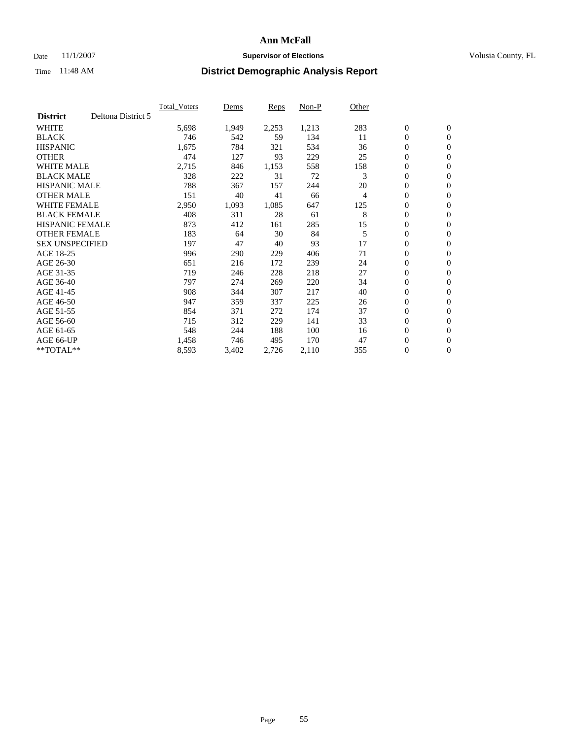### Date 11/1/2007 **Supervisor of Elections Supervisor of Elections** Volusia County, FL

|                        |                    | <b>Total Voters</b> | Dems  | Reps  | Non-P | Other |                  |                |  |
|------------------------|--------------------|---------------------|-------|-------|-------|-------|------------------|----------------|--|
| <b>District</b>        | Deltona District 5 |                     |       |       |       |       |                  |                |  |
| <b>WHITE</b>           |                    | 5,698               | 1,949 | 2,253 | 1,213 | 283   | $\boldsymbol{0}$ | $\mathbf{0}$   |  |
| <b>BLACK</b>           |                    | 746                 | 542   | 59    | 134   | 11    | $\mathbf{0}$     | $\mathbf{0}$   |  |
| <b>HISPANIC</b>        |                    | 1,675               | 784   | 321   | 534   | 36    | 0                | $\mathbf{0}$   |  |
| <b>OTHER</b>           |                    | 474                 | 127   | 93    | 229   | 25    | 0                | $\mathbf{0}$   |  |
| <b>WHITE MALE</b>      |                    | 2,715               | 846   | 1,153 | 558   | 158   | 0                | $\mathbf{0}$   |  |
| <b>BLACK MALE</b>      |                    | 328                 | 222   | 31    | 72    | 3     | $\boldsymbol{0}$ | $\mathbf{0}$   |  |
| <b>HISPANIC MALE</b>   |                    | 788                 | 367   | 157   | 244   | 20    | 0                | $\mathbf{0}$   |  |
| <b>OTHER MALE</b>      |                    | 151                 | 40    | 41    | 66    | 4     | $\mathbf{0}$     | $\mathbf{0}$   |  |
| <b>WHITE FEMALE</b>    |                    | 2,950               | 1,093 | 1,085 | 647   | 125   | 0                | $\mathbf{0}$   |  |
| <b>BLACK FEMALE</b>    |                    | 408                 | 311   | 28    | 61    | 8     | $\boldsymbol{0}$ | $\mathbf{0}$   |  |
| <b>HISPANIC FEMALE</b> |                    | 873                 | 412   | 161   | 285   | 15    | $\boldsymbol{0}$ | $\mathbf{0}$   |  |
| <b>OTHER FEMALE</b>    |                    | 183                 | 64    | 30    | 84    | 5     | 0                | $\mathbf{0}$   |  |
| <b>SEX UNSPECIFIED</b> |                    | 197                 | 47    | 40    | 93    | 17    | $\boldsymbol{0}$ | $\mathbf{0}$   |  |
| AGE 18-25              |                    | 996                 | 290   | 229   | 406   | 71    | 0                | $\mathbf{0}$   |  |
| AGE 26-30              |                    | 651                 | 216   | 172   | 239   | 24    | $\mathbf{0}$     | $\mathbf{0}$   |  |
| AGE 31-35              |                    | 719                 | 246   | 228   | 218   | 27    | 0                | $\mathbf{0}$   |  |
| AGE 36-40              |                    | 797                 | 274   | 269   | 220   | 34    | 0                | $\mathbf{0}$   |  |
| AGE 41-45              |                    | 908                 | 344   | 307   | 217   | 40    | $\boldsymbol{0}$ | $\mathbf{0}$   |  |
| AGE 46-50              |                    | 947                 | 359   | 337   | 225   | 26    | 0                | $\mathbf{0}$   |  |
| AGE 51-55              |                    | 854                 | 371   | 272   | 174   | 37    | $\boldsymbol{0}$ | $\mathbf{0}$   |  |
| AGE 56-60              |                    | 715                 | 312   | 229   | 141   | 33    | $\mathbf{0}$     | $\mathbf{0}$   |  |
| AGE 61-65              |                    | 548                 | 244   | 188   | 100   | 16    | $\mathbf{0}$     | $\mathbf{0}$   |  |
| AGE 66-UP              |                    | 1,458               | 746   | 495   | 170   | 47    | $\boldsymbol{0}$ | $\mathbf{0}$   |  |
| $*$ TOTAL $**$         |                    | 8,593               | 3,402 | 2,726 | 2,110 | 355   | 0                | $\overline{0}$ |  |
|                        |                    |                     |       |       |       |       |                  |                |  |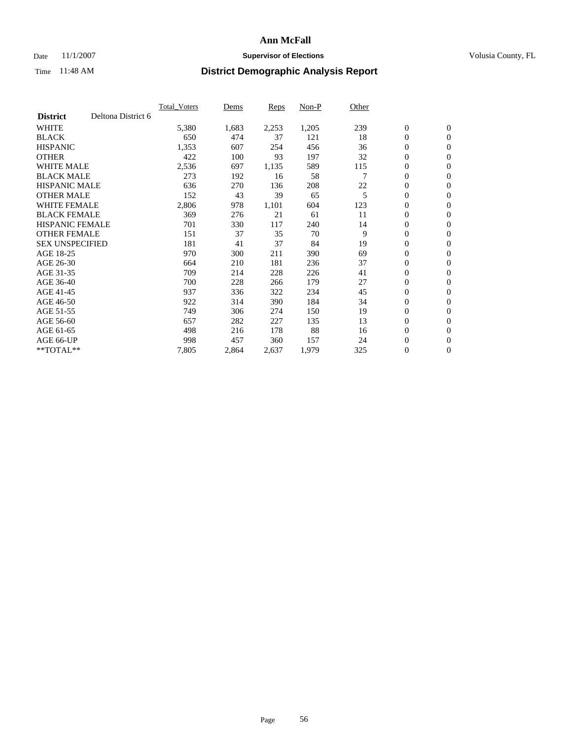### Date 11/1/2007 **Supervisor of Elections Supervisor of Elections** Volusia County, FL

|                        |                    | <b>Total Voters</b> | Dems  | Reps  | Non-P | Other |                  |                |  |
|------------------------|--------------------|---------------------|-------|-------|-------|-------|------------------|----------------|--|
| <b>District</b>        | Deltona District 6 |                     |       |       |       |       |                  |                |  |
| <b>WHITE</b>           |                    | 5,380               | 1,683 | 2,253 | 1,205 | 239   | $\boldsymbol{0}$ | $\mathbf{0}$   |  |
| <b>BLACK</b>           |                    | 650                 | 474   | 37    | 121   | 18    | $\mathbf{0}$     | $\mathbf{0}$   |  |
| <b>HISPANIC</b>        |                    | 1,353               | 607   | 254   | 456   | 36    | 0                | $\mathbf{0}$   |  |
| <b>OTHER</b>           |                    | 422                 | 100   | 93    | 197   | 32    | 0                | $\mathbf{0}$   |  |
| <b>WHITE MALE</b>      |                    | 2,536               | 697   | 1,135 | 589   | 115   | 0                | $\mathbf{0}$   |  |
| <b>BLACK MALE</b>      |                    | 273                 | 192   | 16    | 58    |       | $\boldsymbol{0}$ | $\mathbf{0}$   |  |
| <b>HISPANIC MALE</b>   |                    | 636                 | 270   | 136   | 208   | 22    | 0                | $\mathbf{0}$   |  |
| <b>OTHER MALE</b>      |                    | 152                 | 43    | 39    | 65    | 5     | $\mathbf{0}$     | $\mathbf{0}$   |  |
| <b>WHITE FEMALE</b>    |                    | 2,806               | 978   | 1,101 | 604   | 123   | 0                | $\mathbf{0}$   |  |
| <b>BLACK FEMALE</b>    |                    | 369                 | 276   | 21    | 61    | 11    | $\mathbf{0}$     | $\mathbf{0}$   |  |
| <b>HISPANIC FEMALE</b> |                    | 701                 | 330   | 117   | 240   | 14    | 0                | $\mathbf{0}$   |  |
| <b>OTHER FEMALE</b>    |                    | 151                 | 37    | 35    | 70    | 9     | 0                | $\mathbf{0}$   |  |
| <b>SEX UNSPECIFIED</b> |                    | 181                 | 41    | 37    | 84    | 19    | 0                | $\mathbf{0}$   |  |
| AGE 18-25              |                    | 970                 | 300   | 211   | 390   | 69    | 0                | $\mathbf{0}$   |  |
| AGE 26-30              |                    | 664                 | 210   | 181   | 236   | 37    | $\mathbf{0}$     | $\mathbf{0}$   |  |
| AGE 31-35              |                    | 709                 | 214   | 228   | 226   | 41    | 0                | $\mathbf{0}$   |  |
| AGE 36-40              |                    | 700                 | 228   | 266   | 179   | 27    | 0                | $\mathbf{0}$   |  |
| AGE 41-45              |                    | 937                 | 336   | 322   | 234   | 45    | 0                | $\mathbf{0}$   |  |
| AGE 46-50              |                    | 922                 | 314   | 390   | 184   | 34    | 0                | $\mathbf{0}$   |  |
| AGE 51-55              |                    | 749                 | 306   | 274   | 150   | 19    | $\boldsymbol{0}$ | $\mathbf{0}$   |  |
| AGE 56-60              |                    | 657                 | 282   | 227   | 135   | 13    | $\mathbf{0}$     | $\mathbf{0}$   |  |
| AGE 61-65              |                    | 498                 | 216   | 178   | 88    | 16    | $\mathbf{0}$     | $\mathbf{0}$   |  |
| AGE 66-UP              |                    | 998                 | 457   | 360   | 157   | 24    | $\boldsymbol{0}$ | $\mathbf{0}$   |  |
| $*$ TOTAL $**$         |                    | 7,805               | 2,864 | 2,637 | 1,979 | 325   | 0                | $\overline{0}$ |  |
|                        |                    |                     |       |       |       |       |                  |                |  |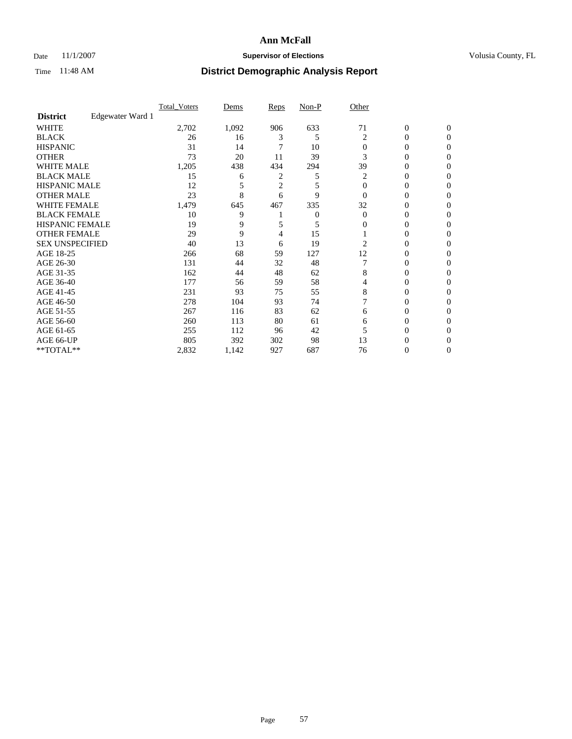### Date 11/1/2007 **Supervisor of Elections Supervisor of Elections** Volusia County, FL

|                        |                  | <b>Total Voters</b> | Dems  | Reps           | Non-P | Other    |                  |              |  |
|------------------------|------------------|---------------------|-------|----------------|-------|----------|------------------|--------------|--|
| <b>District</b>        | Edgewater Ward 1 |                     |       |                |       |          |                  |              |  |
| <b>WHITE</b>           |                  | 2,702               | 1,092 | 906            | 633   | 71       | $\boldsymbol{0}$ | $\mathbf{0}$ |  |
| <b>BLACK</b>           |                  | 26                  | 16    | 3              | 5     | 2        | 0                | $\mathbf{0}$ |  |
| <b>HISPANIC</b>        |                  | 31                  | 14    |                | 10    | $\Omega$ | 0                | $\Omega$     |  |
| <b>OTHER</b>           |                  | 73                  | 20    | 11             | 39    | 3        | $\overline{0}$   | $\theta$     |  |
| <b>WHITE MALE</b>      |                  | 1,205               | 438   | 434            | 294   | 39       | 0                | 0            |  |
| <b>BLACK MALE</b>      |                  | 15                  | 6     | 2              | 5     | 2        | 0                | 0            |  |
| <b>HISPANIC MALE</b>   |                  | 12                  |       | $\overline{c}$ | 5     | $\Omega$ | 0                |              |  |
| <b>OTHER MALE</b>      |                  | 23                  | 8     | 6              | 9     | $\Omega$ | 0                | 0            |  |
| <b>WHITE FEMALE</b>    |                  | 1,479               | 645   | 467            | 335   | 32       | 0                | 0            |  |
| <b>BLACK FEMALE</b>    |                  | 10                  | 9     |                | 0     | $\Omega$ | 0                | 0            |  |
| <b>HISPANIC FEMALE</b> |                  | 19                  | 9     |                | 5     | 0        | 0                | $\Omega$     |  |
| <b>OTHER FEMALE</b>    |                  | 29                  | 9     | 4              | 15    |          | 0                | $\theta$     |  |
| <b>SEX UNSPECIFIED</b> |                  | 40                  | 13    | 6              | 19    | 2        | 0                | $\theta$     |  |
| AGE 18-25              |                  | 266                 | 68    | 59             | 127   | 12       | 0                | $_{0}$       |  |
| AGE 26-30              |                  | 131                 | 44    | 32             | 48    |          | 0                | 0            |  |
| AGE 31-35              |                  | 162                 | 44    | 48             | 62    | 8        | 0                | 0            |  |
| AGE 36-40              |                  | 177                 | 56    | 59             | 58    | 4        | 0                | 0            |  |
| AGE 41-45              |                  | 231                 | 93    | 75             | 55    | 8        | 0                | 0            |  |
| AGE 46-50              |                  | 278                 | 104   | 93             | 74    |          | 0                | $\Omega$     |  |
| AGE 51-55              |                  | 267                 | 116   | 83             | 62    | 6        | 0                | $\theta$     |  |
| AGE 56-60              |                  | 260                 | 113   | 80             | 61    | 6        | 0                | $\theta$     |  |
| AGE 61-65              |                  | 255                 | 112   | 96             | 42    |          | 0                | 0            |  |
| AGE 66-UP              |                  | 805                 | 392   | 302            | 98    | 13       | 0                |              |  |
| **TOTAL**              |                  | 2,832               | 1,142 | 927            | 687   | 76       | 0                | 0            |  |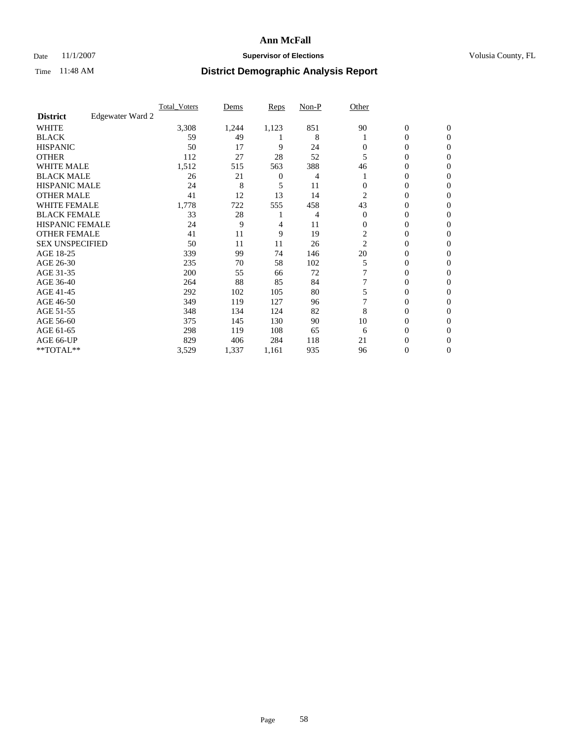### Date 11/1/2007 **Supervisor of Elections Supervisor of Elections** Volusia County, FL

|                        |                  | <b>Total Voters</b> | Dems  | Reps           | Non-P | Other    |                  |                  |  |
|------------------------|------------------|---------------------|-------|----------------|-------|----------|------------------|------------------|--|
| <b>District</b>        | Edgewater Ward 2 |                     |       |                |       |          |                  |                  |  |
| <b>WHITE</b>           |                  | 3,308               | 1,244 | 1,123          | 851   | 90       | $\boldsymbol{0}$ | $\mathbf{0}$     |  |
| <b>BLACK</b>           |                  | 59                  | 49    |                | 8     |          | 0                | $\mathbf{0}$     |  |
| <b>HISPANIC</b>        |                  | 50                  | 17    | 9              | 24    | 0        | 0                | $\mathbf{0}$     |  |
| <b>OTHER</b>           |                  | 112                 | 27    | 28             | 52    | 5        | 0                | $\boldsymbol{0}$ |  |
| <b>WHITE MALE</b>      |                  | 1,512               | 515   | 563            | 388   | 46       | 0                | $\theta$         |  |
| <b>BLACK MALE</b>      |                  | 26                  | 21    | $\overline{0}$ | 4     |          | 0                | 0                |  |
| <b>HISPANIC MALE</b>   |                  | 24                  | 8     | 5              | 11    |          | 0                | 0                |  |
| <b>OTHER MALE</b>      |                  | 41                  | 12    | 13             | 14    | 2        | 0                | 0                |  |
| <b>WHITE FEMALE</b>    |                  | 1,778               | 722   | 555            | 458   | 43       | 0                | 0                |  |
| <b>BLACK FEMALE</b>    |                  | 33                  | 28    |                | 4     | $\Omega$ | 0                | $\mathbf{0}$     |  |
| <b>HISPANIC FEMALE</b> |                  | 24                  | 9     | 4              | 11    | $\Omega$ | 0                | $\Omega$         |  |
| <b>OTHER FEMALE</b>    |                  | 41                  | 11    | 9              | 19    | 2        | 0                | $\theta$         |  |
| <b>SEX UNSPECIFIED</b> |                  | 50                  | 11    | 11             | 26    | 2        | 0                | $\Omega$         |  |
| AGE 18-25              |                  | 339                 | 99    | 74             | 146   | 20       | 0                | 0                |  |
| AGE 26-30              |                  | 235                 | 70    | 58             | 102   | 5        | 0                | $\Omega$         |  |
| AGE 31-35              |                  | 200                 | 55    | 66             | 72    |          | 0                | 0                |  |
| AGE 36-40              |                  | 264                 | 88    | 85             | 84    |          | 0                | 0                |  |
| AGE 41-45              |                  | 292                 | 102   | 105            | 80    |          | 0                | 0                |  |
| AGE 46-50              |                  | 349                 | 119   | 127            | 96    |          | 0                | $\mathbf{0}$     |  |
| AGE 51-55              |                  | 348                 | 134   | 124            | 82    | 8        | 0                | $\Omega$         |  |
| AGE 56-60              |                  | 375                 | 145   | 130            | 90    | 10       | 0                | $\theta$         |  |
| AGE 61-65              |                  | 298                 | 119   | 108            | 65    | 6        | 0                | 0                |  |
| AGE 66-UP              |                  | 829                 | 406   | 284            | 118   | 21       | 0                | $\theta$         |  |
| **TOTAL**              |                  | 3,529               | 1,337 | 1,161          | 935   | 96       | 0                | $\mathbf{0}$     |  |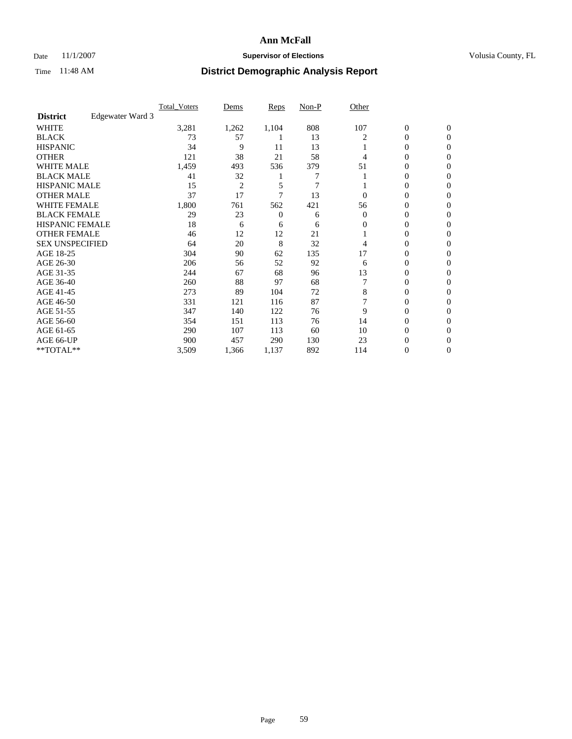### Date 11/1/2007 **Supervisor of Elections Supervisor of Elections** Volusia County, FL

|                        |                  | <b>Total Voters</b> | Dems           | Reps  | Non-P | Other    |                  |                  |  |
|------------------------|------------------|---------------------|----------------|-------|-------|----------|------------------|------------------|--|
| <b>District</b>        | Edgewater Ward 3 |                     |                |       |       |          |                  |                  |  |
| <b>WHITE</b>           |                  | 3,281               | 1,262          | 1,104 | 808   | 107      | $\boldsymbol{0}$ | $\mathbf{0}$     |  |
| <b>BLACK</b>           |                  | 73                  | 57             |       | 13    | 2        | 0                | $\mathbf{0}$     |  |
| <b>HISPANIC</b>        |                  | 34                  | 9              | 11    | 13    |          | 0                | $\overline{0}$   |  |
| <b>OTHER</b>           |                  | 121                 | 38             | 21    | 58    | 4        | $\overline{0}$   | $\boldsymbol{0}$ |  |
| <b>WHITE MALE</b>      |                  | 1,459               | 493            | 536   | 379   | 51       | 0                | $\theta$         |  |
| <b>BLACK MALE</b>      |                  | 41                  | 32             |       | 7     |          | 0                | $\Omega$         |  |
| <b>HISPANIC MALE</b>   |                  | 15                  | $\overline{c}$ | 5     | 7     |          | 0                | 0                |  |
| <b>OTHER MALE</b>      |                  | 37                  | 17             | 7     | 13    | 0        | 0                | 0                |  |
| <b>WHITE FEMALE</b>    |                  | 1,800               | 761            | 562   | 421   | 56       | 0                | 0                |  |
| <b>BLACK FEMALE</b>    |                  | 29                  | 23             | 0     | 6     | $\Omega$ | 0                | $\overline{0}$   |  |
| <b>HISPANIC FEMALE</b> |                  | 18                  | 6              | 6     | 6     | 0        | 0                | $\Omega$         |  |
| <b>OTHER FEMALE</b>    |                  | 46                  | 12             | 12    | 21    |          | 0                | $\boldsymbol{0}$ |  |
| <b>SEX UNSPECIFIED</b> |                  | 64                  | 20             | 8     | 32    | 4        | 0                | $\Omega$         |  |
| AGE 18-25              |                  | 304                 | 90             | 62    | 135   | 17       | 0                | 0                |  |
| AGE 26-30              |                  | 206                 | 56             | 52    | 92    | 6        | 0                | $\Omega$         |  |
| AGE 31-35              |                  | 244                 | 67             | 68    | 96    | 13       | 0                | 0                |  |
| AGE 36-40              |                  | 260                 | 88             | 97    | 68    |          | 0                | $\overline{0}$   |  |
| AGE 41-45              |                  | 273                 | 89             | 104   | 72    | 8        | 0                | 0                |  |
| AGE 46-50              |                  | 331                 | 121            | 116   | 87    |          | 0                | $\overline{0}$   |  |
| AGE 51-55              |                  | 347                 | 140            | 122   | 76    | 9        | 0                | $\Omega$         |  |
| AGE 56-60              |                  | 354                 | 151            | 113   | 76    | 14       | 0                | $\theta$         |  |
| AGE 61-65              |                  | 290                 | 107            | 113   | 60    | 10       | 0                | 0                |  |
| AGE 66-UP              |                  | 900                 | 457            | 290   | 130   | 23       | 0                | $_{0}$           |  |
| **TOTAL**              |                  | 3,509               | 1,366          | 1,137 | 892   | 114      | 0                | $\overline{0}$   |  |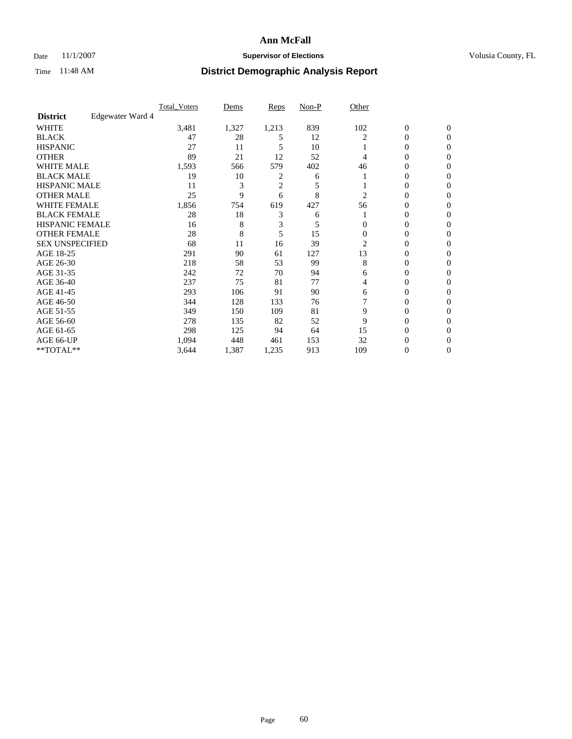### Date 11/1/2007 **Supervisor of Elections Supervisor of Elections** Volusia County, FL

|                        |                  | <b>Total Voters</b> | Dems  | Reps           | Non-P | Other    |                  |                |  |
|------------------------|------------------|---------------------|-------|----------------|-------|----------|------------------|----------------|--|
| <b>District</b>        | Edgewater Ward 4 |                     |       |                |       |          |                  |                |  |
| <b>WHITE</b>           |                  | 3,481               | 1,327 | 1,213          | 839   | 102      | $\boldsymbol{0}$ | $\mathbf{0}$   |  |
| <b>BLACK</b>           |                  | 47                  | 28    | 5              | 12    |          | 0                | $\mathbf{0}$   |  |
| <b>HISPANIC</b>        |                  | 27                  | 11    | 5              | 10    |          | 0                | $\overline{0}$ |  |
| <b>OTHER</b>           |                  | 89                  | 21    | 12             | 52    | 4        | $\overline{0}$   | $\theta$       |  |
| <b>WHITE MALE</b>      |                  | 1,593               | 566   | 579            | 402   | 46       | 0                | $\theta$       |  |
| <b>BLACK MALE</b>      |                  | 19                  | 10    | 2              | 6     |          | 0                | 0              |  |
| <b>HISPANIC MALE</b>   |                  | 11                  | 3     | $\overline{c}$ | 5     |          | 0                | 0              |  |
| <b>OTHER MALE</b>      |                  | 25                  | 9     | 6              | 8     | 2        | 0                | 0              |  |
| <b>WHITE FEMALE</b>    |                  | 1,856               | 754   | 619            | 427   | 56       | 0                | 0              |  |
| <b>BLACK FEMALE</b>    |                  | 28                  | 18    | 3              | 6     |          | 0                | 0              |  |
| <b>HISPANIC FEMALE</b> |                  | 16                  | 8     | 3              | 5     | 0        | 0                | $\Omega$       |  |
| <b>OTHER FEMALE</b>    |                  | 28                  | 8     | 5              | 15    | $\Omega$ | 0                | $\theta$       |  |
| <b>SEX UNSPECIFIED</b> |                  | 68                  | 11    | 16             | 39    | 2        | 0                | $\theta$       |  |
| AGE 18-25              |                  | 291                 | 90    | 61             | 127   | 13       | 0                | 0              |  |
| AGE 26-30              |                  | 218                 | 58    | 53             | 99    | 8        | 0                | $\Omega$       |  |
| AGE 31-35              |                  | 242                 | 72    | 70             | 94    | 6        | 0                | 0              |  |
| AGE 36-40              |                  | 237                 | 75    | 81             | 77    | 4        | 0                | 0              |  |
| AGE 41-45              |                  | 293                 | 106   | 91             | 90    | 6        | 0                | 0              |  |
| AGE 46-50              |                  | 344                 | 128   | 133            | 76    |          | 0                | $\mathbf{0}$   |  |
| AGE 51-55              |                  | 349                 | 150   | 109            | 81    | 9        | 0                | $\Omega$       |  |
| AGE 56-60              |                  | 278                 | 135   | 82             | 52    | 9        | 0                | $\theta$       |  |
| AGE 61-65              |                  | 298                 | 125   | 94             | 64    | 15       | 0                | 0              |  |
| AGE 66-UP              |                  | 1,094               | 448   | 461            | 153   | 32       | 0                |                |  |
| **TOTAL**              |                  | 3,644               | 1,387 | 1,235          | 913   | 109      | 0                | $\mathbf{0}$   |  |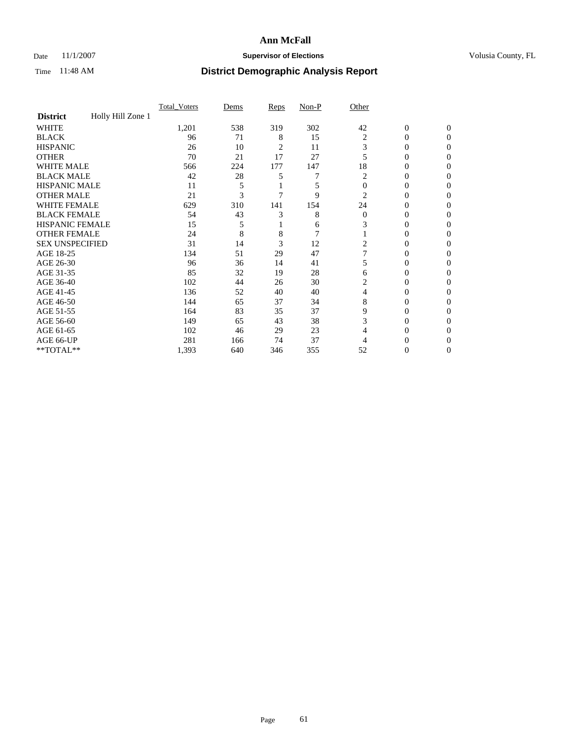### Date 11/1/2007 **Supervisor of Elections Supervisor of Elections** Volusia County, FL

|                        |                   | <b>Total Voters</b> | Dems | Reps | Non-P | Other          |                  |              |  |
|------------------------|-------------------|---------------------|------|------|-------|----------------|------------------|--------------|--|
| <b>District</b>        | Holly Hill Zone 1 |                     |      |      |       |                |                  |              |  |
| <b>WHITE</b>           |                   | 1,201               | 538  | 319  | 302   | 42             | $\boldsymbol{0}$ | $\mathbf{0}$ |  |
| <b>BLACK</b>           |                   | 96                  | 71   | 8    | 15    | 2              | 0                | $\mathbf{0}$ |  |
| <b>HISPANIC</b>        |                   | 26                  | 10   | 2    | 11    | 3              | 0                | $\Omega$     |  |
| <b>OTHER</b>           |                   | 70                  | 21   | 17   | 27    |                | $\overline{0}$   | $\theta$     |  |
| <b>WHITE MALE</b>      |                   | 566                 | 224  | 177  | 147   | 18             | 0                | 0            |  |
| <b>BLACK MALE</b>      |                   | 42                  | 28   | 5    | 7     | 2              | 0                | 0            |  |
| <b>HISPANIC MALE</b>   |                   | 11                  |      |      | 5     | $\Omega$       | 0                |              |  |
| <b>OTHER MALE</b>      |                   | 21                  | 3    |      | 9     | 2              | 0                | 0            |  |
| <b>WHITE FEMALE</b>    |                   | 629                 | 310  | 141  | 154   | 24             | 0                | 0            |  |
| <b>BLACK FEMALE</b>    |                   | 54                  | 43   | 3    | 8     | $\overline{0}$ | 0                | 0            |  |
| <b>HISPANIC FEMALE</b> |                   | 15                  | 5    |      | 6     | 3              | 0                | $\Omega$     |  |
| <b>OTHER FEMALE</b>    |                   | 24                  | 8    | 8    | 7     |                | 0                | $\theta$     |  |
| <b>SEX UNSPECIFIED</b> |                   | 31                  | 14   | 3    | 12    | 2              | 0                | $\theta$     |  |
| AGE 18-25              |                   | 134                 | 51   | 29   | 47    |                | 0                | $_{0}$       |  |
| AGE 26-30              |                   | 96                  | 36   | 14   | 41    | 5              | 0                | 0            |  |
| AGE 31-35              |                   | 85                  | 32   | 19   | 28    | 6              | 0                |              |  |
| AGE 36-40              |                   | 102                 | 44   | 26   | 30    | 2              | 0                | 0            |  |
| AGE 41-45              |                   | 136                 | 52   | 40   | 40    | 4              | 0                | 0            |  |
| AGE 46-50              |                   | 144                 | 65   | 37   | 34    | 8              | 0                | $\Omega$     |  |
| AGE 51-55              |                   | 164                 | 83   | 35   | 37    | 9              | 0                | $\theta$     |  |
| AGE 56-60              |                   | 149                 | 65   | 43   | 38    | 3              | 0                | $\theta$     |  |
| AGE 61-65              |                   | 102                 | 46   | 29   | 23    | 4              | 0                | 0            |  |
| AGE 66-UP              |                   | 281                 | 166  | 74   | 37    | 4              | 0                |              |  |
| **TOTAL**              |                   | 1,393               | 640  | 346  | 355   | 52             | 0                | 0            |  |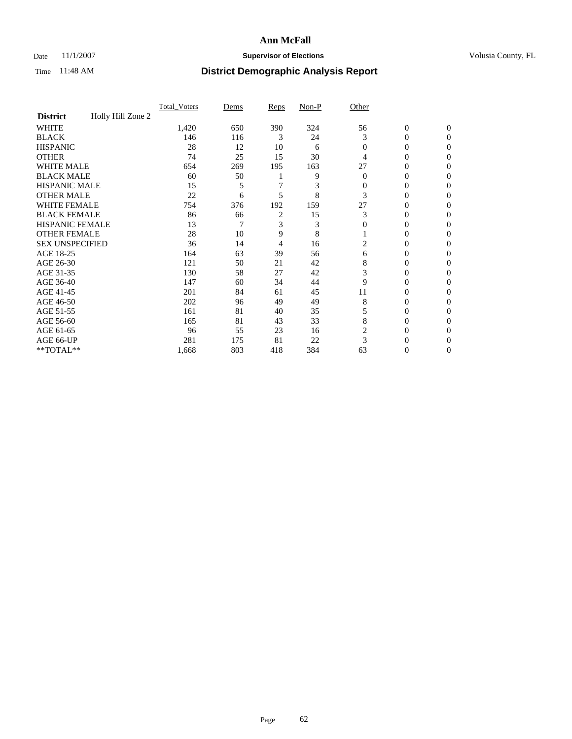### Date 11/1/2007 **Supervisor of Elections Supervisor of Elections** Volusia County, FL

|                        |                   | <b>Total Voters</b> | Dems | Reps           | Non-P | Other    |                  |              |  |
|------------------------|-------------------|---------------------|------|----------------|-------|----------|------------------|--------------|--|
| <b>District</b>        | Holly Hill Zone 2 |                     |      |                |       |          |                  |              |  |
| <b>WHITE</b>           |                   | 1,420               | 650  | 390            | 324   | 56       | $\boldsymbol{0}$ | $\mathbf{0}$ |  |
| <b>BLACK</b>           |                   | 146                 | 116  | 3              | 24    | 3        | 0                | $\mathbf{0}$ |  |
| <b>HISPANIC</b>        |                   | 28                  | 12   | 10             | 6     | $\Omega$ | 0                | $\mathbf{0}$ |  |
| <b>OTHER</b>           |                   | 74                  | 25   | 15             | 30    | 4        | $\overline{0}$   | $\theta$     |  |
| <b>WHITE MALE</b>      |                   | 654                 | 269  | 195            | 163   | 27       | 0                | $\theta$     |  |
| <b>BLACK MALE</b>      |                   | 60                  | 50   |                | 9     | $\Omega$ | 0                | 0            |  |
| <b>HISPANIC MALE</b>   |                   | 15                  |      |                | 3     | 0        | 0                | 0            |  |
| <b>OTHER MALE</b>      |                   | 22                  | 6    | 5              | 8     | 3        | 0                | 0            |  |
| <b>WHITE FEMALE</b>    |                   | 754                 | 376  | 192            | 159   | 27       | 0                | 0            |  |
| <b>BLACK FEMALE</b>    |                   | 86                  | 66   | $\overline{c}$ | 15    | 3        | 0                | 0            |  |
| <b>HISPANIC FEMALE</b> |                   | 13                  | 7    | 3              | 3     | $\Omega$ | 0                | $\Omega$     |  |
| <b>OTHER FEMALE</b>    |                   | 28                  | 10   | 9              | 8     |          | 0                | $\theta$     |  |
| <b>SEX UNSPECIFIED</b> |                   | 36                  | 14   | 4              | 16    | 2        | 0                | $\theta$     |  |
| AGE 18-25              |                   | 164                 | 63   | 39             | 56    | 6        | 0                | $_{0}$       |  |
| AGE 26-30              |                   | 121                 | 50   | 21             | 42    | 8        | 0                | 0            |  |
| AGE 31-35              |                   | 130                 | 58   | 27             | 42    | 3        | 0                | 0            |  |
| AGE 36-40              |                   | 147                 | 60   | 34             | 44    | 9        | 0                | 0            |  |
| AGE 41-45              |                   | 201                 | 84   | 61             | 45    | 11       | 0                | 0            |  |
| AGE 46-50              |                   | 202                 | 96   | 49             | 49    | 8        | 0                | $\mathbf{0}$ |  |
| AGE 51-55              |                   | 161                 | 81   | 40             | 35    | 5        | 0                | $\Omega$     |  |
| AGE 56-60              |                   | 165                 | 81   | 43             | 33    | 8        | 0                | $\theta$     |  |
| AGE 61-65              |                   | 96                  | 55   | 23             | 16    | 2        | 0                | 0            |  |
| AGE 66-UP              |                   | 281                 | 175  | 81             | 22    | 3        | 0                |              |  |
| **TOTAL**              |                   | 1,668               | 803  | 418            | 384   | 63       | 0                | $\mathbf{0}$ |  |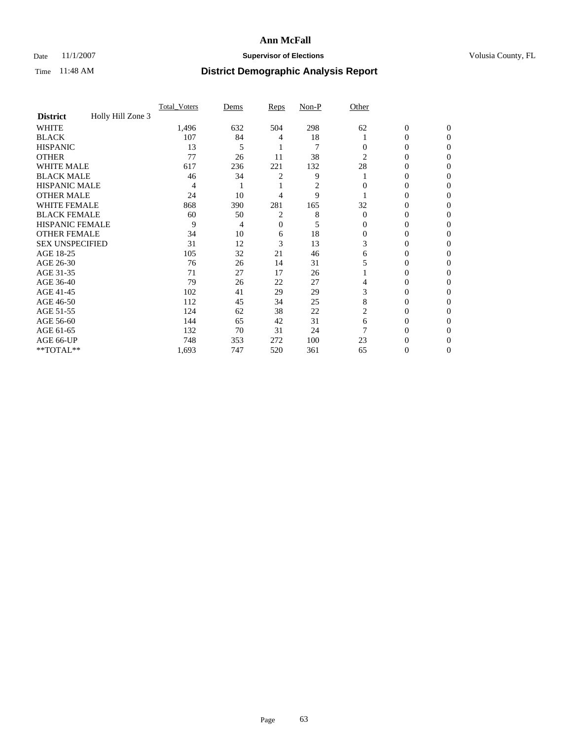### Date 11/1/2007 **Supervisor of Elections Supervisor of Elections** Volusia County, FL

|                        |                   | <b>Total Voters</b> | Dems | Reps | Non-P          | Other    |                  |              |  |
|------------------------|-------------------|---------------------|------|------|----------------|----------|------------------|--------------|--|
| <b>District</b>        | Holly Hill Zone 3 |                     |      |      |                |          |                  |              |  |
| <b>WHITE</b>           |                   | 1,496               | 632  | 504  | 298            | 62       | $\boldsymbol{0}$ | $\mathbf{0}$ |  |
| <b>BLACK</b>           |                   | 107                 | 84   | 4    | 18             |          | 0                | $\mathbf{0}$ |  |
| <b>HISPANIC</b>        |                   | 13                  | 5    |      | $\overline{7}$ | 0        | 0                | $\Omega$     |  |
| <b>OTHER</b>           |                   | 77                  | 26   | 11   | 38             | 2        | 0                | $\theta$     |  |
| <b>WHITE MALE</b>      |                   | 617                 | 236  | 221  | 132            | 28       | 0                | 0            |  |
| <b>BLACK MALE</b>      |                   | 46                  | 34   | 2    | 9              |          | 0                | 0            |  |
| <b>HISPANIC MALE</b>   |                   | 4                   |      |      | 2              |          | 0                |              |  |
| <b>OTHER MALE</b>      |                   | 24                  | 10   | 4    | 9              |          | 0                | 0            |  |
| <b>WHITE FEMALE</b>    |                   | 868                 | 390  | 281  | 165            | 32       | 0                | 0            |  |
| <b>BLACK FEMALE</b>    |                   | 60                  | 50   | 2    | 8              | $\Omega$ | 0                | 0            |  |
| <b>HISPANIC FEMALE</b> |                   | 9                   | 4    | 0    | 5              | 0        | 0                | $\theta$     |  |
| <b>OTHER FEMALE</b>    |                   | 34                  | 10   | 6    | 18             | $\Omega$ | 0                | 0            |  |
| <b>SEX UNSPECIFIED</b> |                   | 31                  | 12   | 3    | 13             | 3        | 0                | 0            |  |
| AGE 18-25              |                   | 105                 | 32   | 21   | 46             | 6        | 0                |              |  |
| AGE 26-30              |                   | 76                  | 26   | 14   | 31             |          | 0                | 0            |  |
| AGE 31-35              |                   | 71                  | 27   | 17   | 26             |          | 0                |              |  |
| AGE 36-40              |                   | 79                  | 26   | 22   | 27             | 4        | 0                | 0            |  |
| AGE 41-45              |                   | 102                 | 41   | 29   | 29             | 3        | 0                | 0            |  |
| AGE 46-50              |                   | 112                 | 45   | 34   | 25             | 8        | 0                | 0            |  |
| AGE 51-55              |                   | 124                 | 62   | 38   | 22             | 2        | 0                | $\theta$     |  |
| AGE 56-60              |                   | 144                 | 65   | 42   | 31             | 6        | 0                | 0            |  |
| AGE 61-65              |                   | 132                 | 70   | 31   | 24             |          | 0                |              |  |
| AGE 66-UP              |                   | 748                 | 353  | 272  | 100            | 23       | 0                |              |  |
| **TOTAL**              |                   | 1,693               | 747  | 520  | 361            | 65       | 0                | 0            |  |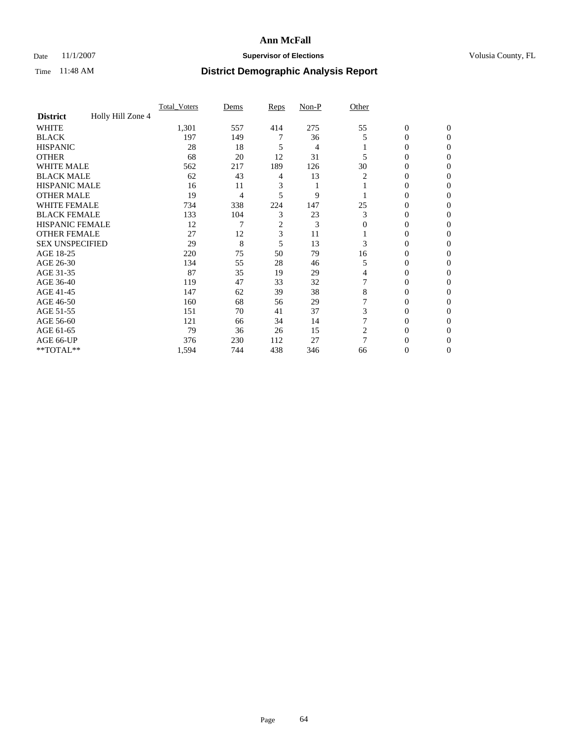### Date 11/1/2007 **Supervisor of Elections Supervisor of Elections** Volusia County, FL

|                        |                   | Total Voters | Dems | <b>Reps</b> | Non-P | Other    |                  |              |  |
|------------------------|-------------------|--------------|------|-------------|-------|----------|------------------|--------------|--|
| <b>District</b>        | Holly Hill Zone 4 |              |      |             |       |          |                  |              |  |
| <b>WHITE</b>           |                   | 1,301        | 557  | 414         | 275   | 55       | $\boldsymbol{0}$ | $\mathbf{0}$ |  |
| <b>BLACK</b>           |                   | 197          | 149  |             | 36    | 5        | 0                | $\mathbf{0}$ |  |
| <b>HISPANIC</b>        |                   | 28           | 18   | 5           | 4     |          | 0                | $\Omega$     |  |
| <b>OTHER</b>           |                   | 68           | 20   | 12          | 31    |          | $\overline{0}$   | $\Omega$     |  |
| <b>WHITE MALE</b>      |                   | 562          | 217  | 189         | 126   | 30       | 0                | 0            |  |
| <b>BLACK MALE</b>      |                   | 62           | 43   | 4           | 13    | 2        | 0                | 0            |  |
| <b>HISPANIC MALE</b>   |                   | 16           | 11   | 3           |       |          | 0                | 0            |  |
| <b>OTHER MALE</b>      |                   | 19           | 4    | 5           | 9     |          | $\overline{0}$   | 0            |  |
| WHITE FEMALE           |                   | 734          | 338  | 224         | 147   | 25       | 0                | 0            |  |
| <b>BLACK FEMALE</b>    |                   | 133          | 104  | 3           | 23    | 3        | 0                | 0            |  |
| <b>HISPANIC FEMALE</b> |                   | 12           |      | 2           | 3     | $\Omega$ | 0                | $\Omega$     |  |
| <b>OTHER FEMALE</b>    |                   | 27           | 12   | 3           | 11    |          | 0                | $\Omega$     |  |
| <b>SEX UNSPECIFIED</b> |                   | 29           | 8    | 5           | 13    | 3        | 0                | $\Omega$     |  |
| AGE 18-25              |                   | 220          | 75   | 50          | 79    | 16       | 0                | $_{0}$       |  |
| AGE 26-30              |                   | 134          | 55   | 28          | 46    | 5        | 0                | 0            |  |
| AGE 31-35              |                   | 87           | 35   | 19          | 29    | 4        | 0                | 0            |  |
| AGE 36-40              |                   | 119          | 47   | 33          | 32    |          | 0                | 0            |  |
| AGE 41-45              |                   | 147          | 62   | 39          | 38    | 8        | 0                | 0            |  |
| AGE 46-50              |                   | 160          | 68   | 56          | 29    |          | 0                | $\Omega$     |  |
| AGE 51-55              |                   | 151          | 70   | 41          | 37    | 3        | 0                | $\Omega$     |  |
| AGE 56-60              |                   | 121          | 66   | 34          | 14    |          | 0                | $\Omega$     |  |
| AGE 61-65              |                   | 79           | 36   | 26          | 15    | 2        | 0                | 0            |  |
| AGE 66-UP              |                   | 376          | 230  | 112         | 27    | 7        |                  |              |  |
| **TOTAL**              |                   | 1,594        | 744  | 438         | 346   | 66       | 0                | 0            |  |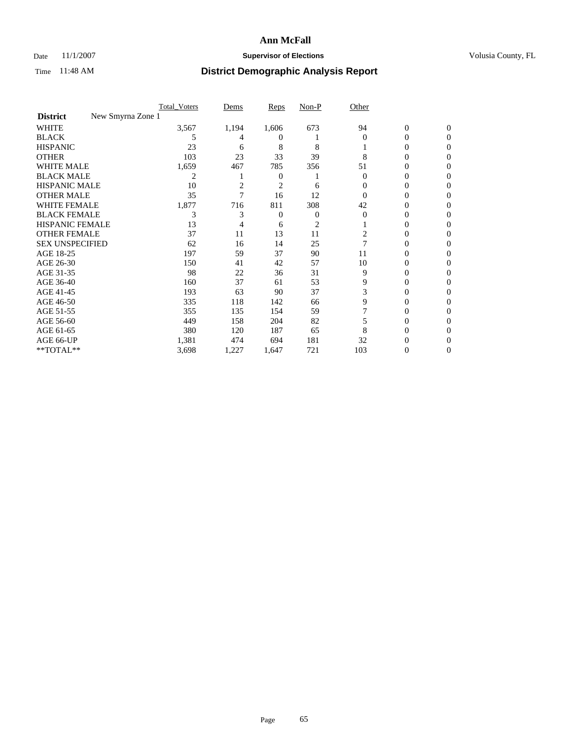### Date 11/1/2007 **Supervisor of Elections Supervisor of Elections** Volusia County, FL

|                                      | Total Voters | Dems           | <b>Reps</b>  | Non-P | Other    |                  |              |  |
|--------------------------------------|--------------|----------------|--------------|-------|----------|------------------|--------------|--|
| New Smyrna Zone 1<br><b>District</b> |              |                |              |       |          |                  |              |  |
| <b>WHITE</b>                         | 3,567        | 1,194          | 1,606        | 673   | 94       | $\boldsymbol{0}$ | $\mathbf{0}$ |  |
| <b>BLACK</b>                         | 5            | 4              | $^{(1)}$     |       | $\Omega$ | 0                | $\Omega$     |  |
| <b>HISPANIC</b>                      | 23           | 6              | 8            | 8     |          | 0                | $\Omega$     |  |
| <b>OTHER</b>                         | 103          | 23             | 33           | 39    | 8        | 0                | 0            |  |
| <b>WHITE MALE</b>                    | 1,659        | 467            | 785          | 356   | 51       | 0                | 0            |  |
| <b>BLACK MALE</b>                    | 2            |                | $\mathbf{0}$ |       | 0        | 0                | 0            |  |
| <b>HISPANIC MALE</b>                 | 10           | $\overline{2}$ | 2            | 6     |          | 0                |              |  |
| <b>OTHER MALE</b>                    | 35           |                | 16           | 12    |          | 0                | 0            |  |
| WHITE FEMALE                         | 1,877        | 716            | 811          | 308   | 42       | 0                | 0            |  |
| <b>BLACK FEMALE</b>                  | 3            | 3              | 0            | 0     | 0        | 0                | 0            |  |
| <b>HISPANIC FEMALE</b>               | 13           |                | 6            | 2     |          | $\theta$         | 0            |  |
| <b>OTHER FEMALE</b>                  | 37           | 11             | 13           | 11    | 2        | 0                | 0            |  |
| <b>SEX UNSPECIFIED</b>               | 62           | 16             | 14           | 25    | 7        | 0                | 0            |  |
| AGE 18-25                            | 197          | 59             | 37           | 90    | 11       | 0                | $\theta$     |  |
| AGE 26-30                            | 150          | 41             | 42           | 57    | 10       | 0                | 0            |  |
| AGE 31-35                            | 98           | 22             | 36           | 31    | 9        | 0                | 0            |  |
| AGE 36-40                            | 160          | 37             | 61           | 53    | 9        | 0                | 0            |  |
| AGE 41-45                            | 193          | 63             | 90           | 37    | 3        | 0                | 0            |  |
| AGE 46-50                            | 335          | 118            | 142          | 66    | 9        | 0                | 0            |  |
| AGE 51-55                            | 355          | 135            | 154          | 59    |          | 0                | $\Omega$     |  |
| AGE 56-60                            | 449          | 158            | 204          | 82    |          | 0                | 0            |  |
| AGE 61-65                            | 380          | 120            | 187          | 65    | 8        | 0                |              |  |
| AGE 66-UP                            | 1,381        | 474            | 694          | 181   | 32       |                  |              |  |
| **TOTAL**                            | 3,698        | 1,227          | 1,647        | 721   | 103      | 0                | 0            |  |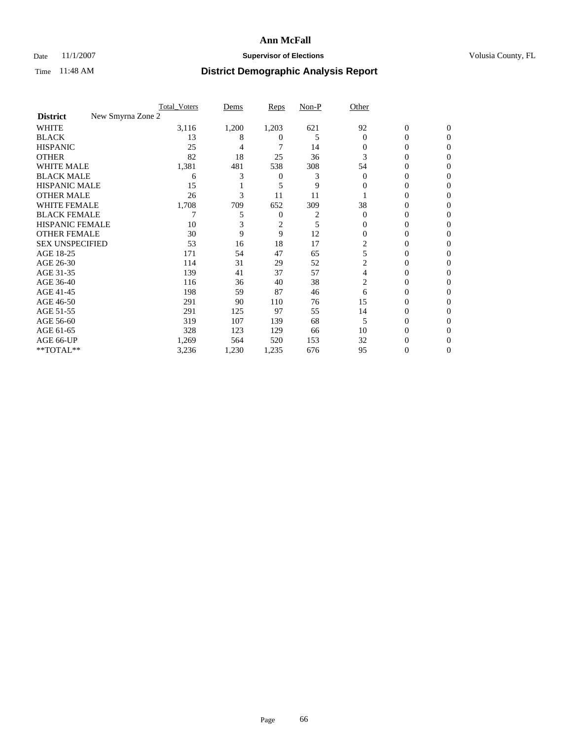### Date 11/1/2007 **Supervisor of Elections Supervisor of Elections** Volusia County, FL

|                                      | <b>Total Voters</b> | Dems  | Reps           | Non-P | Other    |                  |              |  |
|--------------------------------------|---------------------|-------|----------------|-------|----------|------------------|--------------|--|
| New Smyrna Zone 2<br><b>District</b> |                     |       |                |       |          |                  |              |  |
| <b>WHITE</b>                         | 3,116               | 1,200 | 1,203          | 621   | 92       | $\boldsymbol{0}$ | $\mathbf{0}$ |  |
| <b>BLACK</b>                         | 13                  | 8     | 0              | 5     | $\Omega$ | 0                | $\mathbf{0}$ |  |
| <b>HISPANIC</b>                      | 25                  | 4     |                | 14    | 0        | 0                | $\Omega$     |  |
| <b>OTHER</b>                         | 82                  | 18    | 25             | 36    | 3        | $\overline{0}$   | $\theta$     |  |
| <b>WHITE MALE</b>                    | 1,381               | 481   | 538            | 308   | 54       | 0                | 0            |  |
| <b>BLACK MALE</b>                    | 6                   | 3     | 0              | 3     | 0        | 0                | 0            |  |
| <b>HISPANIC MALE</b>                 | 15                  |       | 5              | 9     | 0        | 0                |              |  |
| <b>OTHER MALE</b>                    | 26                  | 3     | 11             | 11    |          | 0                | 0            |  |
| <b>WHITE FEMALE</b>                  | 1,708               | 709   | 652            | 309   | 38       | 0                | 0            |  |
| <b>BLACK FEMALE</b>                  |                     | 5     | 0              | 2     | $\Omega$ | 0                | 0            |  |
| <b>HISPANIC FEMALE</b>               | 10                  |       | $\overline{c}$ | 5     | 0        | 0                | $\Omega$     |  |
| <b>OTHER FEMALE</b>                  | 30                  | 9     | 9              | 12    | $\Omega$ | 0                | $\theta$     |  |
| <b>SEX UNSPECIFIED</b>               | 53                  | 16    | 18             | 17    | 2        | 0                | 0            |  |
| AGE 18-25                            | 171                 | 54    | 47             | 65    | 5        | 0                |              |  |
| AGE 26-30                            | 114                 | 31    | 29             | 52    | 2        | 0                | 0            |  |
| AGE 31-35                            | 139                 | 41    | 37             | 57    | 4        | 0                |              |  |
| AGE 36-40                            | 116                 | 36    | 40             | 38    | 2        | 0                | 0            |  |
| AGE 41-45                            | 198                 | 59    | 87             | 46    | 6        | 0                | 0            |  |
| AGE 46-50                            | 291                 | 90    | 110            | 76    | 15       | 0                | $\Omega$     |  |
| AGE 51-55                            | 291                 | 125   | 97             | 55    | 14       | 0                | $\theta$     |  |
| AGE 56-60                            | 319                 | 107   | 139            | 68    | 5        | 0                | $\theta$     |  |
| AGE 61-65                            | 328                 | 123   | 129            | 66    | 10       | 0                | 0            |  |
| AGE 66-UP                            | 1,269               | 564   | 520            | 153   | 32       | 0                |              |  |
| **TOTAL**                            | 3,236               | 1,230 | 1,235          | 676   | 95       | 0                | 0            |  |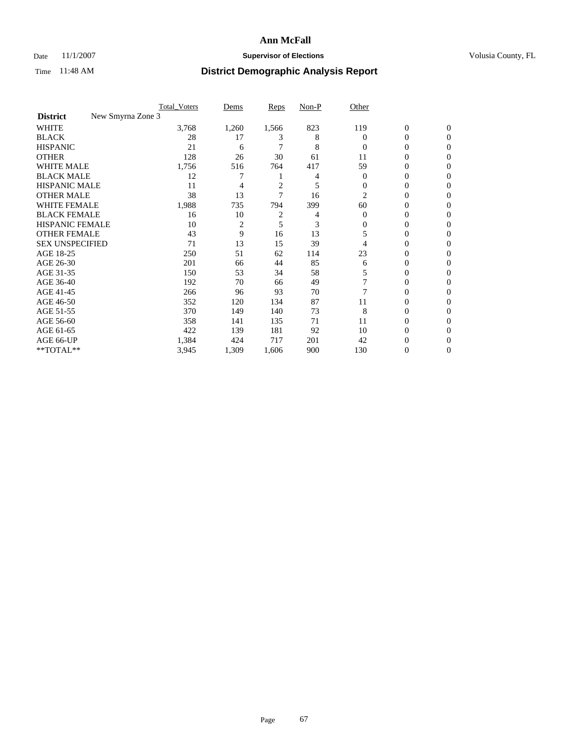### Date 11/1/2007 **Supervisor of Elections Supervisor of Elections** Volusia County, FL

|                                      | <b>Total Voters</b> | Dems           | Reps           | Non-P | Other    |                  |                  |  |
|--------------------------------------|---------------------|----------------|----------------|-------|----------|------------------|------------------|--|
| New Smyrna Zone 3<br><b>District</b> |                     |                |                |       |          |                  |                  |  |
| <b>WHITE</b>                         | 3,768               | 1,260          | 1,566          | 823   | 119      | $\boldsymbol{0}$ | $\mathbf{0}$     |  |
| <b>BLACK</b>                         | 28                  | 17             | 3              | 8     | $\Omega$ | 0                | $\mathbf{0}$     |  |
| <b>HISPANIC</b>                      | 21                  | 6              |                | 8     | $\Omega$ | 0                | $\mathbf{0}$     |  |
| <b>OTHER</b>                         | 128                 | 26             | 30             | 61    | 11       | 0                | $\boldsymbol{0}$ |  |
| <b>WHITE MALE</b>                    | 1,756               | 516            | 764            | 417   | 59       | 0                | $\theta$         |  |
| <b>BLACK MALE</b>                    | 12                  |                |                | 4     | 0        | 0                | 0                |  |
| <b>HISPANIC MALE</b>                 | 11                  | 4              | $\overline{c}$ | 5     | $\Omega$ | 0                | 0                |  |
| <b>OTHER MALE</b>                    | 38                  | 13             | 7              | 16    | 2        | 0                | 0                |  |
| <b>WHITE FEMALE</b>                  | 1,988               | 735            | 794            | 399   | 60       | 0                | 0                |  |
| <b>BLACK FEMALE</b>                  | 16                  | 10             | $\overline{c}$ | 4     | $\Omega$ | 0                | 0                |  |
| <b>HISPANIC FEMALE</b>               | 10                  | $\overline{2}$ | 5              | 3     | 0        | 0                | $\Omega$         |  |
| <b>OTHER FEMALE</b>                  | 43                  | 9              | 16             | 13    | 5        | 0                | $\theta$         |  |
| <b>SEX UNSPECIFIED</b>               | 71                  | 13             | 15             | 39    |          | 0                | $\theta$         |  |
| AGE 18-25                            | 250                 | 51             | 62             | 114   | 23       | 0                | 0                |  |
| AGE 26-30                            | 201                 | 66             | 44             | 85    | 6        | 0                | $\Omega$         |  |
| AGE 31-35                            | 150                 | 53             | 34             | 58    | 5        | 0                | 0                |  |
| AGE 36-40                            | 192                 | 70             | 66             | 49    |          | 0                | 0                |  |
| AGE 41-45                            | 266                 | 96             | 93             | 70    |          | 0                | 0                |  |
| AGE 46-50                            | 352                 | 120            | 134            | 87    | 11       | 0                | $\mathbf{0}$     |  |
| AGE 51-55                            | 370                 | 149            | 140            | 73    | 8        | 0                | $\Omega$         |  |
| AGE 56-60                            | 358                 | 141            | 135            | 71    | 11       | 0                | $\theta$         |  |
| AGE 61-65                            | 422                 | 139            | 181            | 92    | 10       | 0                | 0                |  |
| AGE 66-UP                            | 1,384               | 424            | 717            | 201   | 42       | 0                |                  |  |
| **TOTAL**                            | 3,945               | 1,309          | 1,606          | 900   | 130      | 0                | $\mathbf{0}$     |  |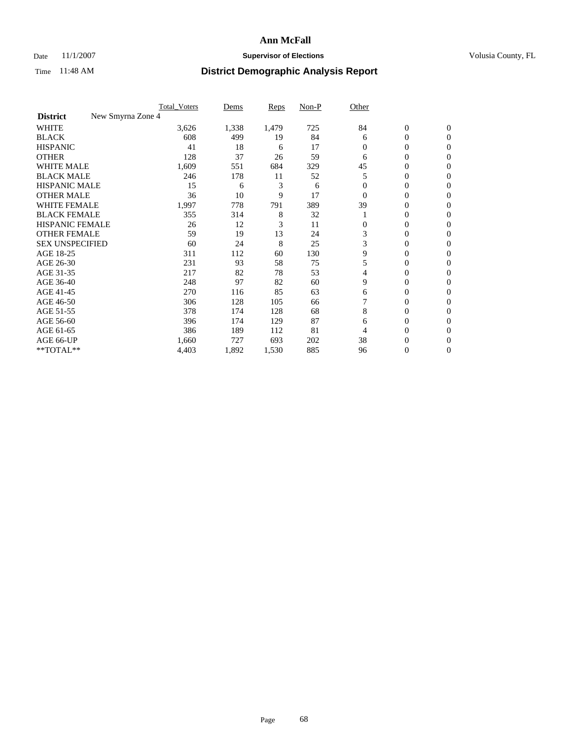### Date 11/1/2007 **Supervisor of Elections Supervisor of Elections** Volusia County, FL

|                                      | <b>Total_Voters</b> | Dems  | <b>Reps</b> | Non-P | Other    |                  |                |  |
|--------------------------------------|---------------------|-------|-------------|-------|----------|------------------|----------------|--|
| New Smyrna Zone 4<br><b>District</b> |                     |       |             |       |          |                  |                |  |
| <b>WHITE</b>                         | 3,626               | 1,338 | 1,479       | 725   | 84       | $\boldsymbol{0}$ | $\mathbf{0}$   |  |
| <b>BLACK</b>                         | 608                 | 499   | 19          | 84    | 6        | 0                | $\mathbf{0}$   |  |
| <b>HISPANIC</b>                      | 41                  | 18    | 6           | 17    | $\Omega$ | 0                | $\overline{0}$ |  |
| <b>OTHER</b>                         | 128                 | 37    | 26          | 59    | 6        | $\overline{0}$   | $\Omega$       |  |
| <b>WHITE MALE</b>                    | 1,609               | 551   | 684         | 329   | 45       | 0                | $\Omega$       |  |
| <b>BLACK MALE</b>                    | 246                 | 178   | 11          | 52    | 5        | 0                | $\Omega$       |  |
| <b>HISPANIC MALE</b>                 | 15                  | 6     | 3           | 6     |          | 0                | 0              |  |
| <b>OTHER MALE</b>                    | 36                  | 10    | 9           | 17    | $\Omega$ | 0                | 0              |  |
| <b>WHITE FEMALE</b>                  | 1,997               | 778   | 791         | 389   | 39       | 0                | 0              |  |
| <b>BLACK FEMALE</b>                  | 355                 | 314   | 8           | 32    |          | 0                | $\mathbf{0}$   |  |
| HISPANIC FEMALE                      | 26                  | 12    | 3           | 11    | 0        | 0                | $\Omega$       |  |
| <b>OTHER FEMALE</b>                  | 59                  | 19    | 13          | 24    | 3        | 0                | $\Omega$       |  |
| <b>SEX UNSPECIFIED</b>               | 60                  | 24    | 8           | 25    | 3        | $\overline{0}$   | $\Omega$       |  |
| AGE 18-25                            | 311                 | 112   | 60          | 130   | 9        | 0                | 0              |  |
| AGE 26-30                            | 231                 | 93    | 58          | 75    | 5        | 0                | $\Omega$       |  |
| AGE 31-35                            | 217                 | 82    | 78          | 53    | 4        | 0                | 0              |  |
| AGE 36-40                            | 248                 | 97    | 82          | 60    | 9        | 0                | 0              |  |
| AGE 41-45                            | 270                 | 116   | 85          | 63    | 6        | 0                | 0              |  |
| AGE 46-50                            | 306                 | 128   | 105         | 66    |          | 0                | $\mathbf{0}$   |  |
| AGE 51-55                            | 378                 | 174   | 128         | 68    | 8        | 0                | $\Omega$       |  |
| AGE 56-60                            | 396                 | 174   | 129         | 87    | 6        | 0                | $\Omega$       |  |
| AGE 61-65                            | 386                 | 189   | 112         | 81    | 4        | 0                | 0              |  |
| AGE 66-UP                            | 1,660               | 727   | 693         | 202   | 38       | 0                | $_{0}$         |  |
| **TOTAL**                            | 4,403               | 1,892 | 1,530       | 885   | 96       | 0                | $\overline{0}$ |  |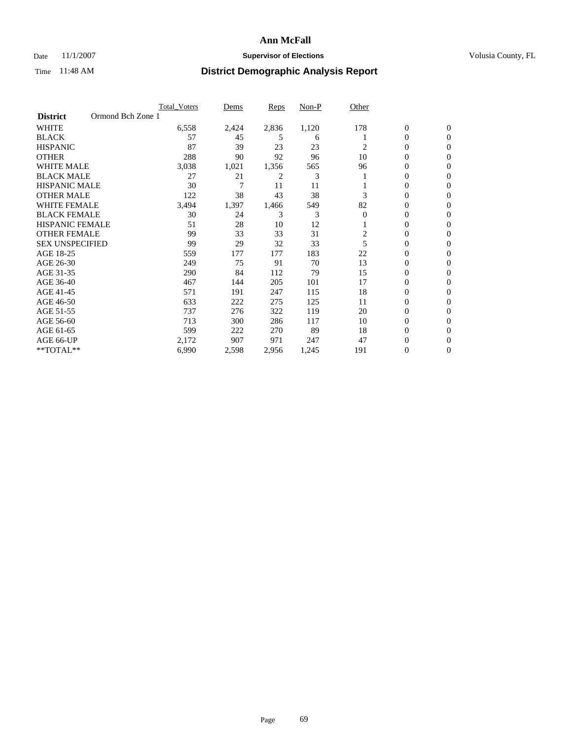### Date 11/1/2007 **Supervisor of Elections Supervisor of Elections** Volusia County, FL

|                                      | <b>Total Voters</b> | Dems  | <b>Reps</b> | Non-P | Other    |                  |                  |  |
|--------------------------------------|---------------------|-------|-------------|-------|----------|------------------|------------------|--|
| Ormond Bch Zone 1<br><b>District</b> |                     |       |             |       |          |                  |                  |  |
| <b>WHITE</b>                         | 6,558               | 2,424 | 2,836       | 1,120 | 178      | $\boldsymbol{0}$ | $\mathbf{0}$     |  |
| <b>BLACK</b>                         | 57                  | 45    | 5           | 6     |          | 0                | $\mathbf{0}$     |  |
| <b>HISPANIC</b>                      | 87                  | 39    | 23          | 23    | 2        | 0                | $\mathbf{0}$     |  |
| <b>OTHER</b>                         | 288                 | 90    | 92          | 96    | 10       | 0                | $\overline{0}$   |  |
| <b>WHITE MALE</b>                    | 3,038               | 1,021 | 1,356       | 565   | 96       | 0                | $\overline{0}$   |  |
| <b>BLACK MALE</b>                    | 27                  | 21    | 2           | 3     |          | 0                | $\overline{0}$   |  |
| <b>HISPANIC MALE</b>                 | 30                  | 7     | 11          | 11    |          | 0                | $\Omega$         |  |
| <b>OTHER MALE</b>                    | 122                 | 38    | 43          | 38    | 3        | 0                | 0                |  |
| <b>WHITE FEMALE</b>                  | 3,494               | 1,397 | 1,466       | 549   | 82       | 0                | $\Omega$         |  |
| <b>BLACK FEMALE</b>                  | 30                  | 24    | 3           | 3     | $\Omega$ | 0                | $\overline{0}$   |  |
| <b>HISPANIC FEMALE</b>               | 51                  | 28    | 10          | 12    |          | 0                | $\Omega$         |  |
| <b>OTHER FEMALE</b>                  | 99                  | 33    | 33          | 31    | 2        | 0                | $\boldsymbol{0}$ |  |
| <b>SEX UNSPECIFIED</b>               | 99                  | 29    | 32          | 33    | 5        | 0                | $\overline{0}$   |  |
| AGE 18-25                            | 559                 | 177   | 177         | 183   | 22       | 0                | 0                |  |
| AGE 26-30                            | 249                 | 75    | 91          | 70    | 13       | 0                | $\Omega$         |  |
| AGE 31-35                            | 290                 | 84    | 112         | 79    | 15       | 0                | 0                |  |
| AGE 36-40                            | 467                 | 144   | 205         | 101   | 17       | 0                | $\overline{0}$   |  |
| AGE 41-45                            | 571                 | 191   | 247         | 115   | 18       | 0                | $\Omega$         |  |
| AGE 46-50                            | 633                 | 222   | 275         | 125   | 11       | 0                | $\overline{0}$   |  |
| AGE 51-55                            | 737                 | 276   | 322         | 119   | 20       | 0                | $\overline{0}$   |  |
| AGE 56-60                            | 713                 | 300   | 286         | 117   | 10       | 0                | $\Omega$         |  |
| AGE 61-65                            | 599                 | 222   | 270         | 89    | 18       | 0                | $\Omega$         |  |
| AGE 66-UP                            | 2,172               | 907   | 971         | 247   | 47       | 0                | 0                |  |
| **TOTAL**                            | 6,990               | 2,598 | 2,956       | 1,245 | 191      | 0                | 0                |  |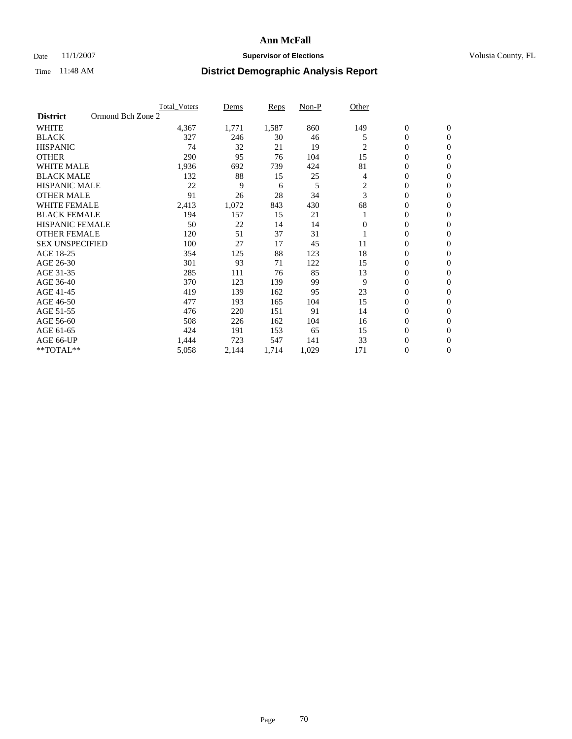### Date 11/1/2007 **Supervisor of Elections Supervisor of Elections** Volusia County, FL

|                        |                   | <b>Total Voters</b> | Dems  | Reps  | Non-P | Other    |                  |                  |
|------------------------|-------------------|---------------------|-------|-------|-------|----------|------------------|------------------|
| <b>District</b>        | Ormond Bch Zone 2 |                     |       |       |       |          |                  |                  |
| <b>WHITE</b>           |                   | 4,367               | 1,771 | 1,587 | 860   | 149      | $\boldsymbol{0}$ | $\mathbf{0}$     |
| <b>BLACK</b>           |                   | 327                 | 246   | 30    | 46    | 5        | $\mathbf{0}$     | $\mathbf{0}$     |
| <b>HISPANIC</b>        |                   | 74                  | 32    | 21    | 19    | 2        | $\mathbf{0}$     | $\mathbf{0}$     |
| <b>OTHER</b>           |                   | 290                 | 95    | 76    | 104   | 15       | 0                | $\overline{0}$   |
| <b>WHITE MALE</b>      |                   | 1,936               | 692   | 739   | 424   | 81       | 0                | $\overline{0}$   |
| <b>BLACK MALE</b>      |                   | 132                 | 88    | 15    | 25    | 4        | 0                | $\mathbf{0}$     |
| <b>HISPANIC MALE</b>   |                   | 22                  | 9     | 6     | 5     | 2        | 0                | $\Omega$         |
| <b>OTHER MALE</b>      |                   | 91                  | 26    | 28    | 34    | 3        | 0                | $\mathbf{0}$     |
| <b>WHITE FEMALE</b>    |                   | 2,413               | 1,072 | 843   | 430   | 68       | 0                | $\Omega$         |
| <b>BLACK FEMALE</b>    |                   | 194                 | 157   | 15    | 21    |          | $\mathbf{0}$     | $\mathbf{0}$     |
| <b>HISPANIC FEMALE</b> |                   | 50                  | 22    | 14    | 14    | $\Omega$ | 0                | $\mathbf{0}$     |
| <b>OTHER FEMALE</b>    |                   | 120                 | 51    | 37    | 31    |          | 0                | $\mathbf{0}$     |
| <b>SEX UNSPECIFIED</b> |                   | 100                 | 27    | 17    | 45    | 11       | 0                | $\mathbf{0}$     |
| AGE 18-25              |                   | 354                 | 125   | 88    | 123   | 18       | 0                | $\mathbf{0}$     |
| AGE 26-30              |                   | 301                 | 93    | 71    | 122   | 15       | 0                | $\mathbf{0}$     |
| AGE 31-35              |                   | 285                 | 111   | 76    | 85    | 13       | 0                | $\mathbf{0}$     |
| AGE 36-40              |                   | 370                 | 123   | 139   | 99    | 9        | $\mathbf{0}$     | $\mathbf{0}$     |
| AGE 41-45              |                   | 419                 | 139   | 162   | 95    | 23       | 0                | $\mathbf{0}$     |
| AGE 46-50              |                   | 477                 | 193   | 165   | 104   | 15       | $\mathbf{0}$     | $\mathbf{0}$     |
| AGE 51-55              |                   | 476                 | 220   | 151   | 91    | 14       | 0                | $\mathbf{0}$     |
| AGE 56-60              |                   | 508                 | 226   | 162   | 104   | 16       | 0                | $\mathbf{0}$     |
| AGE 61-65              |                   | 424                 | 191   | 153   | 65    | 15       | 0                | $\mathbf{0}$     |
| AGE 66-UP              |                   | 1,444               | 723   | 547   | 141   | 33       | 0                | 0                |
| **TOTAL**              |                   | 5,058               | 2,144 | 1,714 | 1,029 | 171      | 0                | $\boldsymbol{0}$ |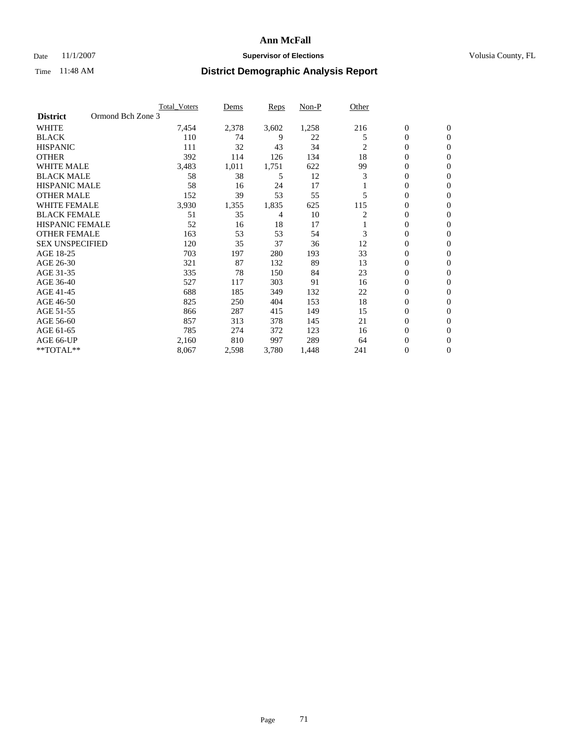### Date 11/1/2007 **Supervisor of Elections Supervisor of Elections** Volusia County, FL

|                                      | <b>Total Voters</b> | Dems  | Reps  | Non-P | Other |                  |                  |  |
|--------------------------------------|---------------------|-------|-------|-------|-------|------------------|------------------|--|
| Ormond Bch Zone 3<br><b>District</b> |                     |       |       |       |       |                  |                  |  |
| <b>WHITE</b>                         | 7,454               | 2,378 | 3,602 | 1,258 | 216   | $\boldsymbol{0}$ | $\mathbf{0}$     |  |
| <b>BLACK</b>                         | 110                 | 74    | 9     | 22    | 5     | $\mathbf{0}$     | $\mathbf{0}$     |  |
| <b>HISPANIC</b>                      | 111                 | 32    | 43    | 34    | 2     | 0                | $\mathbf{0}$     |  |
| <b>OTHER</b>                         | 392                 | 114   | 126   | 134   | 18    | 0                | $\overline{0}$   |  |
| <b>WHITE MALE</b>                    | 3,483               | 1,011 | 1,751 | 622   | 99    | 0                | $\mathbf{0}$     |  |
| <b>BLACK MALE</b>                    | 58                  | 38    | 5     | 12    | 3     | 0                | $\mathbf{0}$     |  |
| <b>HISPANIC MALE</b>                 | 58                  | 16    | 24    | 17    |       | 0                | $\Omega$         |  |
| <b>OTHER MALE</b>                    | 152                 | 39    | 53    | 55    | 5     | 0                | 0                |  |
| <b>WHITE FEMALE</b>                  | 3,930               | 1,355 | 1,835 | 625   | 115   | 0                | $\Omega$         |  |
| <b>BLACK FEMALE</b>                  | 51                  | 35    | 4     | 10    | 2     | 0                | $\mathbf{0}$     |  |
| <b>HISPANIC FEMALE</b>               | 52                  | 16    | 18    | 17    |       | 0                | $\mathbf{0}$     |  |
| <b>OTHER FEMALE</b>                  | 163                 | 53    | 53    | 54    | 3     | 0                | $\mathbf{0}$     |  |
| <b>SEX UNSPECIFIED</b>               | 120                 | 35    | 37    | 36    | 12    | 0                | $\mathbf{0}$     |  |
| AGE 18-25                            | 703                 | 197   | 280   | 193   | 33    | 0                | $\mathbf{0}$     |  |
| AGE 26-30                            | 321                 | 87    | 132   | 89    | 13    | 0                | $\mathbf{0}$     |  |
| AGE 31-35                            | 335                 | 78    | 150   | 84    | 23    | 0                | $\mathbf{0}$     |  |
| AGE 36-40                            | 527                 | 117   | 303   | 91    | 16    | 0                | $\mathbf{0}$     |  |
| AGE 41-45                            | 688                 | 185   | 349   | 132   | 22    | 0                | $\mathbf{0}$     |  |
| AGE 46-50                            | 825                 | 250   | 404   | 153   | 18    | 0                | $\mathbf{0}$     |  |
| AGE 51-55                            | 866                 | 287   | 415   | 149   | 15    | 0                | $\mathbf{0}$     |  |
| AGE 56-60                            | 857                 | 313   | 378   | 145   | 21    | 0                | $\mathbf{0}$     |  |
| AGE 61-65                            | 785                 | 274   | 372   | 123   | 16    | 0                | $\mathbf{0}$     |  |
| AGE 66-UP                            | 2,160               | 810   | 997   | 289   | 64    | 0                | 0                |  |
| **TOTAL**                            | 8,067               | 2,598 | 3,780 | 1,448 | 241   | 0                | $\boldsymbol{0}$ |  |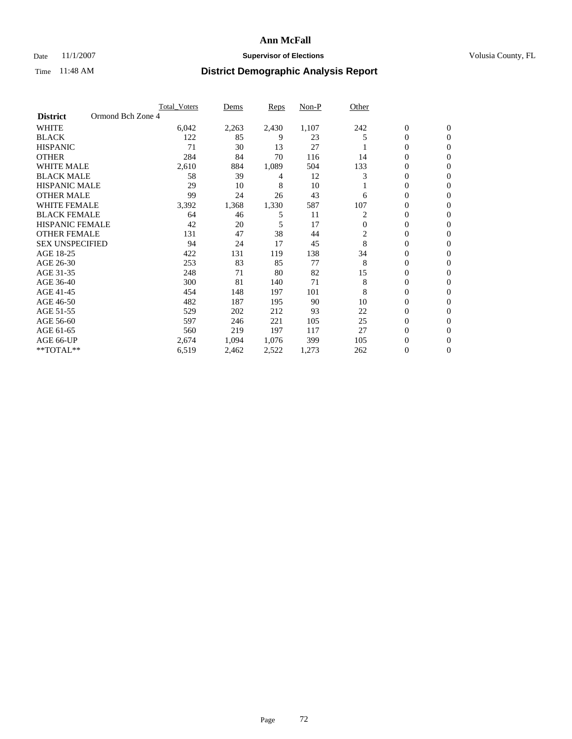### Date 11/1/2007 **Supervisor of Elections Supervisor of Elections** Volusia County, FL

|                        |                   | <b>Total Voters</b> | Dems  | Reps  | Non-P | Other        |              |                  |  |
|------------------------|-------------------|---------------------|-------|-------|-------|--------------|--------------|------------------|--|
| <b>District</b>        | Ormond Bch Zone 4 |                     |       |       |       |              |              |                  |  |
| <b>WHITE</b>           |                   | 6,042               | 2,263 | 2,430 | 1,107 | 242          | $\mathbf{0}$ | $\mathbf{0}$     |  |
| <b>BLACK</b>           |                   | 122                 | 85    | 9     | 23    | 5            | 0            | $\mathbf{0}$     |  |
| <b>HISPANIC</b>        |                   | 71                  | 30    | 13    | 27    |              | 0            | $\Omega$         |  |
| <b>OTHER</b>           |                   | 284                 | 84    | 70    | 116   | 14           | 0            | 0                |  |
| <b>WHITE MALE</b>      |                   | 2,610               | 884   | 1,089 | 504   | 133          | 0            | $\mathbf{0}$     |  |
| <b>BLACK MALE</b>      |                   | 58                  | 39    | 4     | 12    | 3            | 0            | $\mathbf{0}$     |  |
| <b>HISPANIC MALE</b>   |                   | 29                  | 10    | 8     | 10    |              | 0            | $\Omega$         |  |
| <b>OTHER MALE</b>      |                   | 99                  | 24    | 26    | 43    | 6            | $\mathbf{0}$ | $\mathbf{0}$     |  |
| <b>WHITE FEMALE</b>    |                   | 3,392               | 1,368 | 1,330 | 587   | 107          | 0            | $\overline{0}$   |  |
| <b>BLACK FEMALE</b>    |                   | 64                  | 46    | 5     | 11    | 2            | 0            | $\mathbf{0}$     |  |
| <b>HISPANIC FEMALE</b> |                   | 42                  | 20    | 5     | 17    | $\mathbf{0}$ | 0            | $\mathbf{0}$     |  |
| <b>OTHER FEMALE</b>    |                   | 131                 | 47    | 38    | 44    | 2            | 0            | 0                |  |
| <b>SEX UNSPECIFIED</b> |                   | 94                  | 24    | 17    | 45    | 8            | 0            | 0                |  |
| AGE 18-25              |                   | 422                 | 131   | 119   | 138   | 34           | 0            | $\Omega$         |  |
| AGE 26-30              |                   | 253                 | 83    | 85    | 77    | 8            | $\mathbf{0}$ | $\mathbf{0}$     |  |
| AGE 31-35              |                   | 248                 | 71    | 80    | 82    | 15           | 0            | $\mathbf{0}$     |  |
| AGE 36-40              |                   | 300                 | 81    | 140   | 71    | 8            | 0            | 0                |  |
| AGE 41-45              |                   | 454                 | 148   | 197   | 101   | 8            | 0            | 0                |  |
| AGE 46-50              |                   | 482                 | 187   | 195   | 90    | 10           | 0            | $\Omega$         |  |
| AGE 51-55              |                   | 529                 | 202   | 212   | 93    | 22           | 0            | $\mathbf{0}$     |  |
| AGE 56-60              |                   | 597                 | 246   | 221   | 105   | 25           | 0            | $\mathbf{0}$     |  |
| AGE 61-65              |                   | 560                 | 219   | 197   | 117   | 27           | $\theta$     | $\Omega$         |  |
| AGE 66-UP              |                   | 2,674               | 1,094 | 1,076 | 399   | 105          | 0            | $\mathbf{0}$     |  |
| **TOTAL**              |                   | 6,519               | 2,462 | 2,522 | 1,273 | 262          | 0            | $\boldsymbol{0}$ |  |
|                        |                   |                     |       |       |       |              |              |                  |  |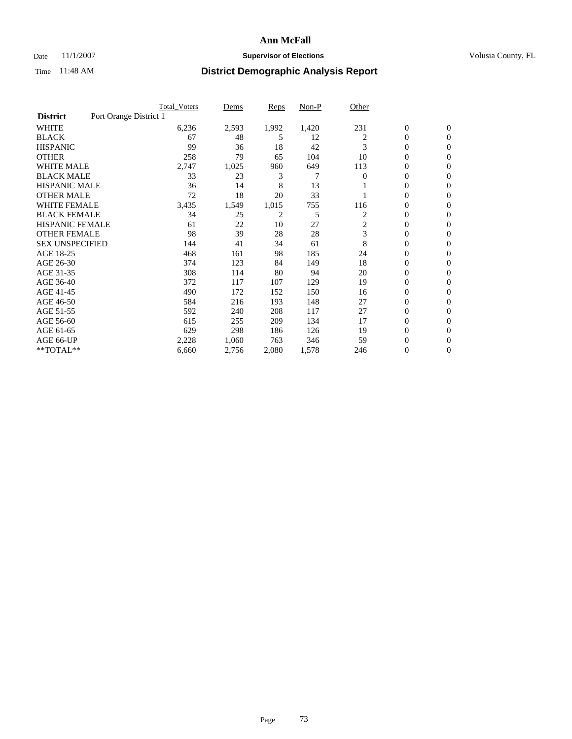### Date 11/1/2007 **Supervisor of Elections Supervisor of Elections** Volusia County, FL

|                        |                        | <b>Total_Voters</b> | Dems  | <b>Reps</b> | Non-P | Other    |                  |                |  |
|------------------------|------------------------|---------------------|-------|-------------|-------|----------|------------------|----------------|--|
| <b>District</b>        | Port Orange District 1 |                     |       |             |       |          |                  |                |  |
| <b>WHITE</b>           |                        | 6,236               | 2,593 | 1,992       | 1,420 | 231      | $\boldsymbol{0}$ | $\mathbf{0}$   |  |
| <b>BLACK</b>           |                        | 67                  | 48    | 5           | 12    | 2        | $\overline{0}$   | $\mathbf{0}$   |  |
| <b>HISPANIC</b>        |                        | 99                  | 36    | 18          | 42    | 3        | 0                | $\overline{0}$ |  |
| <b>OTHER</b>           |                        | 258                 | 79    | 65          | 104   | 10       | 0                | $\mathbf{0}$   |  |
| <b>WHITE MALE</b>      |                        | 2,747               | 1,025 | 960         | 649   | 113      | 0                | $\mathbf{0}$   |  |
| <b>BLACK MALE</b>      |                        | 33                  | 23    | 3           | 7     | $\Omega$ | $\boldsymbol{0}$ | $\mathbf{0}$   |  |
| <b>HISPANIC MALE</b>   |                        | 36                  | 14    | 8           | 13    |          | 0                | $\mathbf{0}$   |  |
| <b>OTHER MALE</b>      |                        | 72                  | 18    | 20          | 33    |          | $\overline{0}$   | $\mathbf{0}$   |  |
| <b>WHITE FEMALE</b>    |                        | 3,435               | 1,549 | 1,015       | 755   | 116      | 0                | $\mathbf{0}$   |  |
| <b>BLACK FEMALE</b>    |                        | 34                  | 25    | 2           | 5     | 2        | $\overline{0}$   | $\mathbf{0}$   |  |
| <b>HISPANIC FEMALE</b> |                        | 61                  | 22    | 10          | 27    | 2        | 0                | $\mathbf{0}$   |  |
| <b>OTHER FEMALE</b>    |                        | 98                  | 39    | 28          | 28    | 3        | 0                | $\Omega$       |  |
| <b>SEX UNSPECIFIED</b> |                        | 144                 | 41    | 34          | 61    | 8        | $\overline{0}$   | $\mathbf{0}$   |  |
| AGE 18-25              |                        | 468                 | 161   | 98          | 185   | 24       | 0                | $\Omega$       |  |
| AGE 26-30              |                        | 374                 | 123   | 84          | 149   | 18       | $\overline{0}$   | $\mathbf{0}$   |  |
| AGE 31-35              |                        | 308                 | 114   | 80          | 94    | 20       | $\overline{0}$   | $\mathbf{0}$   |  |
| AGE 36-40              |                        | 372                 | 117   | 107         | 129   | 19       | $\boldsymbol{0}$ | $\mathbf{0}$   |  |
| AGE 41-45              |                        | 490                 | 172   | 152         | 150   | 16       | $\boldsymbol{0}$ | $\mathbf{0}$   |  |
| AGE 46-50              |                        | 584                 | 216   | 193         | 148   | 27       | 0                | $\Omega$       |  |
| AGE 51-55              |                        | 592                 | 240   | 208         | 117   | 27       | $\boldsymbol{0}$ | $\mathbf{0}$   |  |
| AGE 56-60              |                        | 615                 | 255   | 209         | 134   | 17       | $\overline{0}$   | $\mathbf{0}$   |  |
| AGE 61-65              |                        | 629                 | 298   | 186         | 126   | 19       | $\mathbf{0}$     | $\mathbf{0}$   |  |
| AGE 66-UP              |                        | 2,228               | 1,060 | 763         | 346   | 59       | 0                | $\mathbf{0}$   |  |
| **TOTAL**              |                        | 6,660               | 2,756 | 2,080       | 1,578 | 246      | 0                | $\overline{0}$ |  |
|                        |                        |                     |       |             |       |          |                  |                |  |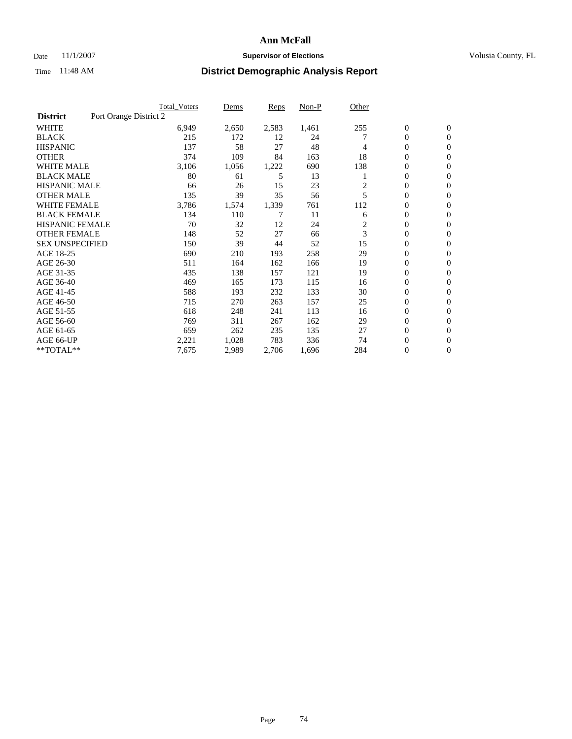### Date 11/1/2007 **Supervisor of Elections Supervisor of Elections** Volusia County, FL

|                        |                        | <b>Total Voters</b> | Dems  | Reps  | Non-P | Other |                  |                  |
|------------------------|------------------------|---------------------|-------|-------|-------|-------|------------------|------------------|
| <b>District</b>        | Port Orange District 2 |                     |       |       |       |       |                  |                  |
| <b>WHITE</b>           |                        | 6,949               | 2,650 | 2,583 | 1,461 | 255   | $\boldsymbol{0}$ | $\mathbf{0}$     |
| <b>BLACK</b>           |                        | 215                 | 172   | 12    | 24    |       | $\mathbf{0}$     | $\mathbf{0}$     |
| <b>HISPANIC</b>        |                        | 137                 | 58    | 27    | 48    | 4     | 0                | $\mathbf{0}$     |
| <b>OTHER</b>           |                        | 374                 | 109   | 84    | 163   | 18    | 0                | $\mathbf{0}$     |
| <b>WHITE MALE</b>      |                        | 3,106               | 1,056 | 1,222 | 690   | 138   | 0                | $\mathbf{0}$     |
| <b>BLACK MALE</b>      |                        | 80                  | 61    | 5     | 13    |       | 0                | $\mathbf{0}$     |
| <b>HISPANIC MALE</b>   |                        | 66                  | 26    | 15    | 23    | 2     | 0                | $\mathbf{0}$     |
| <b>OTHER MALE</b>      |                        | 135                 | 39    | 35    | 56    | 5     | $\mathbf{0}$     | $\mathbf{0}$     |
| <b>WHITE FEMALE</b>    |                        | 3,786               | 1,574 | 1,339 | 761   | 112   | 0                | $\mathbf{0}$     |
| <b>BLACK FEMALE</b>    |                        | 134                 | 110   | 7     | 11    | 6     | $\boldsymbol{0}$ | $\mathbf{0}$     |
| <b>HISPANIC FEMALE</b> |                        | 70                  | 32    | 12    | 24    | 2     | 0                | $\mathbf{0}$     |
| <b>OTHER FEMALE</b>    |                        | 148                 | 52    | 27    | 66    | 3     | 0                | $\mathbf{0}$     |
| <b>SEX UNSPECIFIED</b> |                        | 150                 | 39    | 44    | 52    | 15    | 0                | $\mathbf{0}$     |
| AGE 18-25              |                        | 690                 | 210   | 193   | 258   | 29    | 0                | $\mathbf{0}$     |
| AGE 26-30              |                        | 511                 | 164   | 162   | 166   | 19    | $\mathbf{0}$     | $\mathbf{0}$     |
| AGE 31-35              |                        | 435                 | 138   | 157   | 121   | 19    | 0                | $\mathbf{0}$     |
| AGE 36-40              |                        | 469                 | 165   | 173   | 115   | 16    | 0                | $\mathbf{0}$     |
| AGE 41-45              |                        | 588                 | 193   | 232   | 133   | 30    | 0                | $\mathbf{0}$     |
| AGE 46-50              |                        | 715                 | 270   | 263   | 157   | 25    | 0                | $\mathbf{0}$     |
| AGE 51-55              |                        | 618                 | 248   | 241   | 113   | 16    | $\boldsymbol{0}$ | $\boldsymbol{0}$ |
| AGE 56-60              |                        | 769                 | 311   | 267   | 162   | 29    | 0                | $\mathbf{0}$     |
| AGE 61-65              |                        | 659                 | 262   | 235   | 135   | 27    | $\mathbf{0}$     | $\mathbf{0}$     |
| AGE 66-UP              |                        | 2,221               | 1,028 | 783   | 336   | 74    | 0                | $\boldsymbol{0}$ |
| **TOTAL**              |                        | 7,675               | 2,989 | 2,706 | 1,696 | 284   | 0                | $\boldsymbol{0}$ |
|                        |                        |                     |       |       |       |       |                  |                  |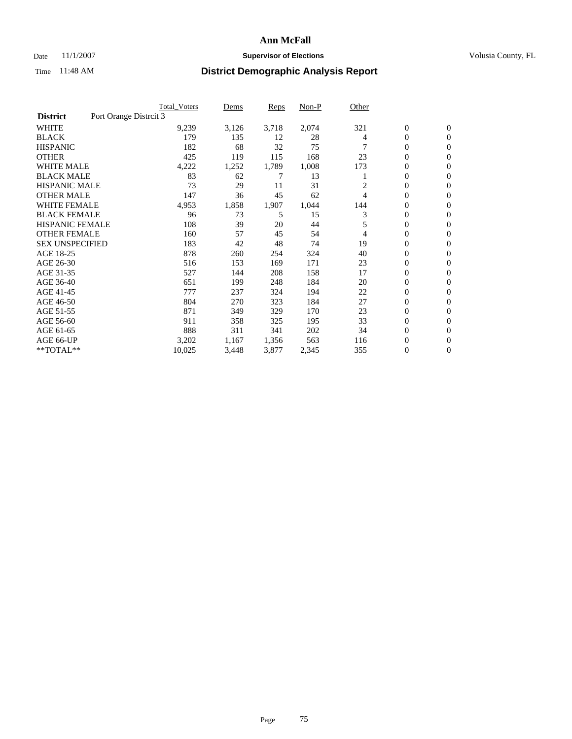### Date 11/1/2007 **Supervisor of Elections Supervisor of Elections** Volusia County, FL

|                                           | <b>Total Voters</b> | Dems  | Reps  | Non-P | Other |                  |                  |  |
|-------------------------------------------|---------------------|-------|-------|-------|-------|------------------|------------------|--|
| Port Orange Distrcit 3<br><b>District</b> |                     |       |       |       |       |                  |                  |  |
| <b>WHITE</b>                              | 9,239               | 3,126 | 3,718 | 2,074 | 321   | $\boldsymbol{0}$ | $\mathbf{0}$     |  |
| <b>BLACK</b>                              | 179                 | 135   | 12    | 28    | 4     | 0                | $\mathbf{0}$     |  |
| <b>HISPANIC</b>                           | 182                 | 68    | 32    | 75    |       | 0                | $\mathbf{0}$     |  |
| <b>OTHER</b>                              | 425                 | 119   | 115   | 168   | 23    | 0                | $\mathbf{0}$     |  |
| <b>WHITE MALE</b>                         | 4,222               | 1,252 | 1,789 | 1,008 | 173   | 0                | $\mathbf{0}$     |  |
| <b>BLACK MALE</b>                         | 83                  | 62    | 7     | 13    |       | 0                | $\mathbf{0}$     |  |
| <b>HISPANIC MALE</b>                      | 73                  | 29    | 11    | 31    | 2     | 0                | $\mathbf{0}$     |  |
| <b>OTHER MALE</b>                         | 147                 | 36    | 45    | 62    | 4     | $\mathbf{0}$     | $\mathbf{0}$     |  |
| <b>WHITE FEMALE</b>                       | 4,953               | 1,858 | 1,907 | 1,044 | 144   | 0                | $\mathbf{0}$     |  |
| <b>BLACK FEMALE</b>                       | 96                  | 73    | 5     | 15    | 3     | $\boldsymbol{0}$ | $\mathbf{0}$     |  |
| <b>HISPANIC FEMALE</b>                    | 108                 | 39    | 20    | 44    | 5     | $\boldsymbol{0}$ | $\mathbf{0}$     |  |
| <b>OTHER FEMALE</b>                       | 160                 | 57    | 45    | 54    | 4     | 0                | $\mathbf{0}$     |  |
| <b>SEX UNSPECIFIED</b>                    | 183                 | 42    | 48    | 74    | 19    | 0                | $\mathbf{0}$     |  |
| AGE 18-25                                 | 878                 | 260   | 254   | 324   | 40    | 0                | $\mathbf{0}$     |  |
| AGE 26-30                                 | 516                 | 153   | 169   | 171   | 23    | $\mathbf{0}$     | $\mathbf{0}$     |  |
| AGE 31-35                                 | 527                 | 144   | 208   | 158   | 17    | 0                | $\mathbf{0}$     |  |
| AGE 36-40                                 | 651                 | 199   | 248   | 184   | 20    | 0                | $\mathbf{0}$     |  |
| AGE 41-45                                 | 777                 | 237   | 324   | 194   | 22    | 0                | $\mathbf{0}$     |  |
| AGE 46-50                                 | 804                 | 270   | 323   | 184   | 27    | 0                | $\mathbf{0}$     |  |
| AGE 51-55                                 | 871                 | 349   | 329   | 170   | 23    | $\boldsymbol{0}$ | $\mathbf{0}$     |  |
| AGE 56-60                                 | 911                 | 358   | 325   | 195   | 33    | 0                | $\mathbf{0}$     |  |
| AGE 61-65                                 | 888                 | 311   | 341   | 202   | 34    | $\overline{0}$   | $\mathbf{0}$     |  |
| AGE 66-UP                                 | 3,202               | 1,167 | 1,356 | 563   | 116   | 0                | $\mathbf{0}$     |  |
| **TOTAL**                                 | 10,025              | 3,448 | 3,877 | 2,345 | 355   | 0                | $\boldsymbol{0}$ |  |
|                                           |                     |       |       |       |       |                  |                  |  |